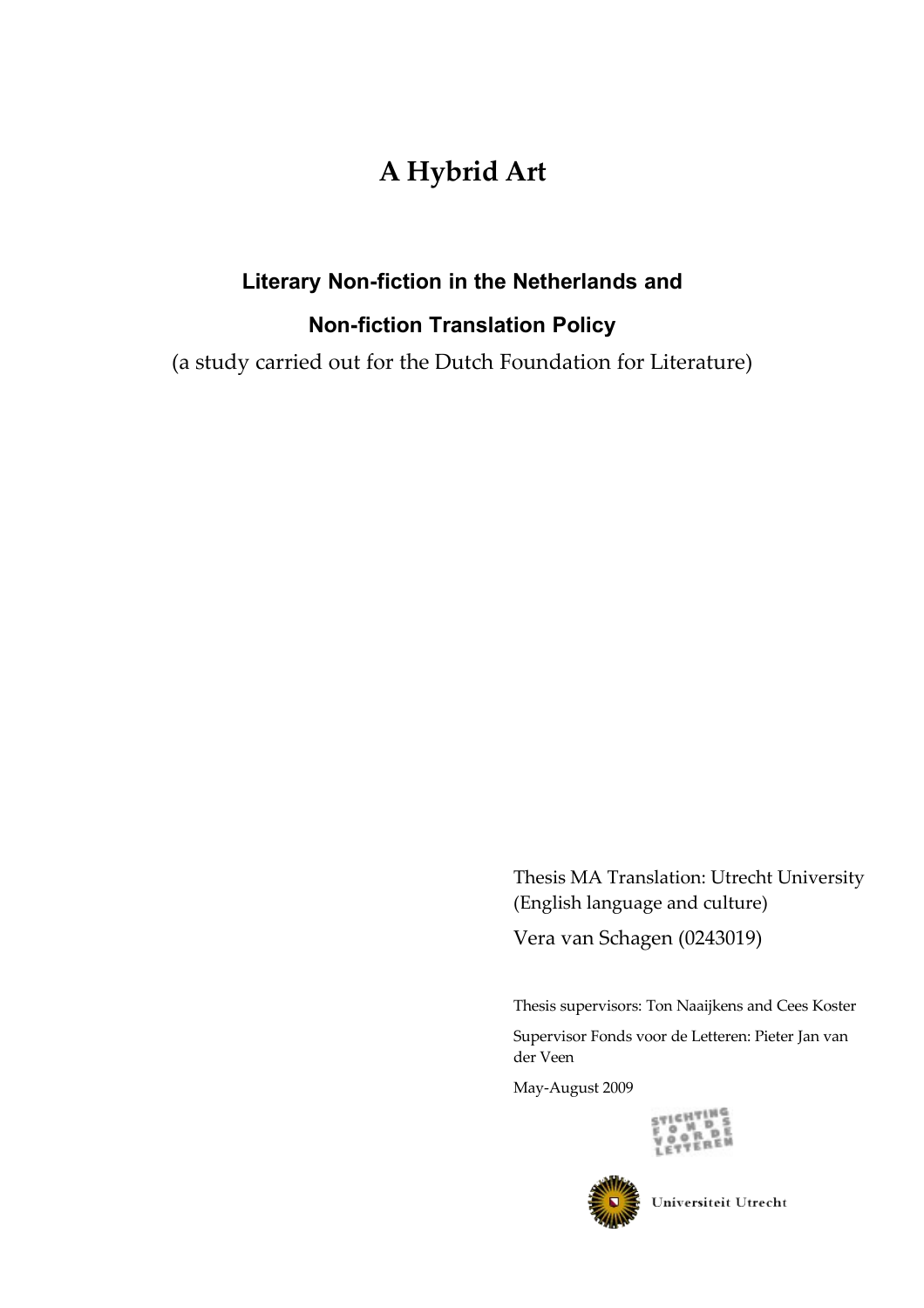# **A Hybrid Art**

### **Literary Non-fiction in the Netherlands and**

### **Non-fiction Translation Policy**

(a study carried out for the Dutch Foundation for Literature)

Thesis MA Translation: Utrecht University (English language and culture)

Vera van Schagen (0243019)

Thesis supervisors: Ton Naaijkens and Cees Koster

Supervisor Fonds voor de Letteren: Pieter Jan van der Veen

May-August 2009

**THEN**<br>P<sub>D</sub>ER  $\begin{matrix} 8716H^3 \\ 0 & M \\ 0 & 0 & B \end{matrix}$ 



Universiteit Utrecht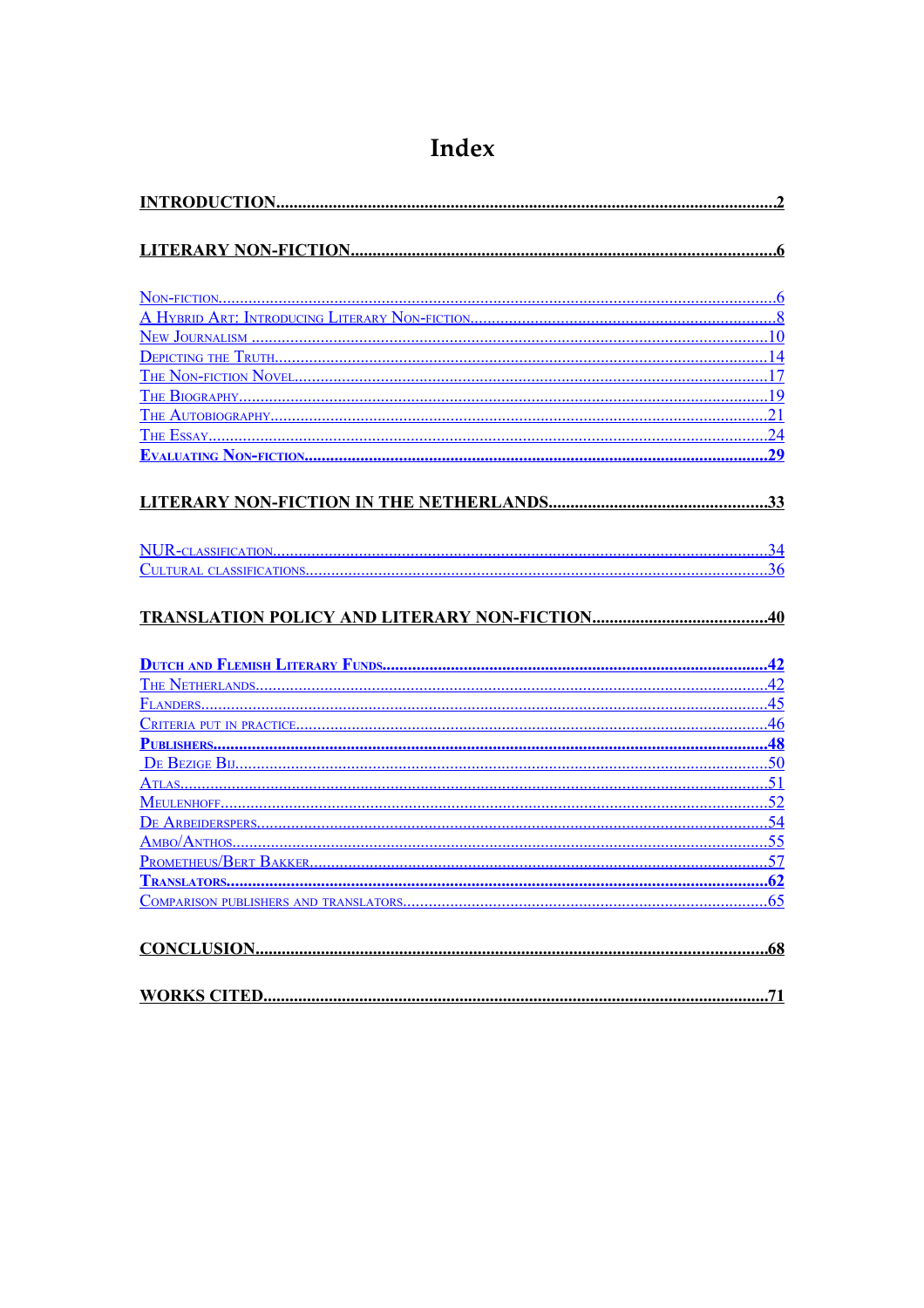Index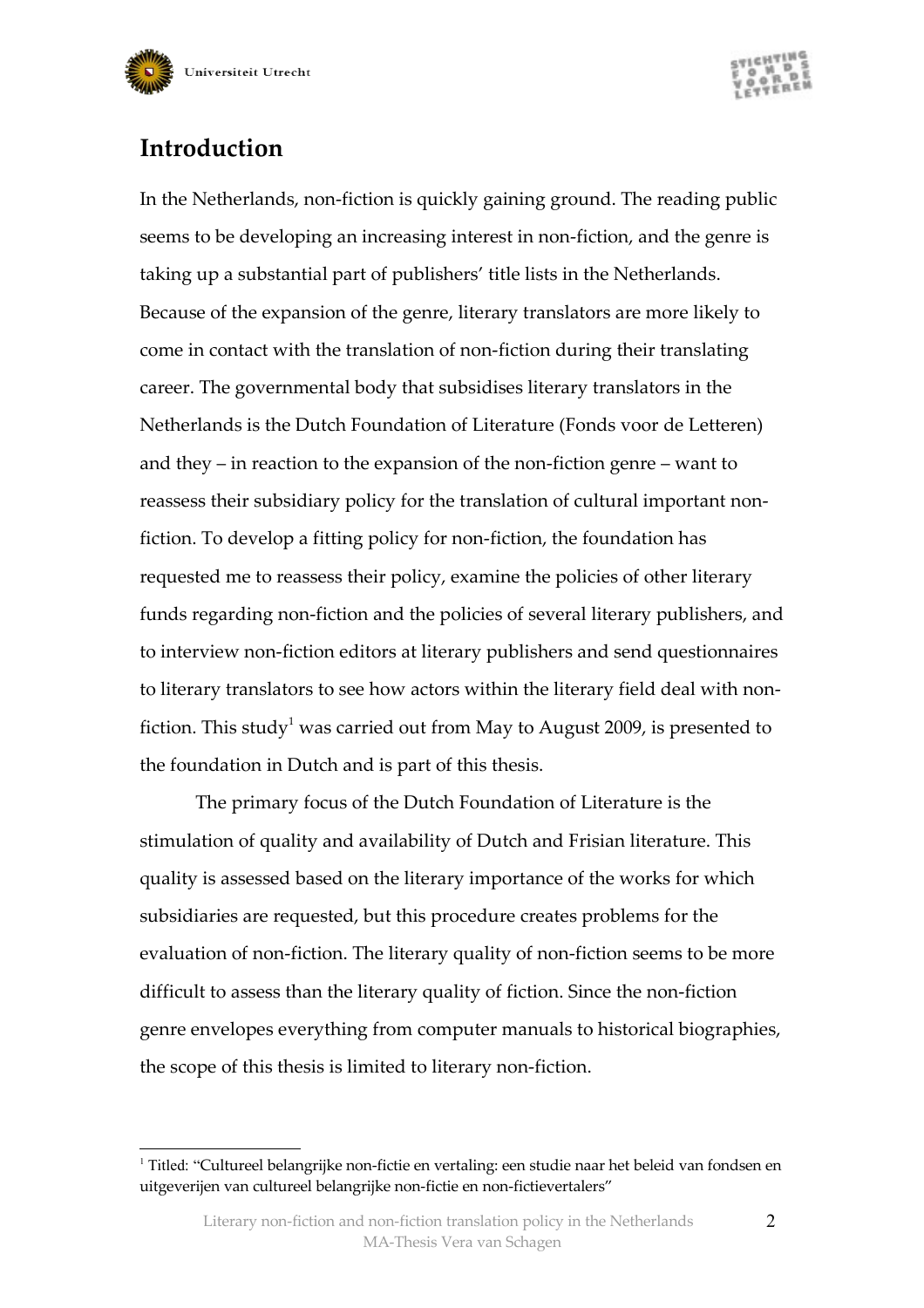

## **Introduction**

In the Netherlands, non-fiction is quickly gaining ground. The reading public seems to be developing an increasing interest in non-fiction, and the genre is taking up a substantial part of publishers' title lists in the Netherlands. Because of the expansion of the genre, literary translators are more likely to come in contact with the translation of non-fiction during their translating career. The governmental body that subsidises literary translators in the Netherlands is the Dutch Foundation of Literature (Fonds voor de Letteren) and they – in reaction to the expansion of the non-fiction genre – want to reassess their subsidiary policy for the translation of cultural important nonfiction. To develop a fitting policy for non-fiction, the foundation has requested me to reassess their policy, examine the policies of other literary funds regarding non-fiction and the policies of several literary publishers, and to interview non-fiction editors at literary publishers and send questionnaires to literary translators to see how actors within the literary field deal with nonfiction. This study $^1$  $^1$  was carried out from May to August 2009, is presented to the foundation in Dutch and is part of this thesis.

The primary focus of the Dutch Foundation of Literature is the stimulation of quality and availability of Dutch and Frisian literature. This quality is assessed based on the literary importance of the works for which subsidiaries are requested, but this procedure creates problems for the evaluation of non-fiction. The literary quality of non-fiction seems to be more difficult to assess than the literary quality of fiction. Since the non-fiction genre envelopes everything from computer manuals to historical biographies, the scope of this thesis is limited to literary non-fiction.

<span id="page-3-0"></span><sup>&</sup>lt;sup>1</sup> Titled: "Cultureel belangrijke non-fictie en vertaling: een studie naar het beleid van fondsen en uitgeverijen van cultureel belangrijke non-fictie en non-fictievertalers"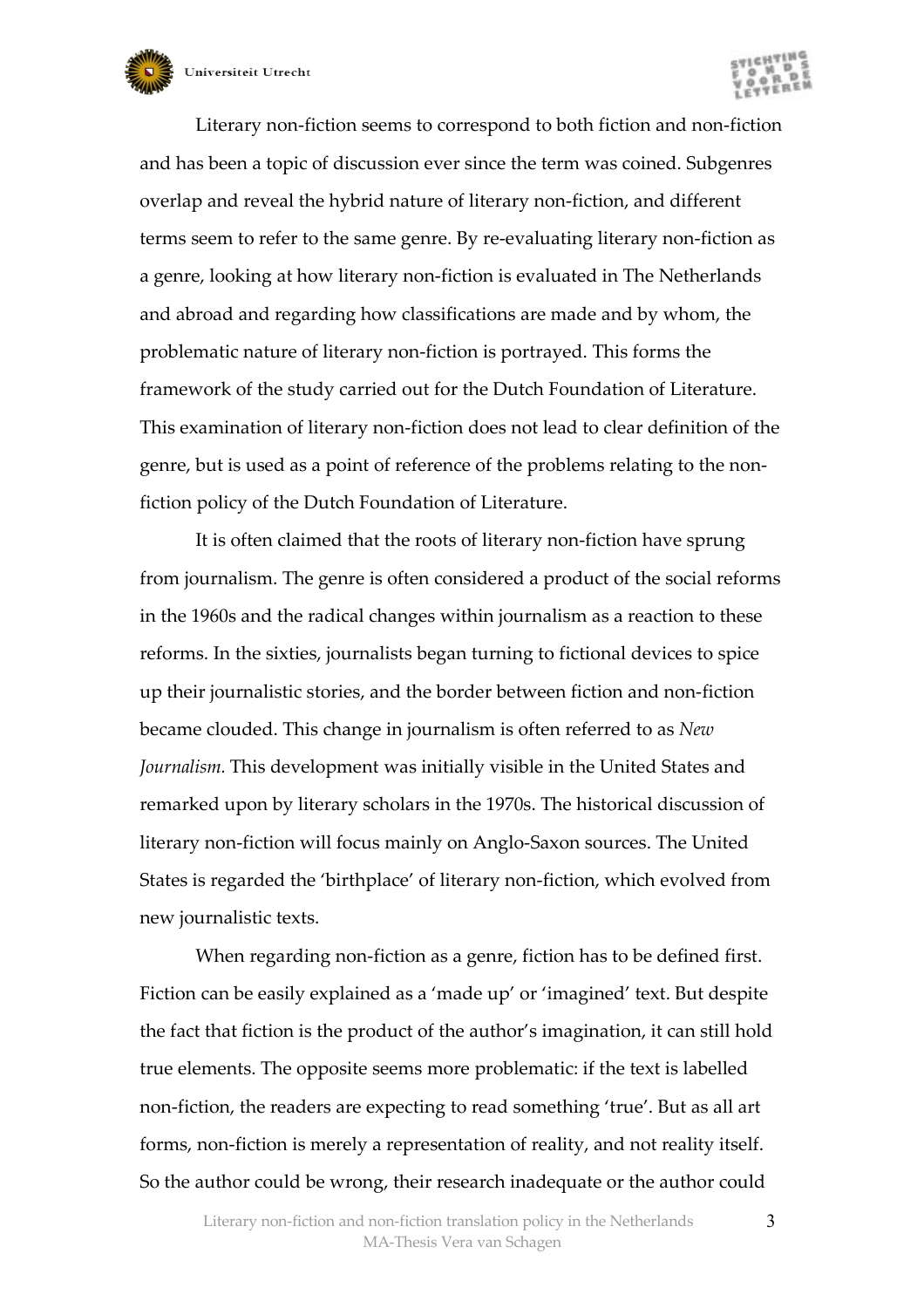

Literary non-fiction seems to correspond to both fiction and non-fiction and has been a topic of discussion ever since the term was coined. Subgenres overlap and reveal the hybrid nature of literary non-fiction, and different terms seem to refer to the same genre. By re-evaluating literary non-fiction as a genre, looking at how literary non-fiction is evaluated in The Netherlands and abroad and regarding how classifications are made and by whom, the problematic nature of literary non-fiction is portrayed. This forms the framework of the study carried out for the Dutch Foundation of Literature. This examination of literary non-fiction does not lead to clear definition of the genre, but is used as a point of reference of the problems relating to the nonfiction policy of the Dutch Foundation of Literature.

It is often claimed that the roots of literary non-fiction have sprung from journalism. The genre is often considered a product of the social reforms in the 1960s and the radical changes within journalism as a reaction to these reforms. In the sixties, journalists began turning to fictional devices to spice up their journalistic stories, and the border between fiction and non-fiction became clouded. This change in journalism is often referred to as *New Journalism.* This development was initially visible in the United States and remarked upon by literary scholars in the 1970s. The historical discussion of literary non-fiction will focus mainly on Anglo-Saxon sources. The United States is regarded the 'birthplace' of literary non-fiction, which evolved from new journalistic texts.

When regarding non-fiction as a genre, fiction has to be defined first. Fiction can be easily explained as a 'made up' or 'imagined' text. But despite the fact that fiction is the product of the author's imagination, it can still hold true elements. The opposite seems more problematic: if the text is labelled non-fiction, the readers are expecting to read something 'true'. But as all art forms, non-fiction is merely a representation of reality, and not reality itself. So the author could be wrong, their research inadequate or the author could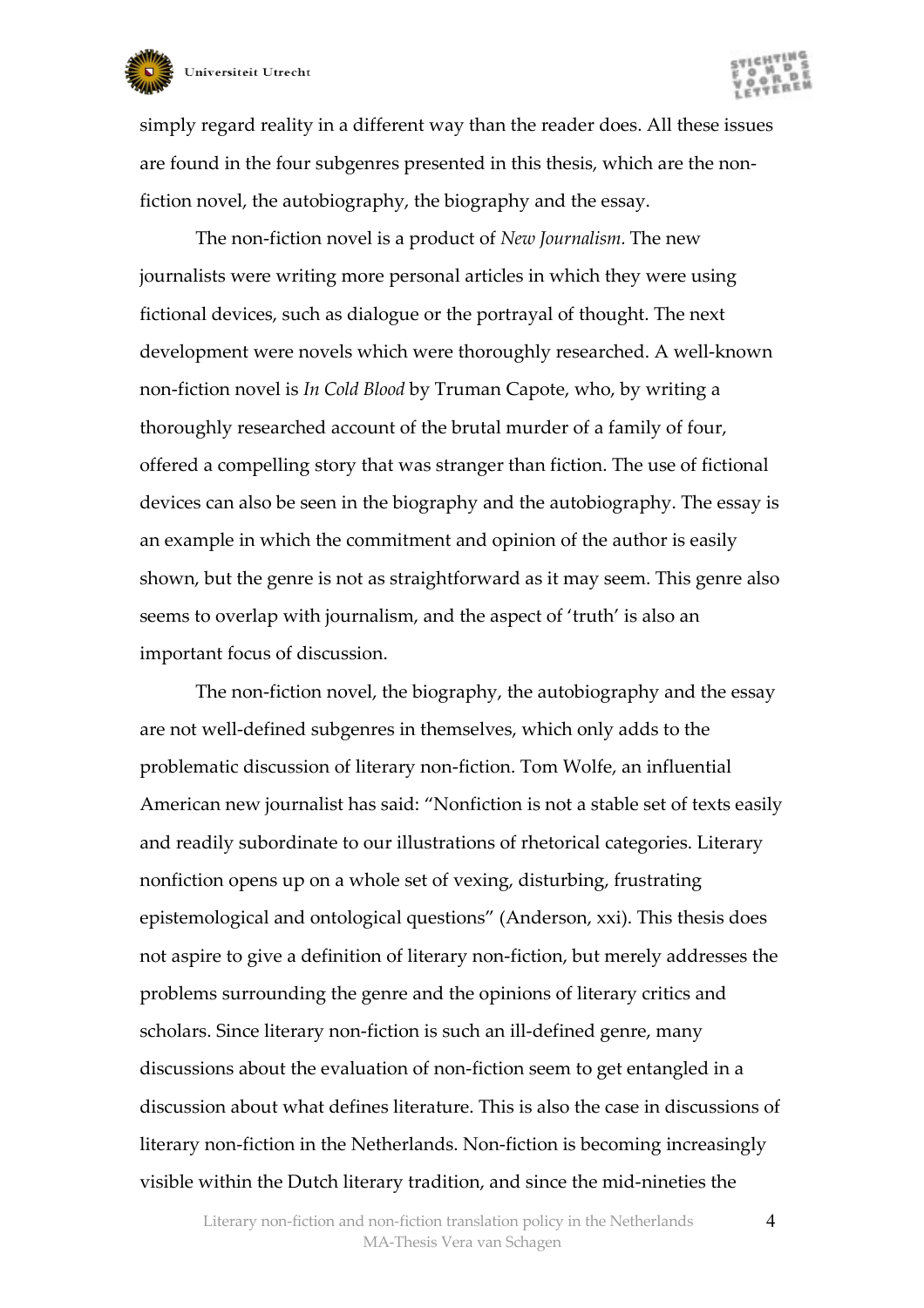

simply regard reality in a different way than the reader does. All these issues are found in the four subgenres presented in this thesis, which are the nonfiction novel, the autobiography, the biography and the essay.

The non-fiction novel is a product of *New Journalism.* The new journalists were writing more personal articles in which they were using fictional devices, such as dialogue or the portrayal of thought. The next development were novels which were thoroughly researched. A well-known non-fiction novel is *In Cold Blood* by Truman Capote, who, by writing a thoroughly researched account of the brutal murder of a family of four, offered a compelling story that was stranger than fiction. The use of fictional devices can also be seen in the biography and the autobiography. The essay is an example in which the commitment and opinion of the author is easily shown, but the genre is not as straightforward as it may seem. This genre also seems to overlap with journalism, and the aspect of 'truth' is also an important focus of discussion.

The non-fiction novel, the biography, the autobiography and the essay are not well-defined subgenres in themselves, which only adds to the problematic discussion of literary non-fiction. Tom Wolfe, an influential American new journalist has said: "Nonfiction is not a stable set of texts easily and readily subordinate to our illustrations of rhetorical categories. Literary nonfiction opens up on a whole set of vexing, disturbing, frustrating epistemological and ontological questions" (Anderson, xxi). This thesis does not aspire to give a definition of literary non-fiction, but merely addresses the problems surrounding the genre and the opinions of literary critics and scholars. Since literary non-fiction is such an ill-defined genre, many discussions about the evaluation of non-fiction seem to get entangled in a discussion about what defines literature. This is also the case in discussions of literary non-fiction in the Netherlands. Non-fiction is becoming increasingly visible within the Dutch literary tradition, and since the mid-nineties the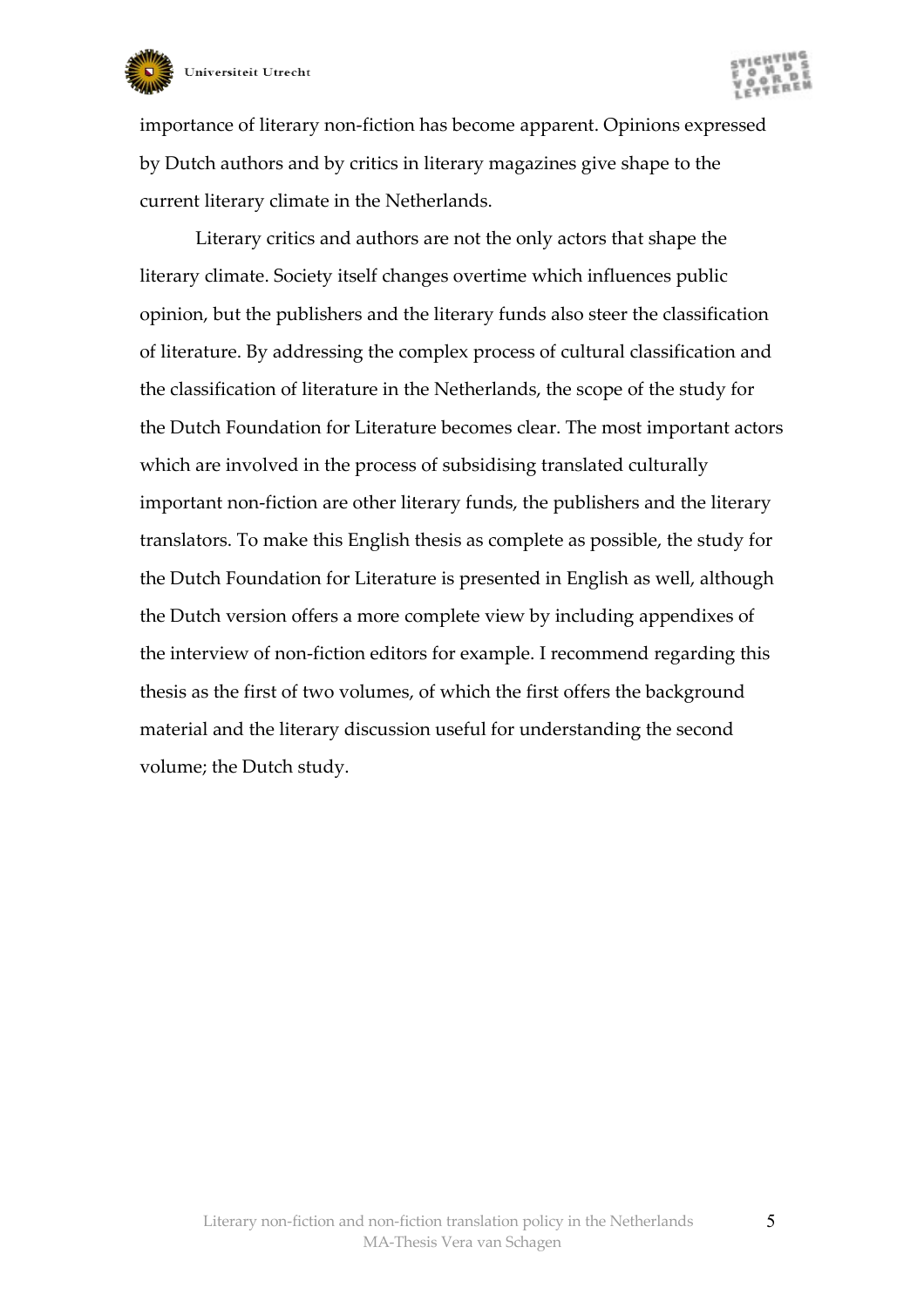

importance of literary non-fiction has become apparent. Opinions expressed by Dutch authors and by critics in literary magazines give shape to the current literary climate in the Netherlands.

Literary critics and authors are not the only actors that shape the literary climate. Society itself changes overtime which influences public opinion, but the publishers and the literary funds also steer the classification of literature. By addressing the complex process of cultural classification and the classification of literature in the Netherlands, the scope of the study for the Dutch Foundation for Literature becomes clear. The most important actors which are involved in the process of subsidising translated culturally important non-fiction are other literary funds, the publishers and the literary translators. To make this English thesis as complete as possible, the study for the Dutch Foundation for Literature is presented in English as well, although the Dutch version offers a more complete view by including appendixes of the interview of non-fiction editors for example. I recommend regarding this thesis as the first of two volumes, of which the first offers the background material and the literary discussion useful for understanding the second volume; the Dutch study.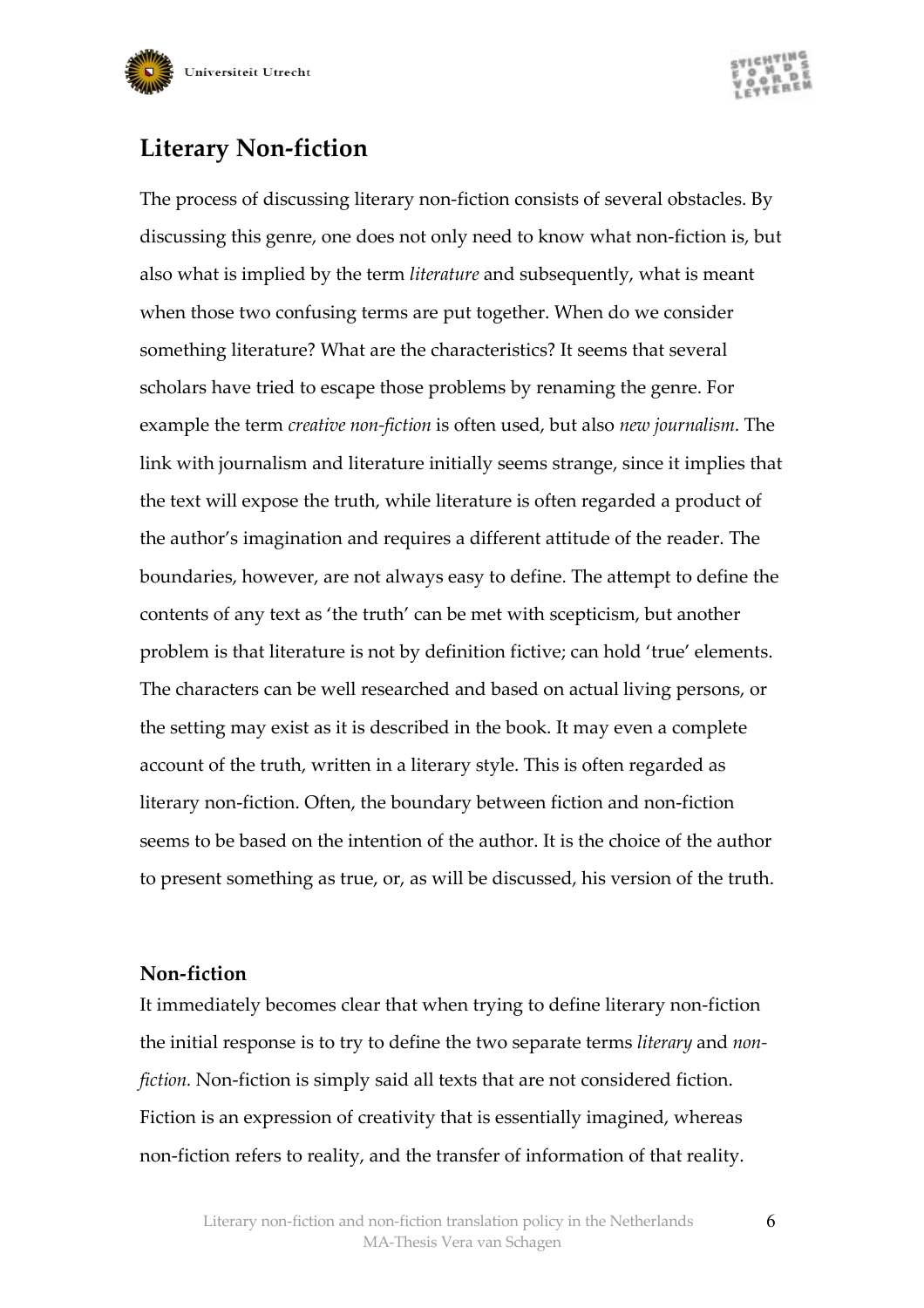

## **Literary Non-fiction**

The process of discussing literary non-fiction consists of several obstacles. By discussing this genre, one does not only need to know what non-fiction is, but also what is implied by the term *literature* and subsequently, what is meant when those two confusing terms are put together. When do we consider something literature? What are the characteristics? It seems that several scholars have tried to escape those problems by renaming the genre. For example the term *creative non-fiction* is often used, but also *new journalism*. The link with journalism and literature initially seems strange, since it implies that the text will expose the truth, while literature is often regarded a product of the author's imagination and requires a different attitude of the reader. The boundaries, however, are not always easy to define. The attempt to define the contents of any text as 'the truth' can be met with scepticism, but another problem is that literature is not by definition fictive; can hold 'true' elements. The characters can be well researched and based on actual living persons, or the setting may exist as it is described in the book. It may even a complete account of the truth, written in a literary style. This is often regarded as literary non-fiction. Often, the boundary between fiction and non-fiction seems to be based on the intention of the author. It is the choice of the author to present something as true, or, as will be discussed, his version of the truth.

#### <span id="page-7-0"></span>**Non-fiction**

It immediately becomes clear that when trying to define literary non-fiction the initial response is to try to define the two separate terms *literary* and *nonfiction.* Non-fiction is simply said all texts that are not considered fiction. Fiction is an expression of creativity that is essentially imagined, whereas non-fiction refers to reality, and the transfer of information of that reality.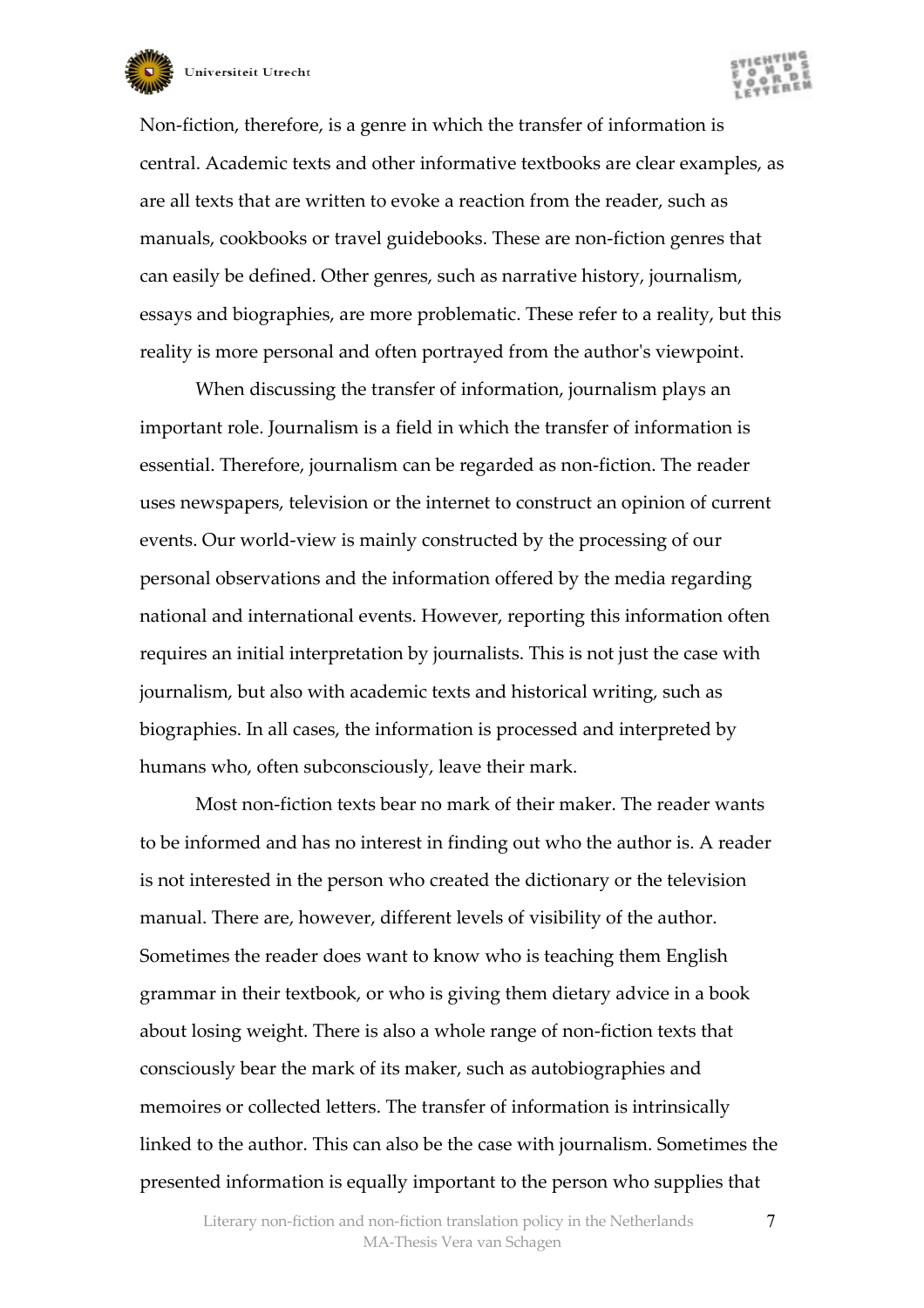

Non-fiction, therefore, is a genre in which the transfer of information is central. Academic texts and other informative textbooks are clear examples, as are all texts that are written to evoke a reaction from the reader, such as manuals, cookbooks or travel guidebooks. These are non-fiction genres that can easily be defined. Other genres, such as narrative history, journalism, essays and biographies, are more problematic. These refer to a reality, but this reality is more personal and often portrayed from the author's viewpoint.

When discussing the transfer of information, journalism plays an important role. Journalism is a field in which the transfer of information is essential. Therefore, journalism can be regarded as non-fiction. The reader uses newspapers, television or the internet to construct an opinion of current events. Our world-view is mainly constructed by the processing of our personal observations and the information offered by the media regarding national and international events. However, reporting this information often requires an initial interpretation by journalists. This is not just the case with journalism, but also with academic texts and historical writing, such as biographies. In all cases, the information is processed and interpreted by humans who, often subconsciously, leave their mark.

Most non-fiction texts bear no mark of their maker. The reader wants to be informed and has no interest in finding out who the author is. A reader is not interested in the person who created the dictionary or the television manual. There are, however, different levels of visibility of the author. Sometimes the reader does want to know who is teaching them English grammar in their textbook, or who is giving them dietary advice in a book about losing weight. There is also a whole range of non-fiction texts that consciously bear the mark of its maker, such as autobiographies and memoires or collected letters. The transfer of information is intrinsically linked to the author. This can also be the case with journalism. Sometimes the presented information is equally important to the person who supplies that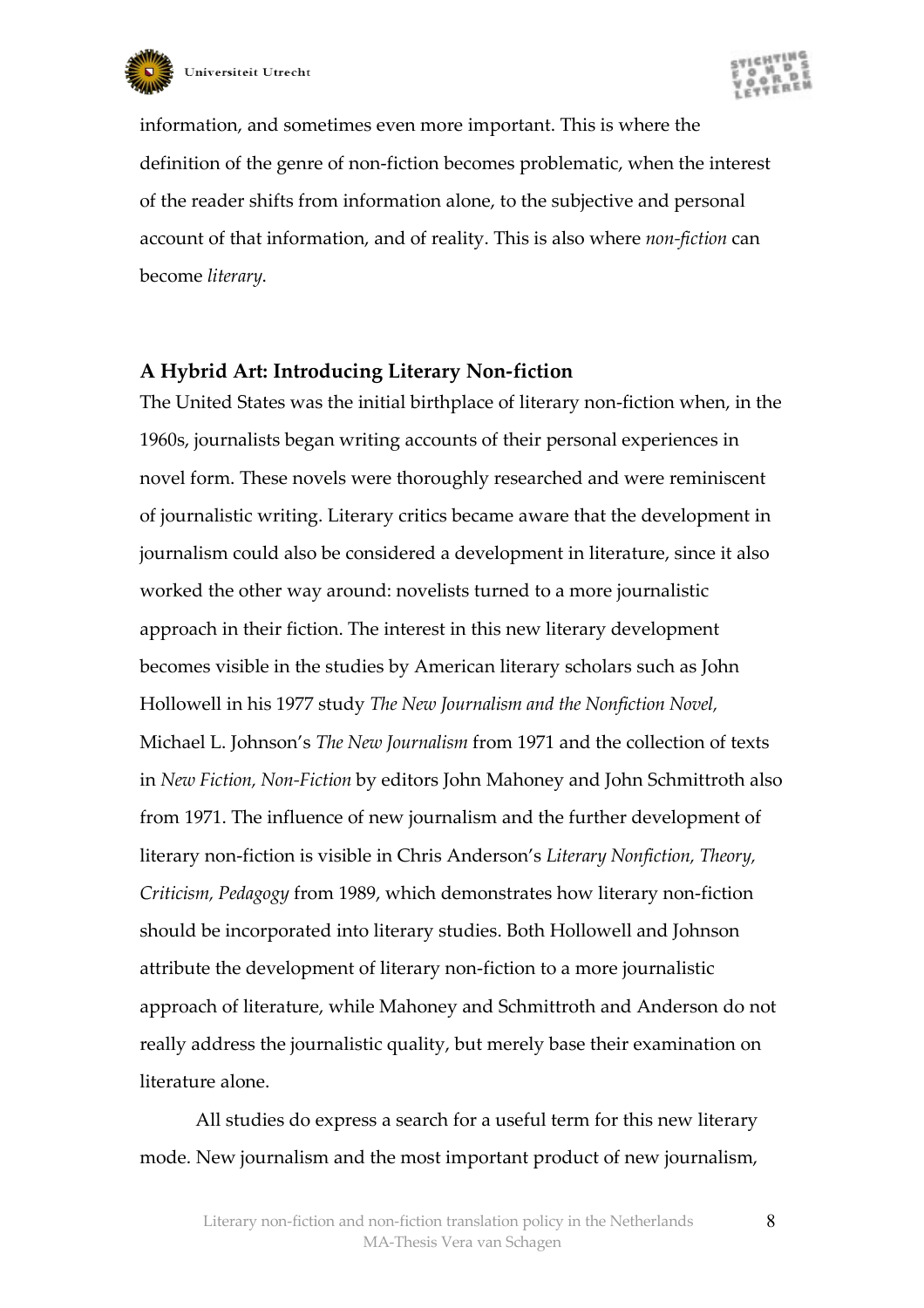

information, and sometimes even more important. This is where the definition of the genre of non-fiction becomes problematic, when the interest of the reader shifts from information alone, to the subjective and personal account of that information, and of reality. This is also where *non-fiction* can become *literary*.

#### <span id="page-9-0"></span>**A Hybrid Art: Introducing Literary Non-fiction**

The United States was the initial birthplace of literary non-fiction when, in the 1960s, journalists began writing accounts of their personal experiences in novel form. These novels were thoroughly researched and were reminiscent of journalistic writing. Literary critics became aware that the development in journalism could also be considered a development in literature, since it also worked the other way around: novelists turned to a more journalistic approach in their fiction. The interest in this new literary development becomes visible in the studies by American literary scholars such as John Hollowell in his 1977 study *The New Journalism and the Nonfiction Novel,* Michael L. Johnson's *The New Journalism* from 1971 and the collection of texts in *New Fiction, Non-Fiction* by editors John Mahoney and John Schmittroth also from 1971. The influence of new journalism and the further development of literary non-fiction is visible in Chris Anderson's *Literary Nonfiction, Theory, Criticism, Pedagogy* from 1989, which demonstrates how literary non-fiction should be incorporated into literary studies. Both Hollowell and Johnson attribute the development of literary non-fiction to a more journalistic approach of literature, while Mahoney and Schmittroth and Anderson do not really address the journalistic quality, but merely base their examination on literature alone.

All studies do express a search for a useful term for this new literary mode. New journalism and the most important product of new journalism,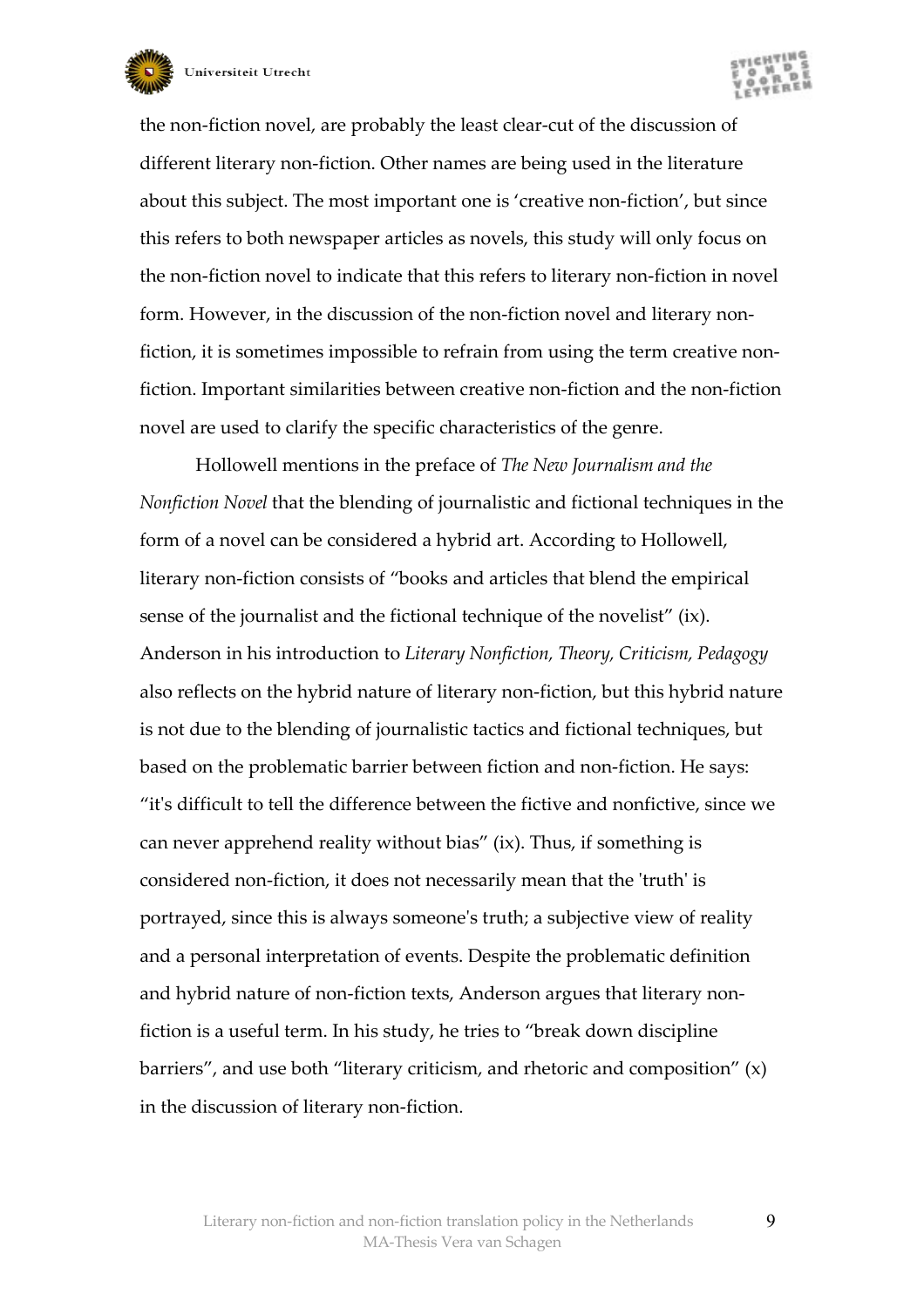

the non-fiction novel, are probably the least clear-cut of the discussion of different literary non-fiction. Other names are being used in the literature about this subject. The most important one is 'creative non-fiction', but since this refers to both newspaper articles as novels, this study will only focus on the non-fiction novel to indicate that this refers to literary non-fiction in novel form. However, in the discussion of the non-fiction novel and literary nonfiction, it is sometimes impossible to refrain from using the term creative nonfiction. Important similarities between creative non-fiction and the non-fiction novel are used to clarify the specific characteristics of the genre.

Hollowell mentions in the preface of *The New Journalism and the Nonfiction Novel* that the blending of journalistic and fictional techniques in the form of a novel can be considered a hybrid art. According to Hollowell, literary non-fiction consists of "books and articles that blend the empirical sense of the journalist and the fictional technique of the novelist" (ix). Anderson in his introduction to *Literary Nonfiction, Theory, Criticism, Pedagogy* also reflects on the hybrid nature of literary non-fiction, but this hybrid nature is not due to the blending of journalistic tactics and fictional techniques, but based on the problematic barrier between fiction and non-fiction. He says: "it's difficult to tell the difference between the fictive and nonfictive, since we can never apprehend reality without bias" (ix). Thus, if something is considered non-fiction, it does not necessarily mean that the 'truth' is portrayed, since this is always someone's truth; a subjective view of reality and a personal interpretation of events. Despite the problematic definition and hybrid nature of non-fiction texts, Anderson argues that literary nonfiction is a useful term. In his study, he tries to "break down discipline barriers", and use both "literary criticism, and rhetoric and composition" (x) in the discussion of literary non-fiction.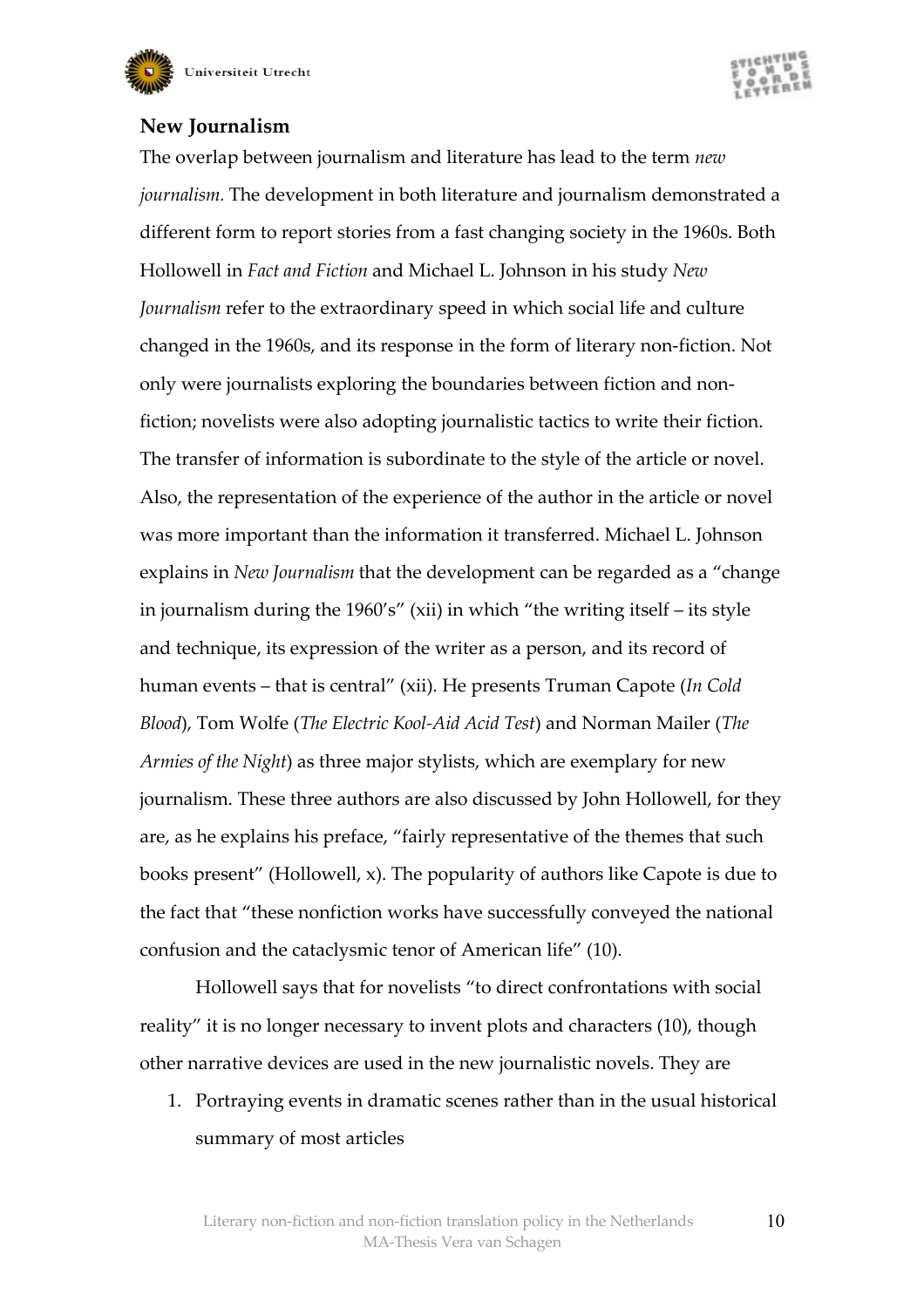

#### <span id="page-11-0"></span>**New Journalism**

The overlap between journalism and literature has lead to the term *new journalism.* The development in both literature and journalism demonstrated a different form to report stories from a fast changing society in the 1960s. Both Hollowell in *Fact and Fiction* and Michael L. Johnson in his study *New Journalism* refer to the extraordinary speed in which social life and culture changed in the 1960s, and its response in the form of literary non-fiction. Not only were journalists exploring the boundaries between fiction and nonfiction; novelists were also adopting journalistic tactics to write their fiction. The transfer of information is subordinate to the style of the article or novel. Also, the representation of the experience of the author in the article or novel was more important than the information it transferred. Michael L. Johnson explains in *New Journalism* that the development can be regarded as a "change in journalism during the 1960's" (xii) in which "the writing itself – its style and technique, its expression of the writer as a person, and its record of human events – that is central" (xii). He presents Truman Capote (*In Cold Blood*), Tom Wolfe (*The Electric Kool-Aid Acid Test*) and Norman Mailer (*The Armies of the Night*) as three major stylists, which are exemplary for new journalism. These three authors are also discussed by John Hollowell, for they are, as he explains his preface, "fairly representative of the themes that such books present" (Hollowell, x). The popularity of authors like Capote is due to the fact that "these nonfiction works have successfully conveyed the national confusion and the cataclysmic tenor of American life" (10).

Hollowell says that for novelists "to direct confrontations with social reality" it is no longer necessary to invent plots and characters (10), though other narrative devices are used in the new journalistic novels. They are

1. Portraying events in dramatic scenes rather than in the usual historical summary of most articles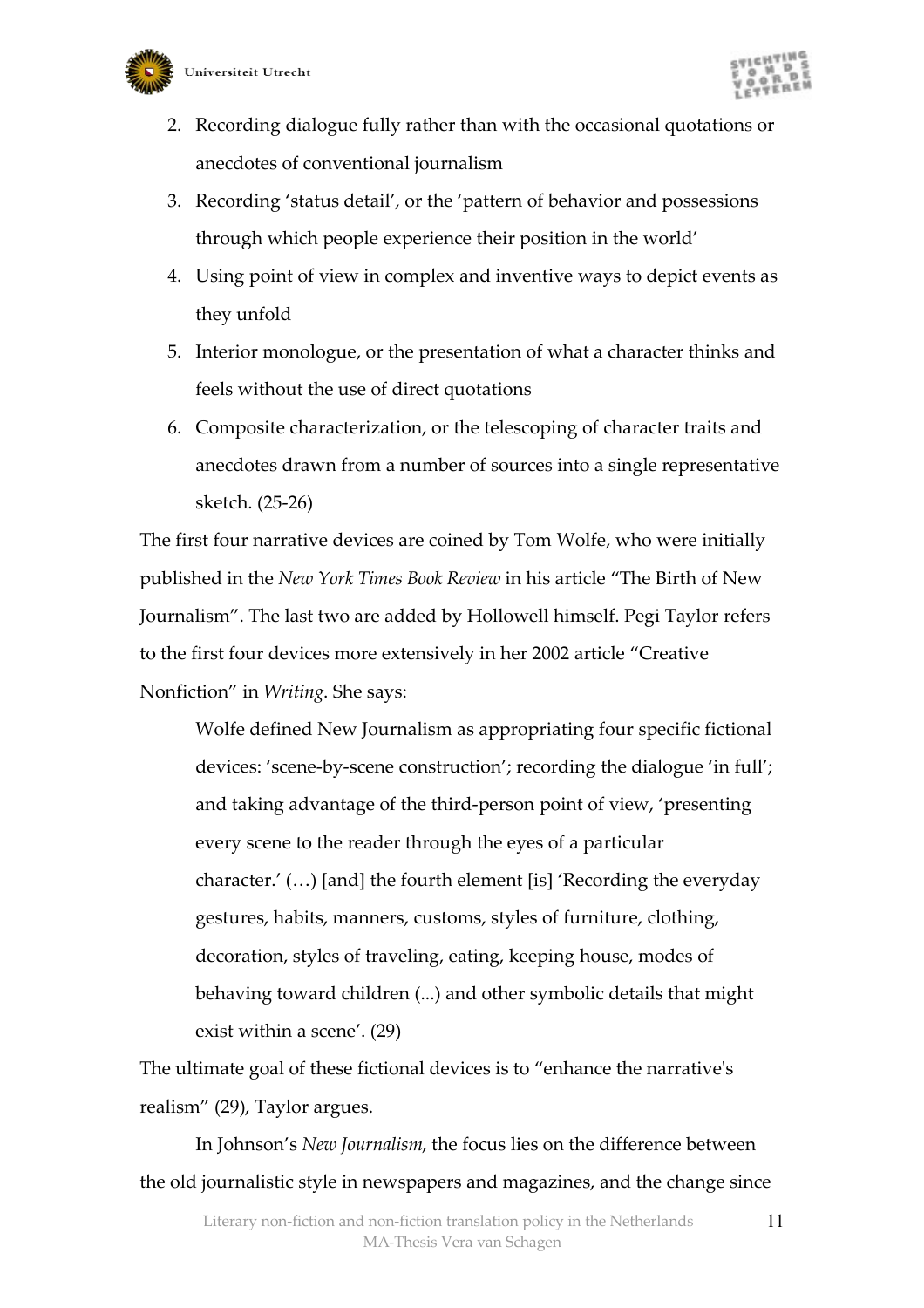

- 2. Recording dialogue fully rather than with the occasional quotations or anecdotes of conventional journalism
- 3. Recording 'status detail', or the 'pattern of behavior and possessions through which people experience their position in the world'
- 4. Using point of view in complex and inventive ways to depict events as they unfold
- 5. Interior monologue, or the presentation of what a character thinks and feels without the use of direct quotations
- 6. Composite characterization, or the telescoping of character traits and anecdotes drawn from a number of sources into a single representative sketch. (25-26)

The first four narrative devices are coined by Tom Wolfe, who were initially published in the *New York Times Book Review* in his article "The Birth of New Journalism". The last two are added by Hollowell himself. Pegi Taylor refers to the first four devices more extensively in her 2002 article "Creative Nonfiction" in *Writing*. She says:

Wolfe defined New Journalism as appropriating four specific fictional devices: 'scene-by-scene construction'; recording the dialogue 'in full'; and taking advantage of the third-person point of view, 'presenting every scene to the reader through the eyes of a particular character.' (…) [and] the fourth element [is] 'Recording the everyday gestures, habits, manners, customs, styles of furniture, clothing, decoration, styles of traveling, eating, keeping house, modes of behaving toward children (...) and other symbolic details that might exist within a scene'. (29)

The ultimate goal of these fictional devices is to "enhance the narrative's realism" (29), Taylor argues.

In Johnson's *New Journalism*, the focus lies on the difference between the old journalistic style in newspapers and magazines, and the change since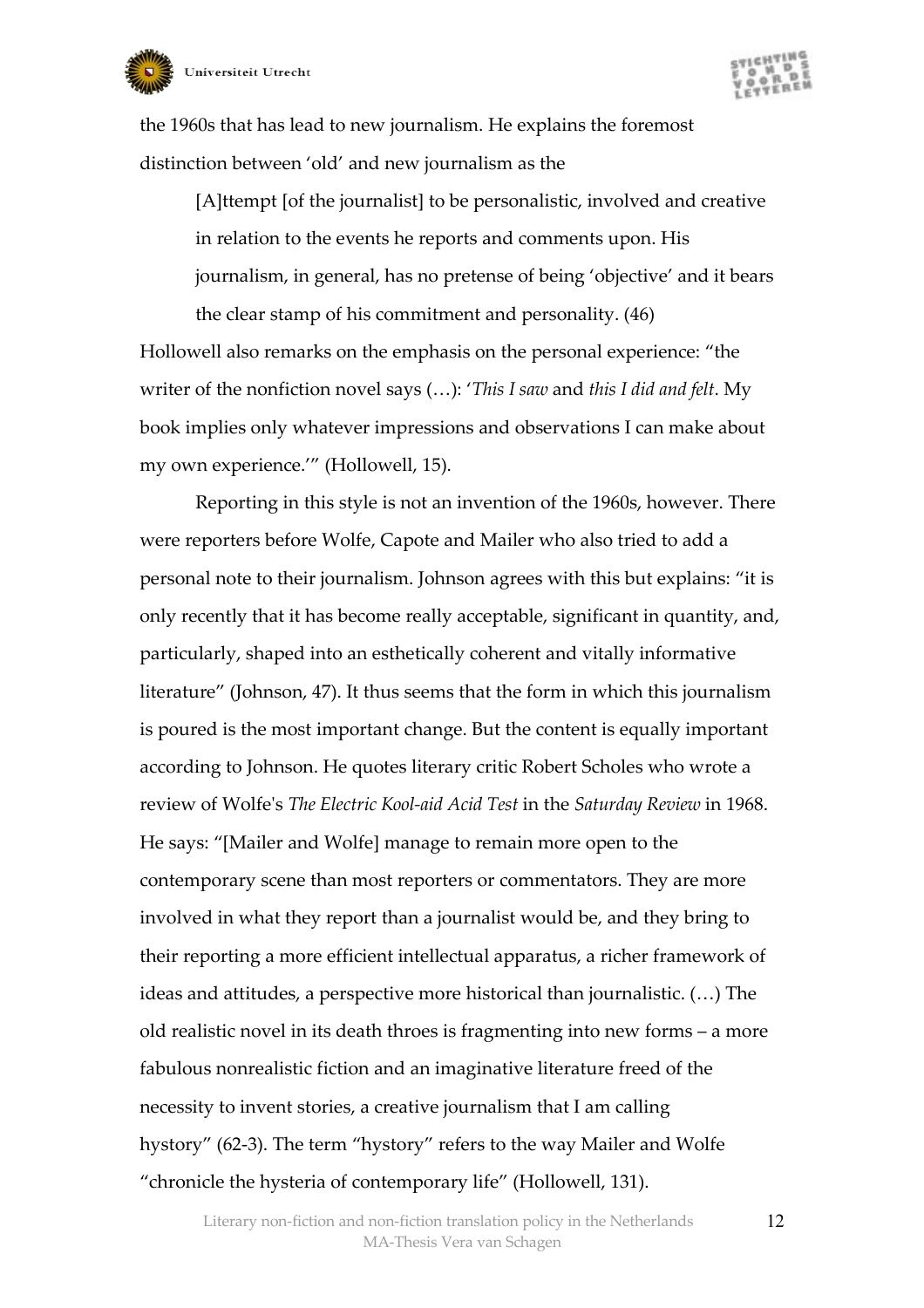

the 1960s that has lead to new journalism. He explains the foremost distinction between 'old' and new journalism as the

[A]ttempt [of the journalist] to be personalistic, involved and creative in relation to the events he reports and comments upon. His journalism, in general, has no pretense of being 'objective' and it bears the clear stamp of his commitment and personality. (46) Hollowell also remarks on the emphasis on the personal experience: "the writer of the nonfiction novel says (…): '*This I saw* and *this I did and felt*. My

book implies only whatever impressions and observations I can make about my own experience.'" (Hollowell, 15).

Reporting in this style is not an invention of the 1960s, however. There were reporters before Wolfe, Capote and Mailer who also tried to add a personal note to their journalism. Johnson agrees with this but explains: "it is only recently that it has become really acceptable, significant in quantity, and, particularly, shaped into an esthetically coherent and vitally informative literature" (Johnson, 47). It thus seems that the form in which this journalism is poured is the most important change. But the content is equally important according to Johnson. He quotes literary critic Robert Scholes who wrote a review of Wolfe's *The Electric Kool-aid Acid Test* in the *Saturday Review* in 1968. He says: "[Mailer and Wolfe] manage to remain more open to the contemporary scene than most reporters or commentators. They are more involved in what they report than a journalist would be, and they bring to their reporting a more efficient intellectual apparatus, a richer framework of ideas and attitudes, a perspective more historical than journalistic. (…) The old realistic novel in its death throes is fragmenting into new forms – a more fabulous nonrealistic fiction and an imaginative literature freed of the necessity to invent stories, a creative journalism that I am calling hystory" (62-3). The term "hystory" refers to the way Mailer and Wolfe "chronicle the hysteria of contemporary life" (Hollowell, 131).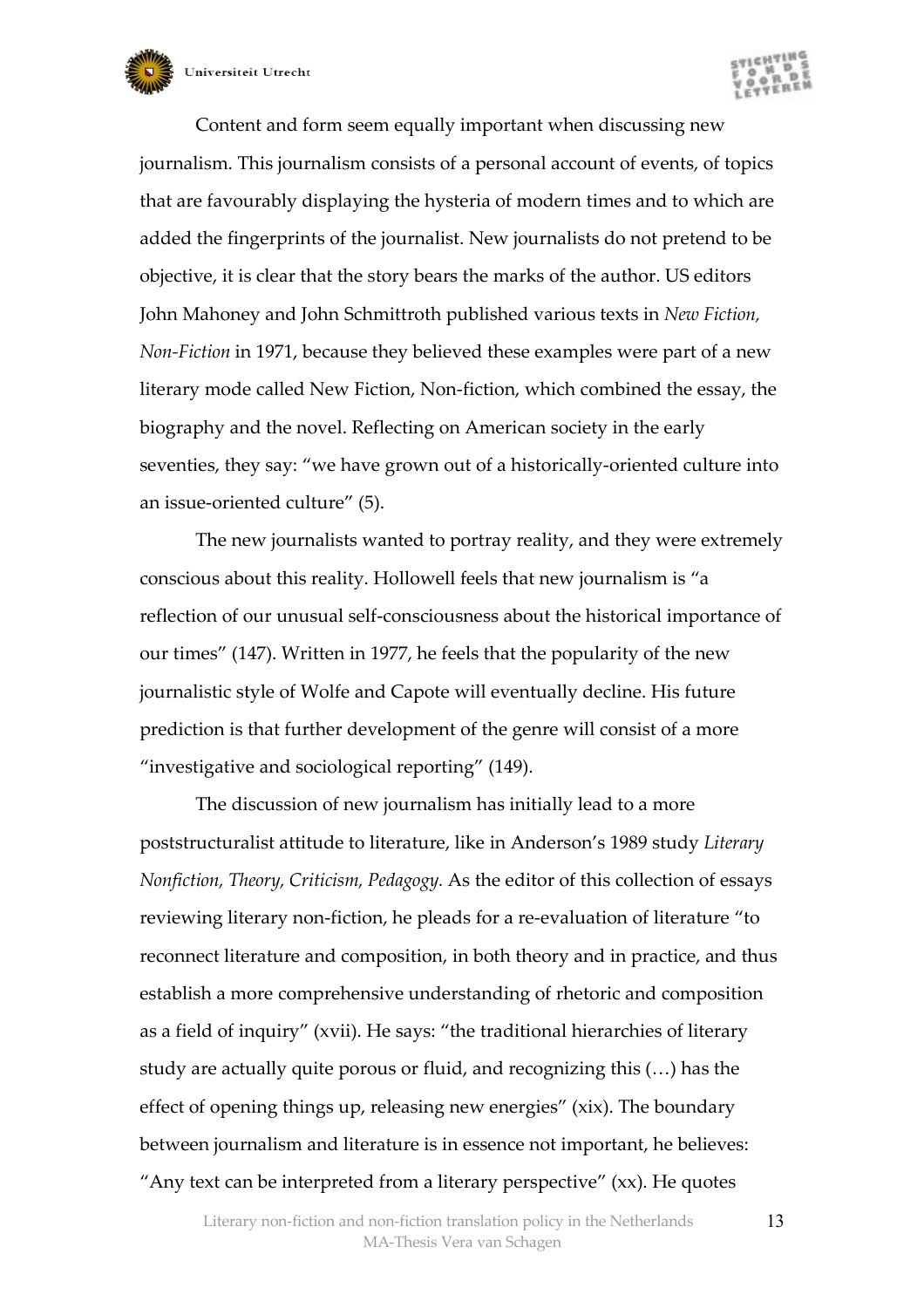

Content and form seem equally important when discussing new journalism. This journalism consists of a personal account of events, of topics that are favourably displaying the hysteria of modern times and to which are added the fingerprints of the journalist. New journalists do not pretend to be objective, it is clear that the story bears the marks of the author. US editors John Mahoney and John Schmittroth published various texts in *New Fiction, Non-Fiction* in 1971, because they believed these examples were part of a new literary mode called New Fiction, Non-fiction, which combined the essay, the biography and the novel. Reflecting on American society in the early seventies, they say: "we have grown out of a historically-oriented culture into an issue-oriented culture" (5).

The new journalists wanted to portray reality, and they were extremely conscious about this reality. Hollowell feels that new journalism is "a reflection of our unusual self-consciousness about the historical importance of our times" (147). Written in 1977, he feels that the popularity of the new journalistic style of Wolfe and Capote will eventually decline. His future prediction is that further development of the genre will consist of a more "investigative and sociological reporting" (149).

The discussion of new journalism has initially lead to a more poststructuralist attitude to literature, like in Anderson's 1989 study *Literary Nonfiction, Theory, Criticism, Pedagogy.* As the editor of this collection of essays reviewing literary non-fiction, he pleads for a re-evaluation of literature "to reconnect literature and composition, in both theory and in practice, and thus establish a more comprehensive understanding of rhetoric and composition as a field of inquiry" (xvii). He says: "the traditional hierarchies of literary study are actually quite porous or fluid, and recognizing this (…) has the effect of opening things up, releasing new energies" (xix). The boundary between journalism and literature is in essence not important, he believes: "Any text can be interpreted from a literary perspective" (xx). He quotes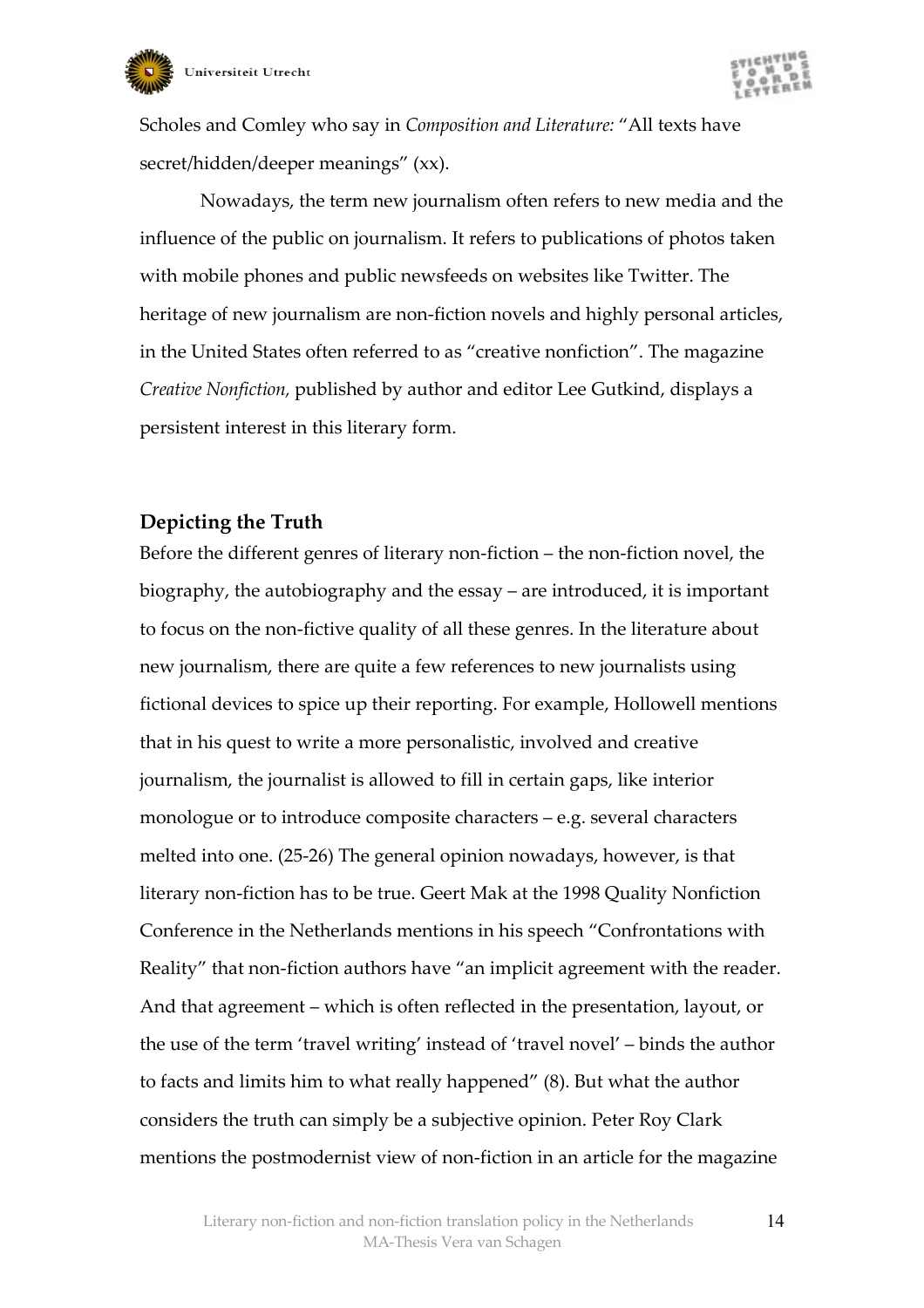

Scholes and Comley who say in *Composition and Literature:* "All texts have secret/hidden/deeper meanings" (xx).

Nowadays, the term new journalism often refers to new media and the influence of the public on journalism. It refers to publications of photos taken with mobile phones and public newsfeeds on websites like Twitter. The heritage of new journalism are non-fiction novels and highly personal articles, in the United States often referred to as "creative nonfiction". The magazine *Creative Nonfiction,* published by author and editor Lee Gutkind, displays a persistent interest in this literary form.

#### <span id="page-15-0"></span>**Depicting the Truth**

Before the different genres of literary non-fiction – the non-fiction novel, the biography, the autobiography and the essay – are introduced, it is important to focus on the non-fictive quality of all these genres. In the literature about new journalism, there are quite a few references to new journalists using fictional devices to spice up their reporting. For example, Hollowell mentions that in his quest to write a more personalistic, involved and creative journalism, the journalist is allowed to fill in certain gaps, like interior monologue or to introduce composite characters – e.g. several characters melted into one. (25-26) The general opinion nowadays, however, is that literary non-fiction has to be true. Geert Mak at the 1998 Quality Nonfiction Conference in the Netherlands mentions in his speech "Confrontations with Reality" that non-fiction authors have "an implicit agreement with the reader. And that agreement – which is often reflected in the presentation, layout, or the use of the term 'travel writing' instead of 'travel novel' – binds the author to facts and limits him to what really happened" (8). But what the author considers the truth can simply be a subjective opinion. Peter Roy Clark mentions the postmodernist view of non-fiction in an article for the magazine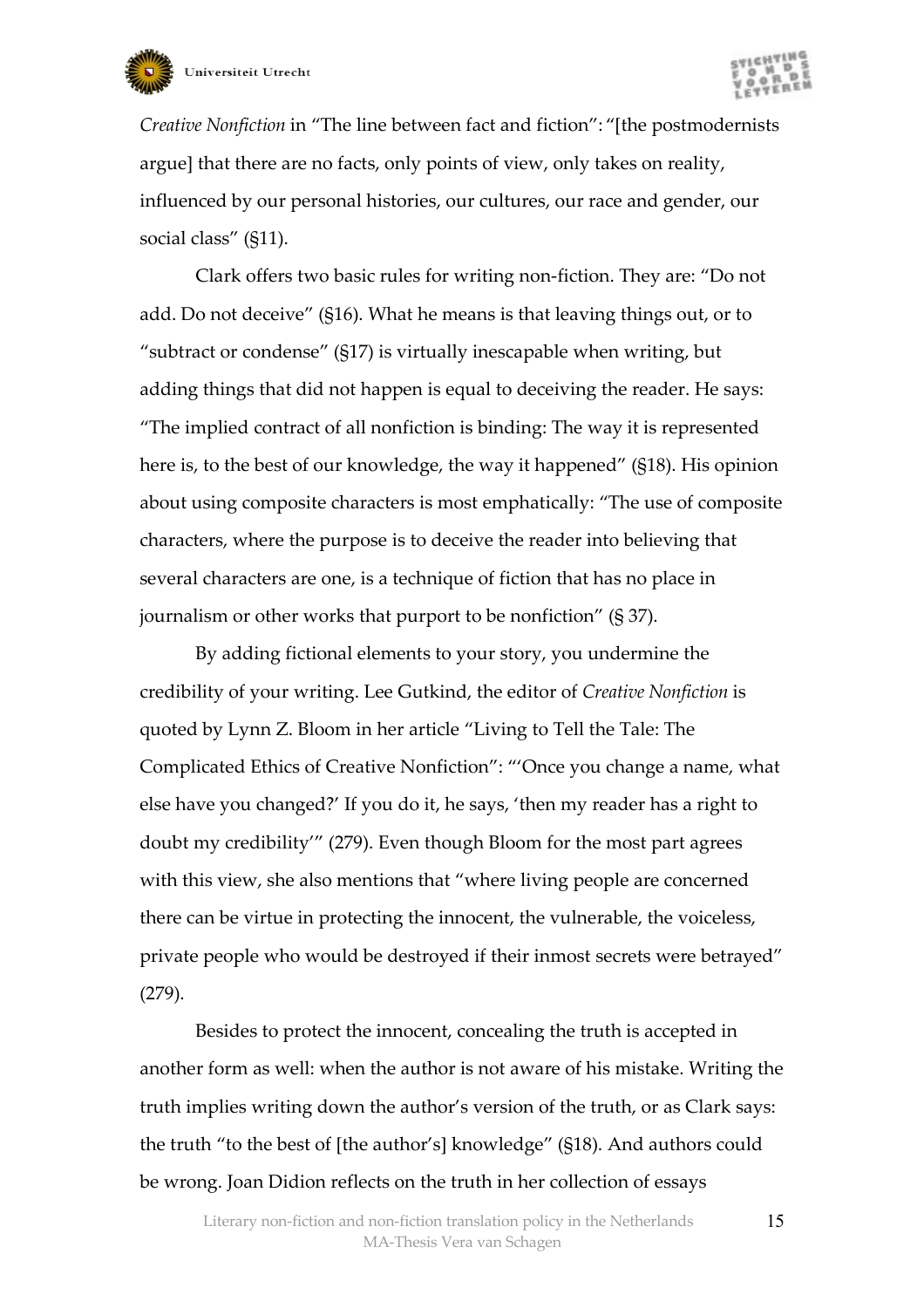

*Creative Nonfiction* in "The line between fact and fiction": "[the postmodernists argue] that there are no facts, only points of view, only takes on reality, influenced by our personal histories, our cultures, our race and gender, our social class" (§11).

Clark offers two basic rules for writing non-fiction. They are: "Do not add. Do not deceive" (§16). What he means is that leaving things out, or to "subtract or condense" (§17) is virtually inescapable when writing, but adding things that did not happen is equal to deceiving the reader. He says: "The implied contract of all nonfiction is binding: The way it is represented here is, to the best of our knowledge, the way it happened" (§18). His opinion about using composite characters is most emphatically: "The use of composite characters, where the purpose is to deceive the reader into believing that several characters are one, is a technique of fiction that has no place in journalism or other works that purport to be nonfiction" (§ 37).

By adding fictional elements to your story, you undermine the credibility of your writing. Lee Gutkind, the editor of *Creative Nonfiction* is quoted by Lynn Z. Bloom in her article "Living to Tell the Tale: The Complicated Ethics of Creative Nonfiction": "'Once you change a name, what else have you changed?' If you do it, he says, 'then my reader has a right to doubt my credibility'" (279). Even though Bloom for the most part agrees with this view, she also mentions that "where living people are concerned there can be virtue in protecting the innocent, the vulnerable, the voiceless, private people who would be destroyed if their inmost secrets were betrayed" (279).

Besides to protect the innocent, concealing the truth is accepted in another form as well: when the author is not aware of his mistake. Writing the truth implies writing down the author's version of the truth, or as Clark says: the truth "to the best of [the author's] knowledge" (§18). And authors could be wrong. Joan Didion reflects on the truth in her collection of essays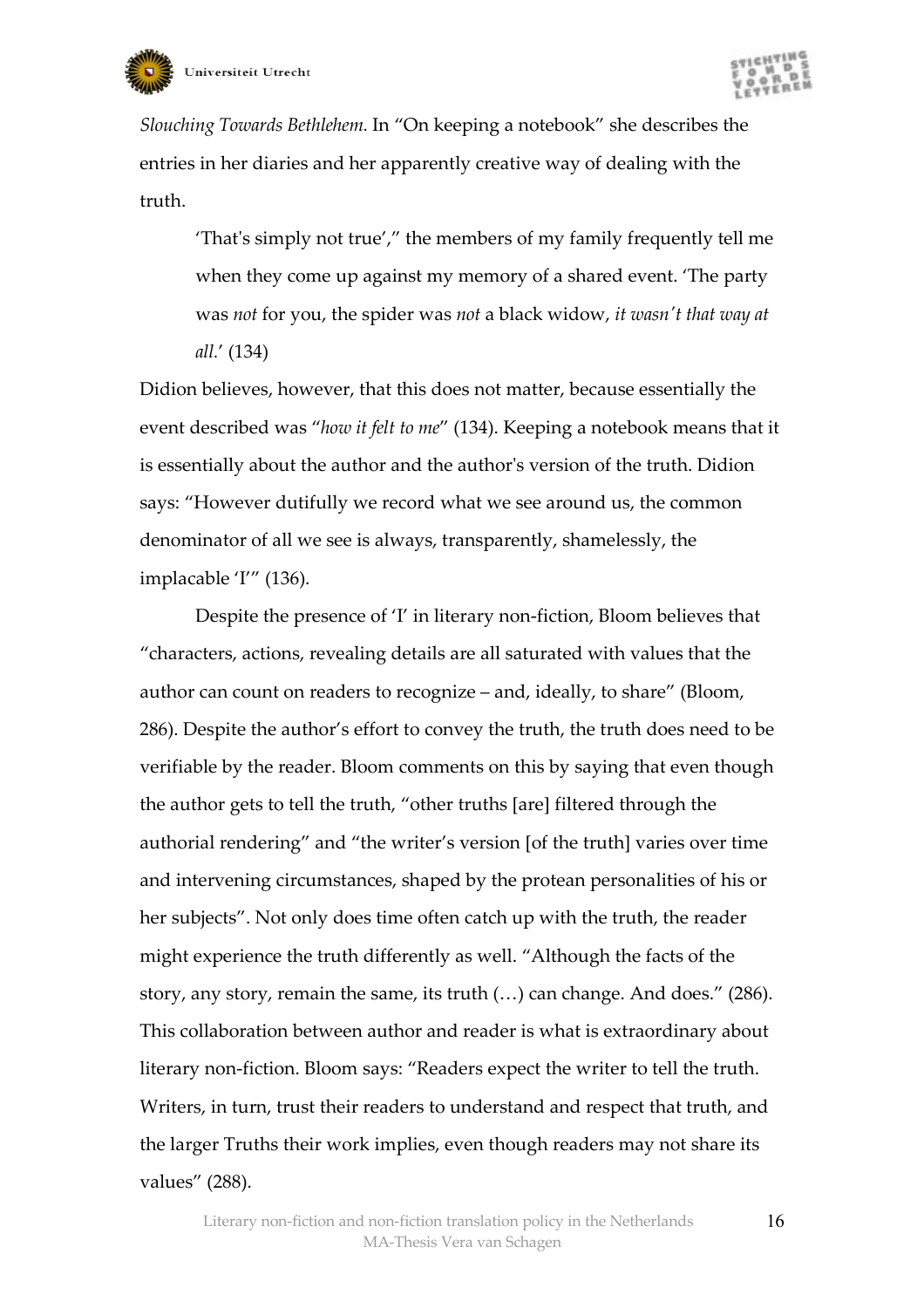

*Slouching Towards Bethlehem.* In "On keeping a notebook" she describes the entries in her diaries and her apparently creative way of dealing with the truth.

'That's simply not true'," the members of my family frequently tell me when they come up against my memory of a shared event. 'The party was *not* for you, the spider was *not* a black widow, *it wasn't that way at all.*' (134)

Didion believes, however, that this does not matter, because essentially the event described was "*how it felt to me*" (134). Keeping a notebook means that it is essentially about the author and the author's version of the truth. Didion says: "However dutifully we record what we see around us, the common denominator of all we see is always, transparently, shamelessly, the implacable 'I'" (136).

Despite the presence of 'I' in literary non-fiction, Bloom believes that "characters, actions, revealing details are all saturated with values that the author can count on readers to recognize – and, ideally, to share" (Bloom, 286). Despite the author's effort to convey the truth, the truth does need to be verifiable by the reader. Bloom comments on this by saying that even though the author gets to tell the truth, "other truths [are] filtered through the authorial rendering" and "the writer's version [of the truth] varies over time and intervening circumstances, shaped by the protean personalities of his or her subjects". Not only does time often catch up with the truth, the reader might experience the truth differently as well. "Although the facts of the story, any story, remain the same, its truth (…) can change. And does." (286). This collaboration between author and reader is what is extraordinary about literary non-fiction. Bloom says: "Readers expect the writer to tell the truth. Writers, in turn, trust their readers to understand and respect that truth, and the larger Truths their work implies, even though readers may not share its values" (288).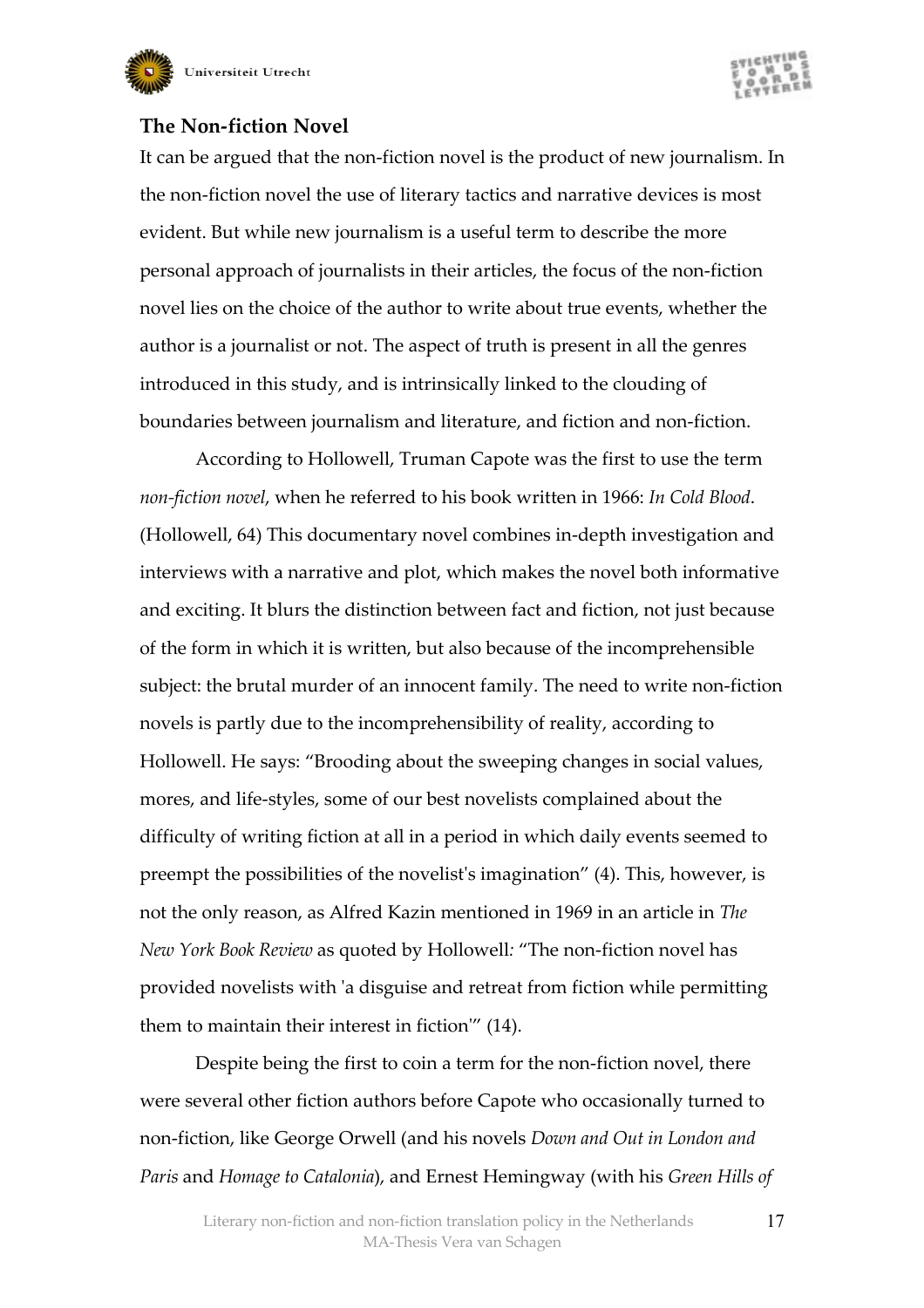

#### <span id="page-18-0"></span>**The Non-fiction Novel**

It can be argued that the non-fiction novel is the product of new journalism. In the non-fiction novel the use of literary tactics and narrative devices is most evident. But while new journalism is a useful term to describe the more personal approach of journalists in their articles, the focus of the non-fiction novel lies on the choice of the author to write about true events, whether the author is a journalist or not. The aspect of truth is present in all the genres introduced in this study, and is intrinsically linked to the clouding of boundaries between journalism and literature, and fiction and non-fiction.

According to Hollowell, Truman Capote was the first to use the term *non-fiction novel*, when he referred to his book written in 1966: *In Cold Blood*. (Hollowell, 64) This documentary novel combines in-depth investigation and interviews with a narrative and plot, which makes the novel both informative and exciting. It blurs the distinction between fact and fiction, not just because of the form in which it is written, but also because of the incomprehensible subject: the brutal murder of an innocent family. The need to write non-fiction novels is partly due to the incomprehensibility of reality, according to Hollowell. He says: "Brooding about the sweeping changes in social values, mores, and life-styles, some of our best novelists complained about the difficulty of writing fiction at all in a period in which daily events seemed to preempt the possibilities of the novelist's imagination" (4). This, however, is not the only reason, as Alfred Kazin mentioned in 1969 in an article in *The New York Book Review* as quoted by Hollowell*:* "The non-fiction novel has provided novelists with 'a disguise and retreat from fiction while permitting them to maintain their interest in fiction'" (14).

Despite being the first to coin a term for the non-fiction novel, there were several other fiction authors before Capote who occasionally turned to non-fiction, like George Orwell (and his novels *Down and Out in London and Paris* and *Homage to Catalonia*), and Ernest Hemingway (with his *Green Hills of*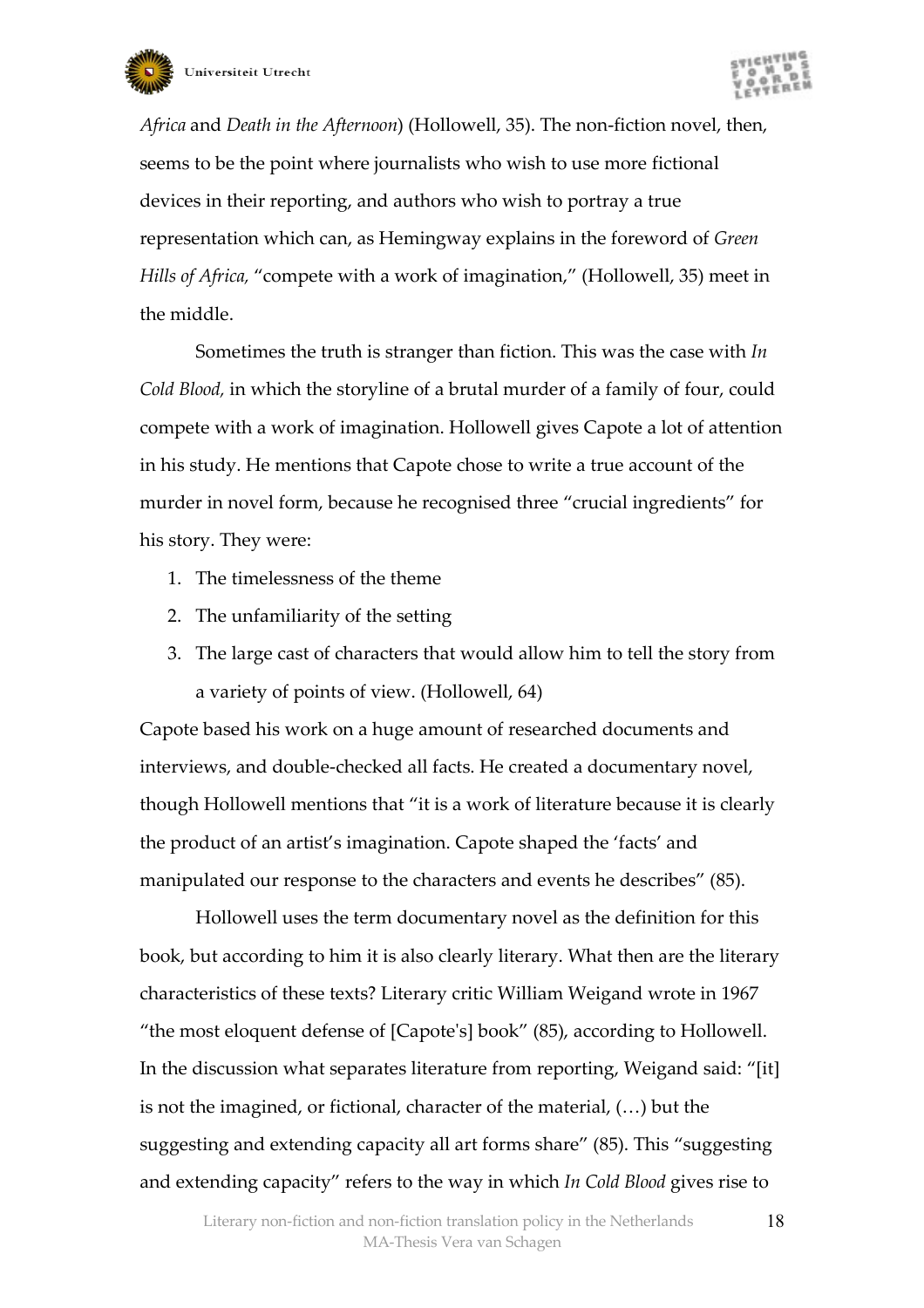

*Africa* and *Death in the Afternoon*) (Hollowell, 35). The non-fiction novel, then, seems to be the point where journalists who wish to use more fictional devices in their reporting, and authors who wish to portray a true representation which can, as Hemingway explains in the foreword of *Green Hills of Africa,* "compete with a work of imagination," (Hollowell, 35) meet in the middle.

Sometimes the truth is stranger than fiction. This was the case with *In Cold Blood,* in which the storyline of a brutal murder of a family of four, could compete with a work of imagination. Hollowell gives Capote a lot of attention in his study. He mentions that Capote chose to write a true account of the murder in novel form, because he recognised three "crucial ingredients" for his story. They were:

- 1. The timelessness of the theme
- 2. The unfamiliarity of the setting
- 3. The large cast of characters that would allow him to tell the story from a variety of points of view. (Hollowell, 64)

Capote based his work on a huge amount of researched documents and interviews, and double-checked all facts. He created a documentary novel, though Hollowell mentions that "it is a work of literature because it is clearly the product of an artist's imagination. Capote shaped the 'facts' and manipulated our response to the characters and events he describes" (85).

Hollowell uses the term documentary novel as the definition for this book, but according to him it is also clearly literary. What then are the literary characteristics of these texts? Literary critic William Weigand wrote in 1967 "the most eloquent defense of [Capote's] book" (85), according to Hollowell. In the discussion what separates literature from reporting, Weigand said: "[it] is not the imagined, or fictional, character of the material, (…) but the suggesting and extending capacity all art forms share" (85). This "suggesting and extending capacity" refers to the way in which *In Cold Blood* gives rise to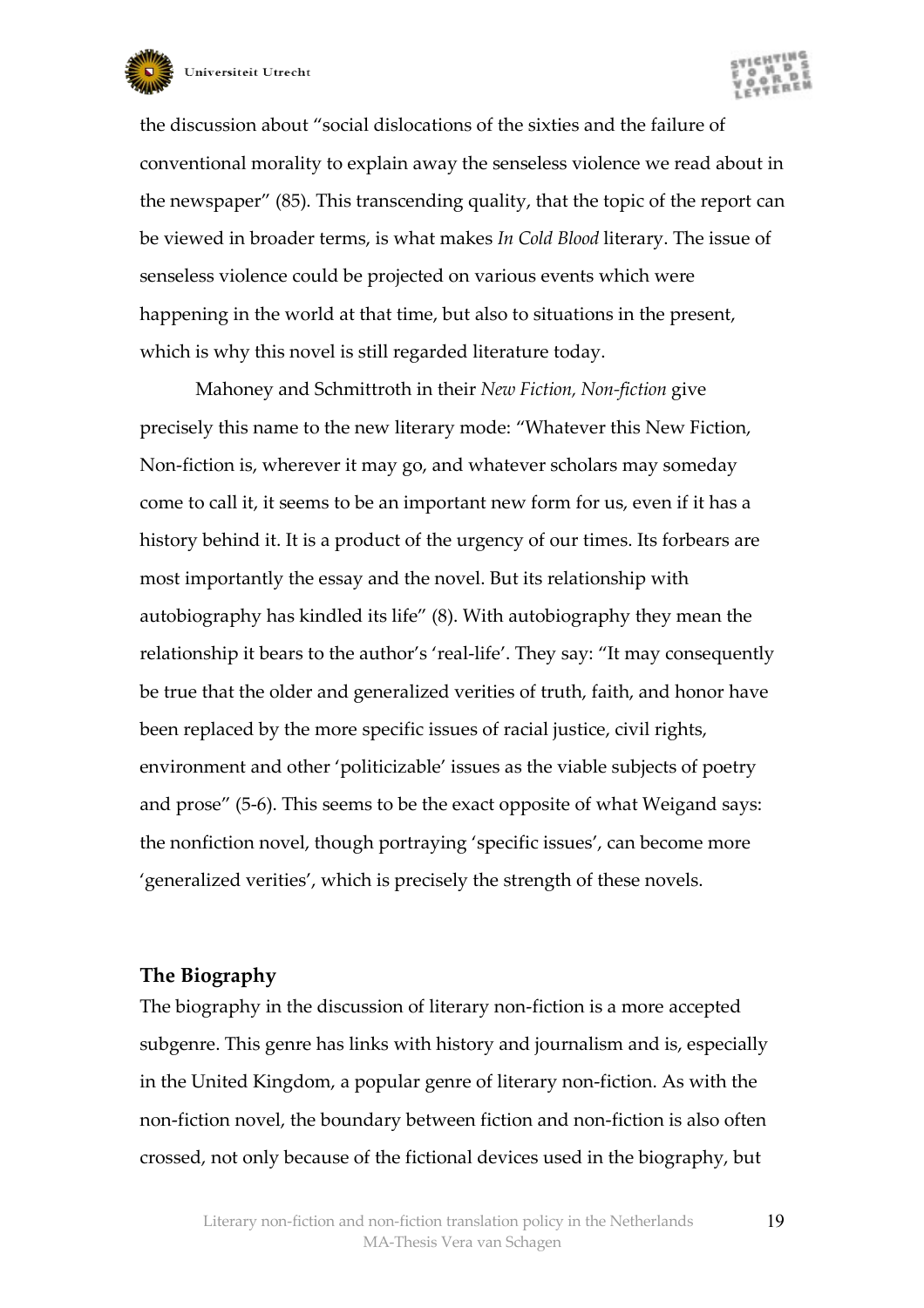

the discussion about "social dislocations of the sixties and the failure of conventional morality to explain away the senseless violence we read about in the newspaper" (85). This transcending quality, that the topic of the report can be viewed in broader terms, is what makes *In Cold Blood* literary. The issue of senseless violence could be projected on various events which were happening in the world at that time, but also to situations in the present, which is why this novel is still regarded literature today.

Mahoney and Schmittroth in their *New Fiction, Non-fiction* give precisely this name to the new literary mode: "Whatever this New Fiction, Non-fiction is, wherever it may go, and whatever scholars may someday come to call it, it seems to be an important new form for us, even if it has a history behind it. It is a product of the urgency of our times. Its forbears are most importantly the essay and the novel. But its relationship with autobiography has kindled its life" (8). With autobiography they mean the relationship it bears to the author's 'real-life'. They say: "It may consequently be true that the older and generalized verities of truth, faith, and honor have been replaced by the more specific issues of racial justice, civil rights, environment and other 'politicizable' issues as the viable subjects of poetry and prose" (5-6). This seems to be the exact opposite of what Weigand says: the nonfiction novel, though portraying 'specific issues', can become more 'generalized verities', which is precisely the strength of these novels.

#### <span id="page-20-0"></span>**The Biography**

The biography in the discussion of literary non-fiction is a more accepted subgenre. This genre has links with history and journalism and is, especially in the United Kingdom, a popular genre of literary non-fiction. As with the non-fiction novel, the boundary between fiction and non-fiction is also often crossed, not only because of the fictional devices used in the biography, but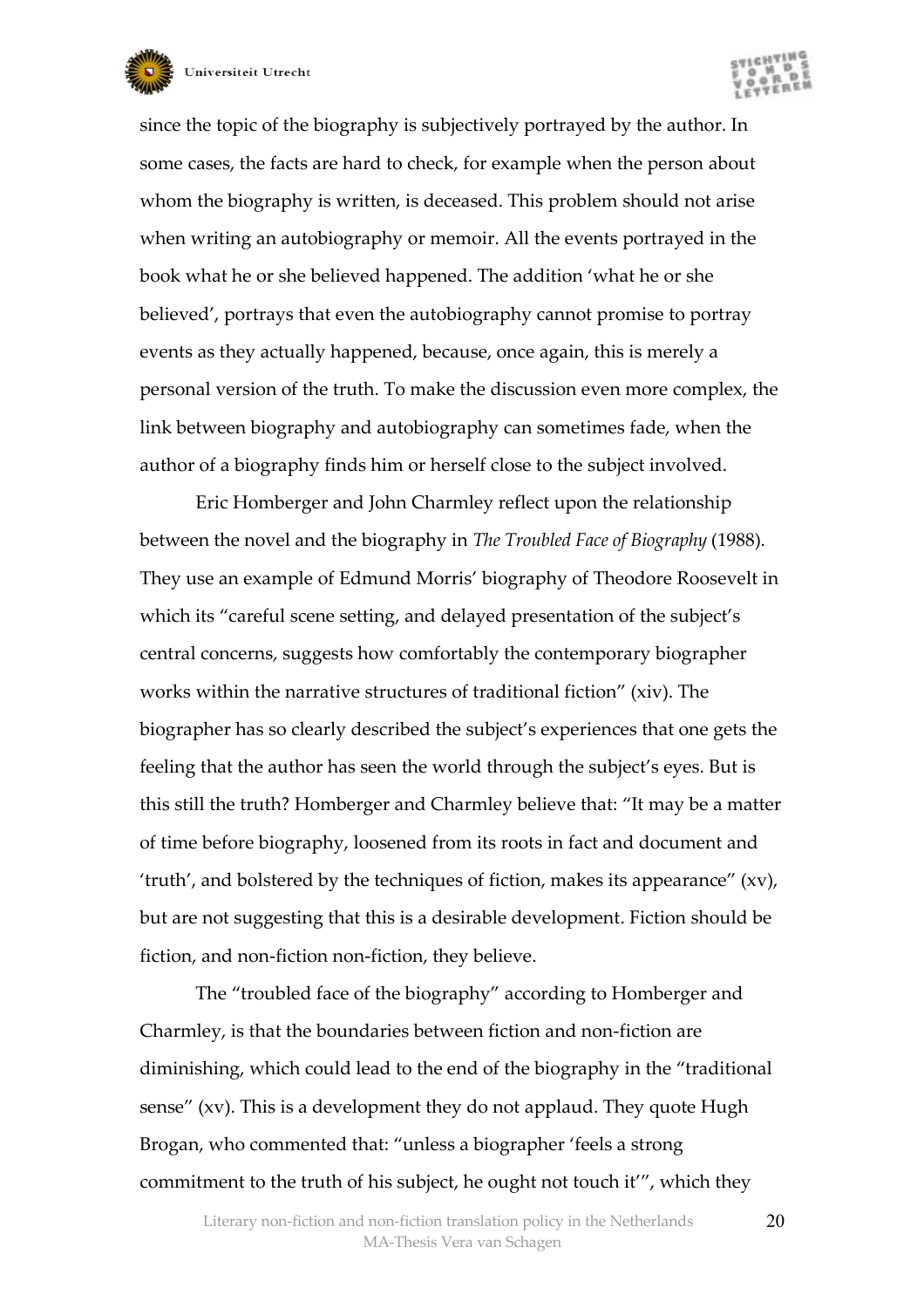

**TICHTING** 

since the topic of the biography is subjectively portrayed by the author. In some cases, the facts are hard to check, for example when the person about whom the biography is written, is deceased. This problem should not arise when writing an autobiography or memoir. All the events portrayed in the book what he or she believed happened. The addition 'what he or she believed', portrays that even the autobiography cannot promise to portray events as they actually happened, because, once again, this is merely a personal version of the truth. To make the discussion even more complex, the link between biography and autobiography can sometimes fade, when the author of a biography finds him or herself close to the subject involved.

Eric Homberger and John Charmley reflect upon the relationship between the novel and the biography in *The Troubled Face of Biography* (1988). They use an example of Edmund Morris' biography of Theodore Roosevelt in which its "careful scene setting, and delayed presentation of the subject's central concerns, suggests how comfortably the contemporary biographer works within the narrative structures of traditional fiction" (xiv). The biographer has so clearly described the subject's experiences that one gets the feeling that the author has seen the world through the subject's eyes. But is this still the truth? Homberger and Charmley believe that: "It may be a matter of time before biography, loosened from its roots in fact and document and 'truth', and bolstered by the techniques of fiction, makes its appearance" (xv), but are not suggesting that this is a desirable development. Fiction should be fiction, and non-fiction non-fiction, they believe.

The "troubled face of the biography" according to Homberger and Charmley, is that the boundaries between fiction and non-fiction are diminishing, which could lead to the end of the biography in the "traditional sense" (xv). This is a development they do not applaud. They quote Hugh Brogan, who commented that: "unless a biographer 'feels a strong commitment to the truth of his subject, he ought not touch it'", which they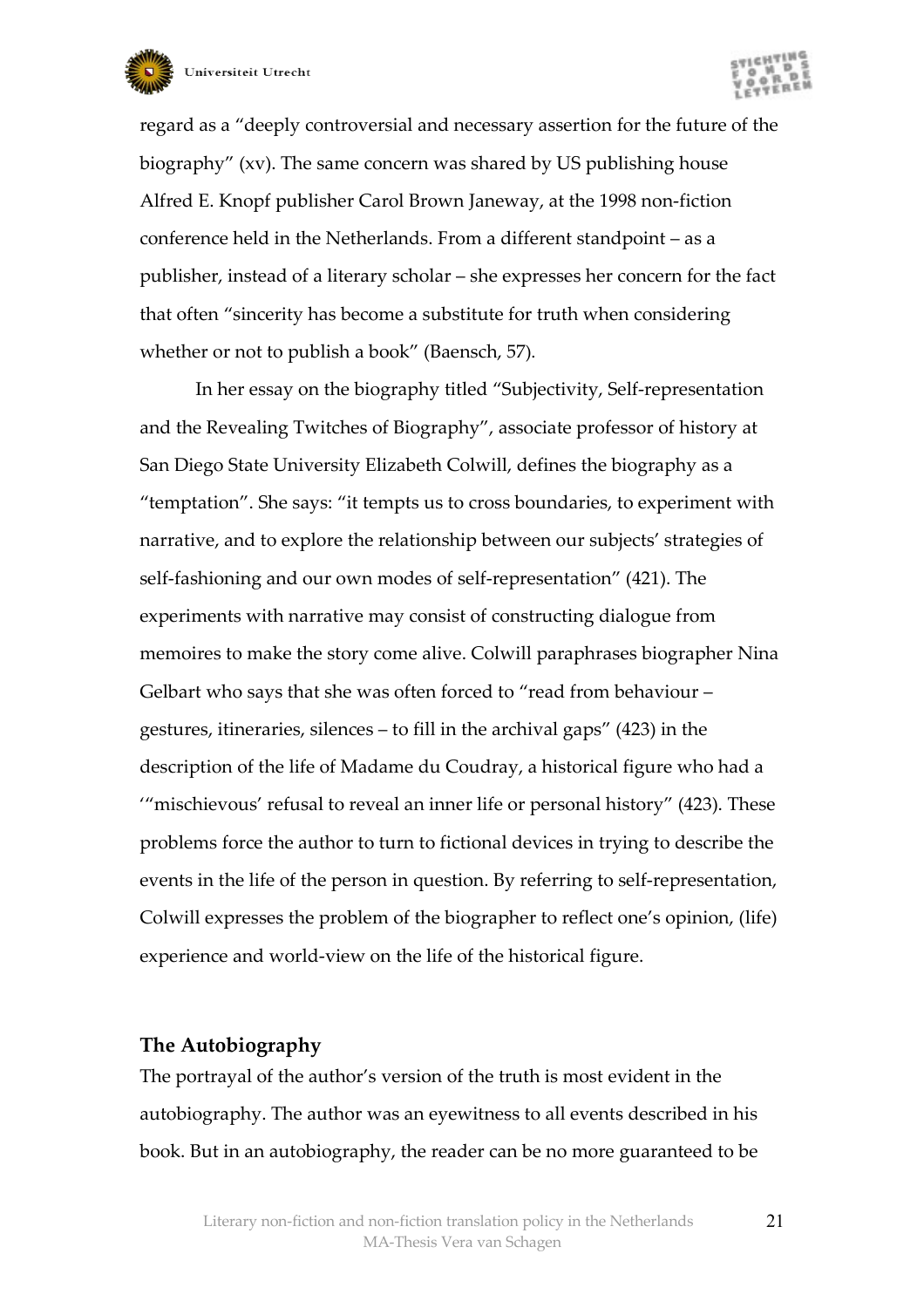

regard as a "deeply controversial and necessary assertion for the future of the biography" (xv). The same concern was shared by US publishing house Alfred E. Knopf publisher Carol Brown Janeway, at the 1998 non-fiction conference held in the Netherlands. From a different standpoint – as a publisher, instead of a literary scholar – she expresses her concern for the fact that often "sincerity has become a substitute for truth when considering whether or not to publish a book" (Baensch, 57).

In her essay on the biography titled "Subjectivity, Self-representation and the Revealing Twitches of Biography", associate professor of history at San Diego State University Elizabeth Colwill, defines the biography as a "temptation". She says: "it tempts us to cross boundaries, to experiment with narrative, and to explore the relationship between our subjects' strategies of self-fashioning and our own modes of self-representation" (421). The experiments with narrative may consist of constructing dialogue from memoires to make the story come alive. Colwill paraphrases biographer Nina Gelbart who says that she was often forced to "read from behaviour – gestures, itineraries, silences – to fill in the archival gaps" (423) in the description of the life of Madame du Coudray, a historical figure who had a '"mischievous' refusal to reveal an inner life or personal history" (423). These problems force the author to turn to fictional devices in trying to describe the events in the life of the person in question. By referring to self-representation, Colwill expresses the problem of the biographer to reflect one's opinion, (life) experience and world-view on the life of the historical figure.

#### <span id="page-22-0"></span>**The Autobiography**

The portrayal of the author's version of the truth is most evident in the autobiography. The author was an eyewitness to all events described in his book. But in an autobiography, the reader can be no more guaranteed to be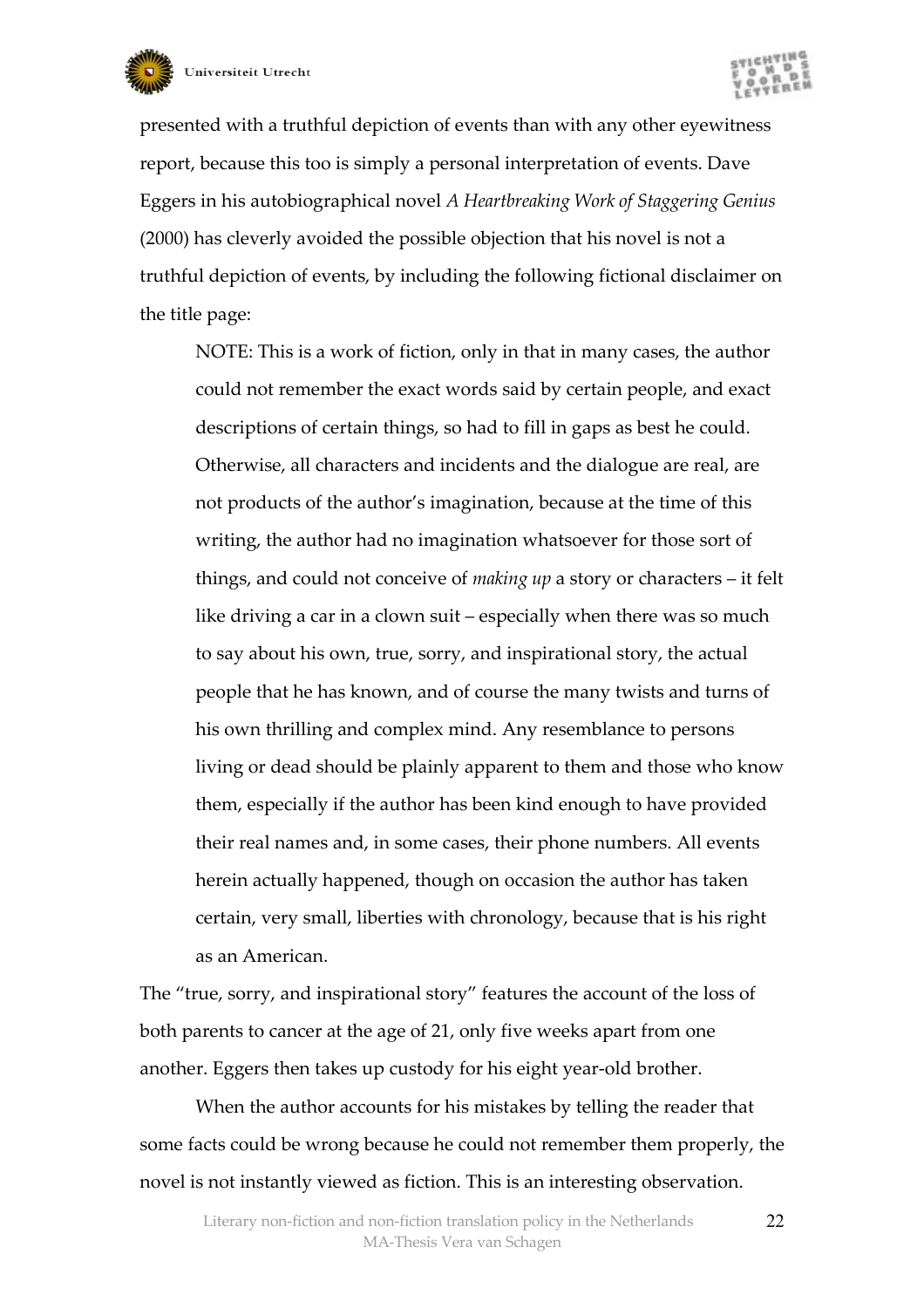

presented with a truthful depiction of events than with any other eyewitness report, because this too is simply a personal interpretation of events. Dave Eggers in his autobiographical novel *A Heartbreaking Work of Staggering Genius* (2000) has cleverly avoided the possible objection that his novel is not a truthful depiction of events, by including the following fictional disclaimer on the title page:

NOTE: This is a work of fiction, only in that in many cases, the author could not remember the exact words said by certain people, and exact descriptions of certain things, so had to fill in gaps as best he could. Otherwise, all characters and incidents and the dialogue are real, are not products of the author's imagination, because at the time of this writing, the author had no imagination whatsoever for those sort of things, and could not conceive of *making up* a story or characters – it felt like driving a car in a clown suit – especially when there was so much to say about his own, true, sorry, and inspirational story, the actual people that he has known, and of course the many twists and turns of his own thrilling and complex mind. Any resemblance to persons living or dead should be plainly apparent to them and those who know them, especially if the author has been kind enough to have provided their real names and, in some cases, their phone numbers. All events herein actually happened, though on occasion the author has taken certain, very small, liberties with chronology, because that is his right as an American.

The "true, sorry, and inspirational story" features the account of the loss of both parents to cancer at the age of 21, only five weeks apart from one another. Eggers then takes up custody for his eight year-old brother.

When the author accounts for his mistakes by telling the reader that some facts could be wrong because he could not remember them properly, the novel is not instantly viewed as fiction. This is an interesting observation.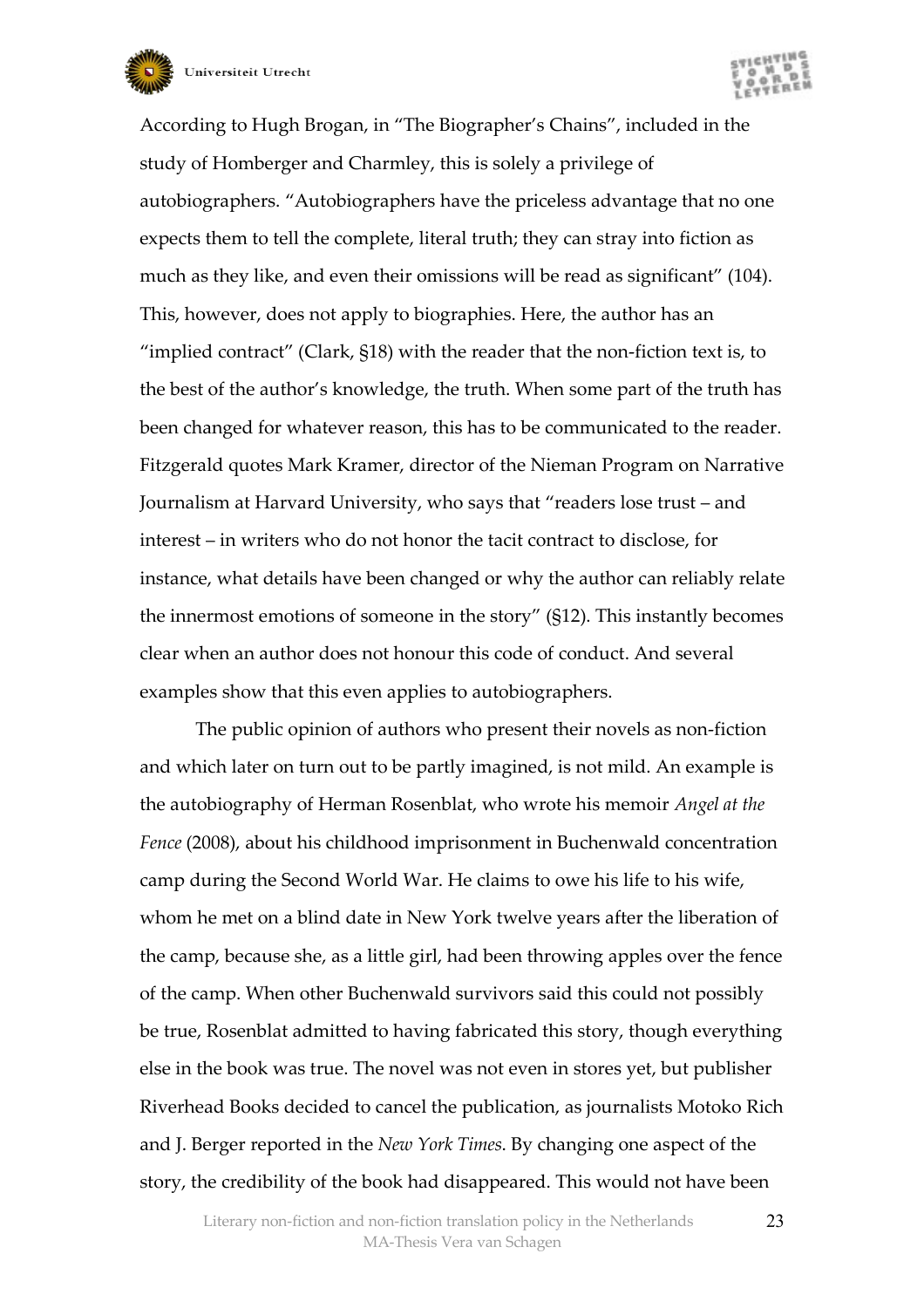

According to Hugh Brogan, in "The Biographer's Chains", included in the study of Homberger and Charmley, this is solely a privilege of autobiographers. "Autobiographers have the priceless advantage that no one expects them to tell the complete, literal truth; they can stray into fiction as much as they like, and even their omissions will be read as significant" (104). This, however, does not apply to biographies. Here, the author has an "implied contract" (Clark, §18) with the reader that the non-fiction text is, to the best of the author's knowledge, the truth. When some part of the truth has been changed for whatever reason, this has to be communicated to the reader. Fitzgerald quotes Mark Kramer, director of the Nieman Program on Narrative Journalism at Harvard University, who says that "readers lose trust – and interest – in writers who do not honor the tacit contract to disclose, for instance, what details have been changed or why the author can reliably relate the innermost emotions of someone in the story" (§12). This instantly becomes clear when an author does not honour this code of conduct. And several examples show that this even applies to autobiographers.

The public opinion of authors who present their novels as non-fiction and which later on turn out to be partly imagined, is not mild. An example is the autobiography of Herman Rosenblat, who wrote his memoir *Angel at the Fence* (2008), about his childhood imprisonment in Buchenwald concentration camp during the Second World War. He claims to owe his life to his wife, whom he met on a blind date in New York twelve years after the liberation of the camp, because she, as a little girl, had been throwing apples over the fence of the camp. When other Buchenwald survivors said this could not possibly be true, Rosenblat admitted to having fabricated this story, though everything else in the book was true. The novel was not even in stores yet, but publisher Riverhead Books decided to cancel the publication, as journalists Motoko Rich and J. Berger reported in the *New York Times*. By changing one aspect of the story, the credibility of the book had disappeared. This would not have been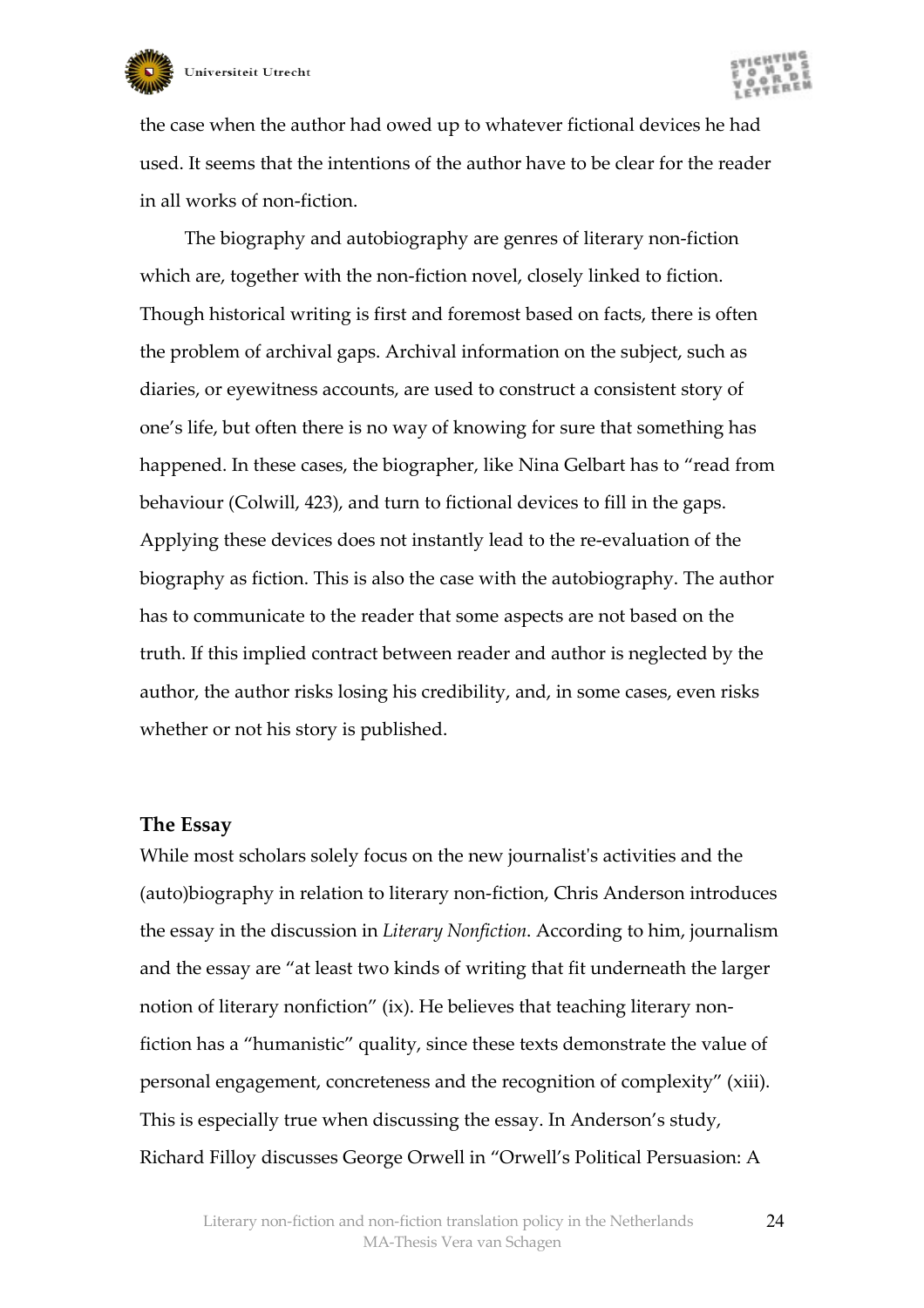

the case when the author had owed up to whatever fictional devices he had used. It seems that the intentions of the author have to be clear for the reader in all works of non-fiction.

The biography and autobiography are genres of literary non-fiction which are, together with the non-fiction novel, closely linked to fiction. Though historical writing is first and foremost based on facts, there is often the problem of archival gaps. Archival information on the subject, such as diaries, or eyewitness accounts, are used to construct a consistent story of one's life, but often there is no way of knowing for sure that something has happened. In these cases, the biographer, like Nina Gelbart has to "read from behaviour (Colwill, 423), and turn to fictional devices to fill in the gaps. Applying these devices does not instantly lead to the re-evaluation of the biography as fiction. This is also the case with the autobiography. The author has to communicate to the reader that some aspects are not based on the truth. If this implied contract between reader and author is neglected by the author, the author risks losing his credibility, and, in some cases, even risks whether or not his story is published.

#### <span id="page-25-0"></span>**The Essay**

While most scholars solely focus on the new journalist's activities and the (auto)biography in relation to literary non-fiction, Chris Anderson introduces the essay in the discussion in *Literary Nonfiction*. According to him, journalism and the essay are "at least two kinds of writing that fit underneath the larger notion of literary nonfiction" (ix). He believes that teaching literary nonfiction has a "humanistic" quality, since these texts demonstrate the value of personal engagement, concreteness and the recognition of complexity" (xiii). This is especially true when discussing the essay. In Anderson's study, Richard Filloy discusses George Orwell in "Orwell's Political Persuasion: A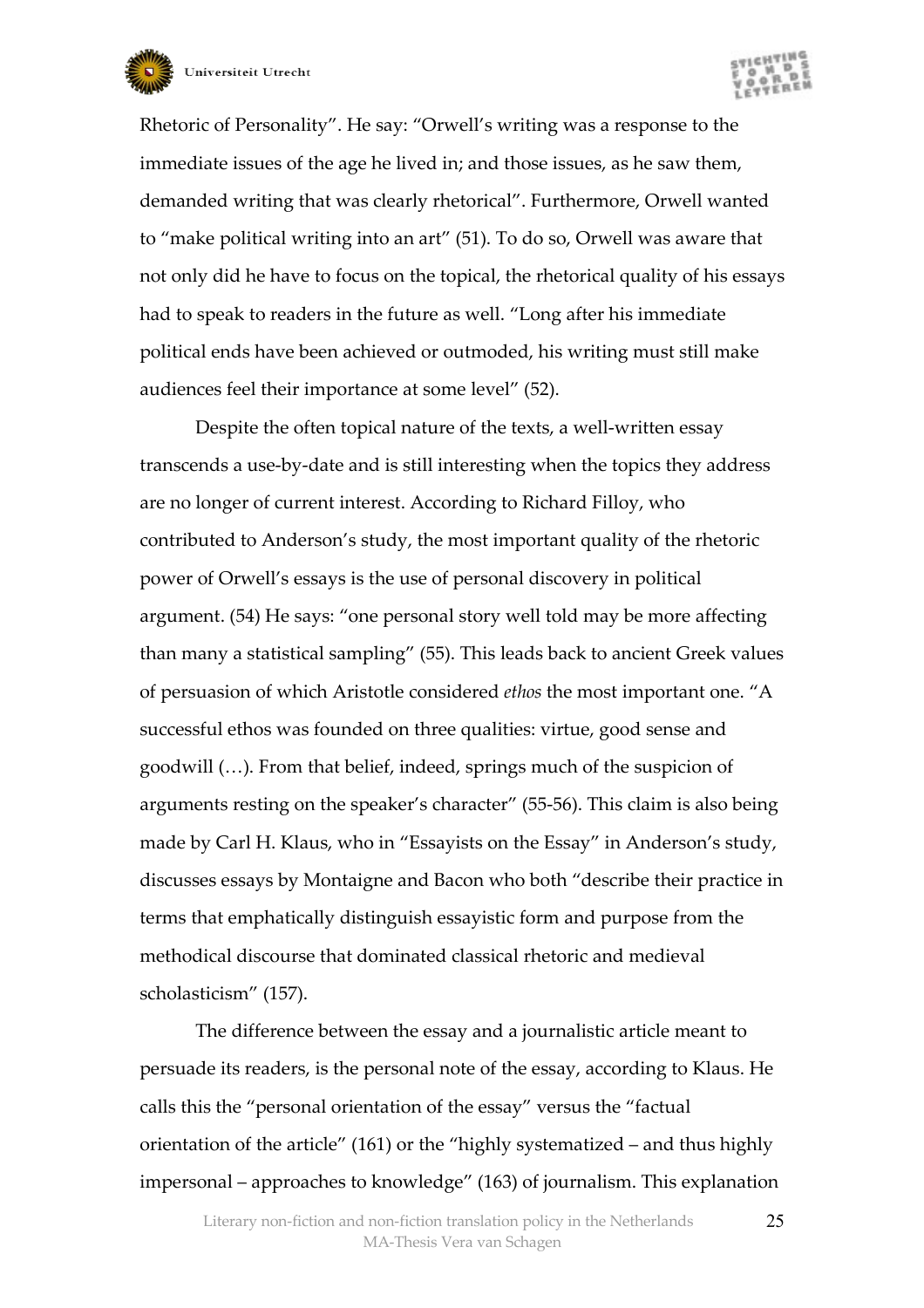

Rhetoric of Personality". He say: "Orwell's writing was a response to the immediate issues of the age he lived in; and those issues, as he saw them, demanded writing that was clearly rhetorical". Furthermore, Orwell wanted to "make political writing into an art" (51). To do so, Orwell was aware that not only did he have to focus on the topical, the rhetorical quality of his essays had to speak to readers in the future as well. "Long after his immediate political ends have been achieved or outmoded, his writing must still make audiences feel their importance at some level" (52).

Despite the often topical nature of the texts, a well-written essay transcends a use-by-date and is still interesting when the topics they address are no longer of current interest. According to Richard Filloy, who contributed to Anderson's study, the most important quality of the rhetoric power of Orwell's essays is the use of personal discovery in political argument. (54) He says: "one personal story well told may be more affecting than many a statistical sampling" (55). This leads back to ancient Greek values of persuasion of which Aristotle considered *ethos* the most important one. "A successful ethos was founded on three qualities: virtue, good sense and goodwill (…). From that belief, indeed, springs much of the suspicion of arguments resting on the speaker's character" (55-56). This claim is also being made by Carl H. Klaus, who in "Essayists on the Essay" in Anderson's study, discusses essays by Montaigne and Bacon who both "describe their practice in terms that emphatically distinguish essayistic form and purpose from the methodical discourse that dominated classical rhetoric and medieval scholasticism" (157).

The difference between the essay and a journalistic article meant to persuade its readers, is the personal note of the essay, according to Klaus. He calls this the "personal orientation of the essay" versus the "factual orientation of the article" (161) or the "highly systematized – and thus highly impersonal – approaches to knowledge" (163) of journalism. This explanation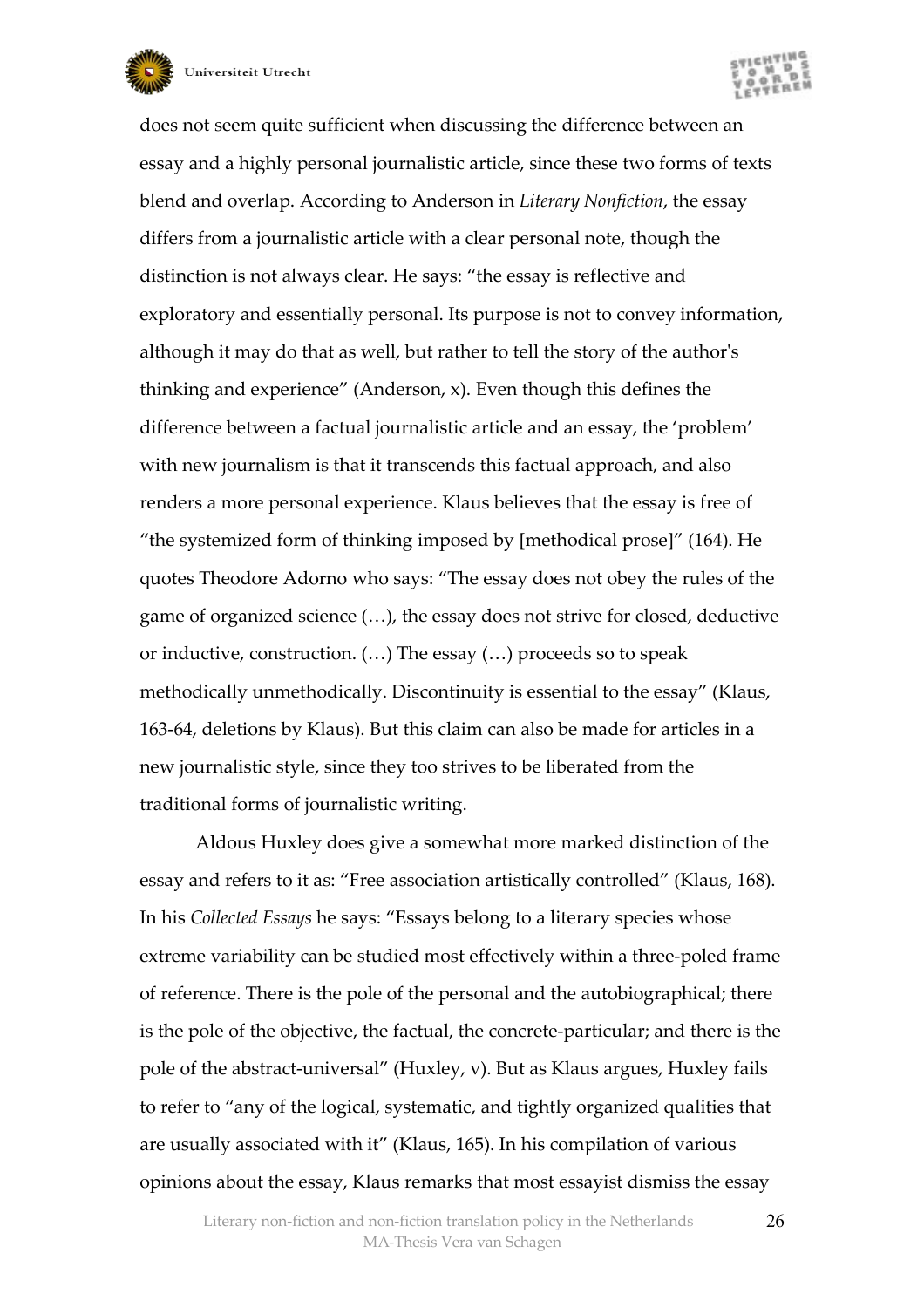

**TICHTING** 

does not seem quite sufficient when discussing the difference between an essay and a highly personal journalistic article, since these two forms of texts blend and overlap. According to Anderson in *Literary Nonfiction*, the essay differs from a journalistic article with a clear personal note, though the distinction is not always clear. He says: "the essay is reflective and exploratory and essentially personal. Its purpose is not to convey information, although it may do that as well, but rather to tell the story of the author's thinking and experience" (Anderson, x). Even though this defines the difference between a factual journalistic article and an essay, the 'problem' with new journalism is that it transcends this factual approach, and also renders a more personal experience. Klaus believes that the essay is free of "the systemized form of thinking imposed by [methodical prose]" (164). He quotes Theodore Adorno who says: "The essay does not obey the rules of the game of organized science (…), the essay does not strive for closed, deductive or inductive, construction. (…) The essay (…) proceeds so to speak methodically unmethodically. Discontinuity is essential to the essay" (Klaus, 163-64, deletions by Klaus). But this claim can also be made for articles in a new journalistic style, since they too strives to be liberated from the traditional forms of journalistic writing.

Aldous Huxley does give a somewhat more marked distinction of the essay and refers to it as: "Free association artistically controlled" (Klaus, 168). In his *Collected Essays* he says: "Essays belong to a literary species whose extreme variability can be studied most effectively within a three-poled frame of reference. There is the pole of the personal and the autobiographical; there is the pole of the objective, the factual, the concrete-particular; and there is the pole of the abstract-universal" (Huxley, v). But as Klaus argues, Huxley fails to refer to "any of the logical, systematic, and tightly organized qualities that are usually associated with it" (Klaus, 165). In his compilation of various opinions about the essay, Klaus remarks that most essayist dismiss the essay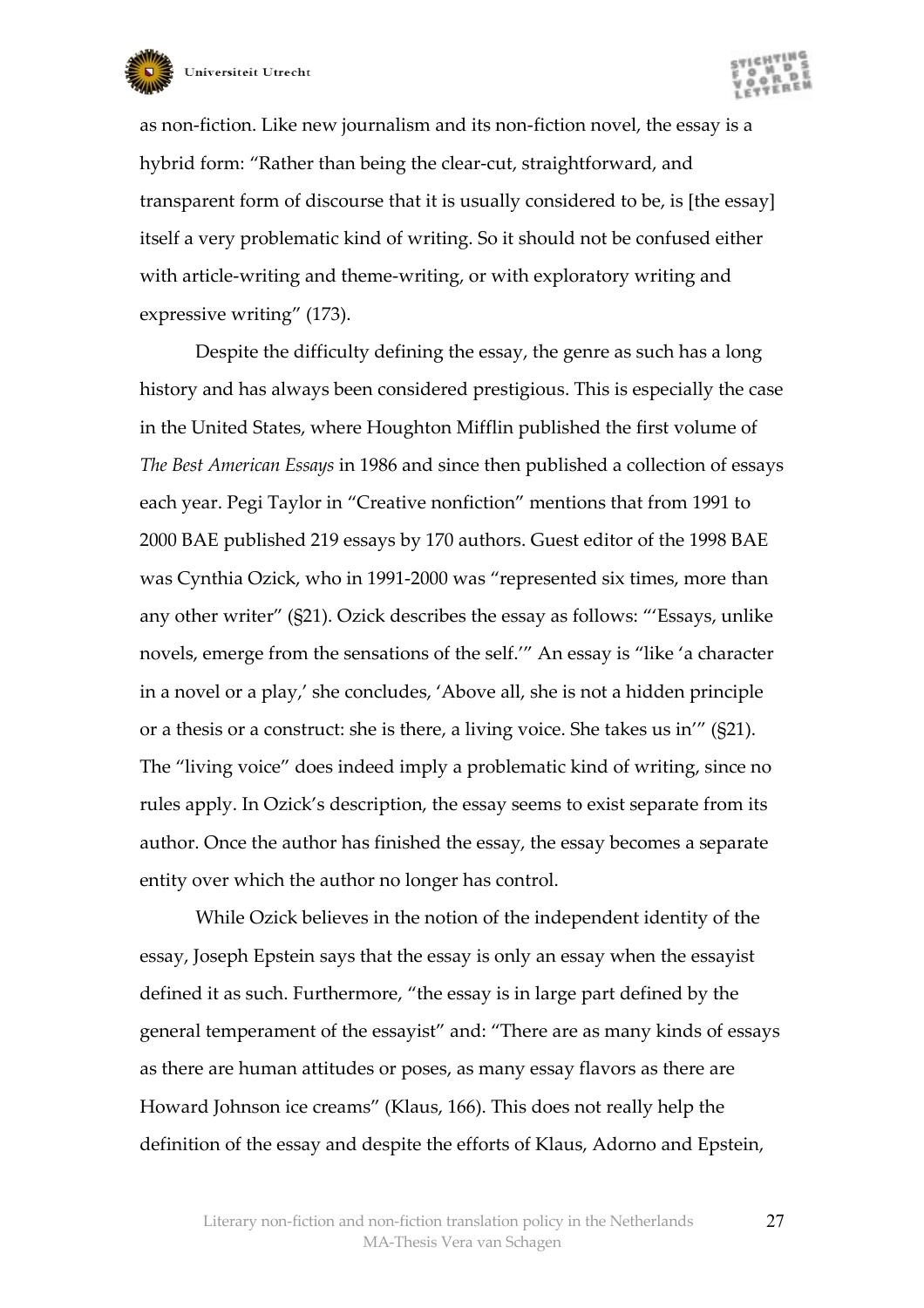

**ICHTING** 

as non-fiction. Like new journalism and its non-fiction novel, the essay is a hybrid form: "Rather than being the clear-cut, straightforward, and transparent form of discourse that it is usually considered to be, is [the essay] itself a very problematic kind of writing. So it should not be confused either with article-writing and theme-writing, or with exploratory writing and expressive writing" (173).

Despite the difficulty defining the essay, the genre as such has a long history and has always been considered prestigious. This is especially the case in the United States, where Houghton Mifflin published the first volume of *The Best American Essays* in 1986 and since then published a collection of essays each year. Pegi Taylor in "Creative nonfiction" mentions that from 1991 to 2000 BAE published 219 essays by 170 authors. Guest editor of the 1998 BAE was Cynthia Ozick, who in 1991-2000 was "represented six times, more than any other writer" (§21). Ozick describes the essay as follows: "'Essays, unlike novels, emerge from the sensations of the self.'" An essay is "like 'a character in a novel or a play,' she concludes, 'Above all, she is not a hidden principle or a thesis or a construct: she is there, a living voice. She takes us in'" (§21). The "living voice" does indeed imply a problematic kind of writing, since no rules apply. In Ozick's description, the essay seems to exist separate from its author. Once the author has finished the essay, the essay becomes a separate entity over which the author no longer has control.

While Ozick believes in the notion of the independent identity of the essay, Joseph Epstein says that the essay is only an essay when the essayist defined it as such. Furthermore, "the essay is in large part defined by the general temperament of the essayist" and: "There are as many kinds of essays as there are human attitudes or poses, as many essay flavors as there are Howard Johnson ice creams" (Klaus, 166). This does not really help the definition of the essay and despite the efforts of Klaus, Adorno and Epstein,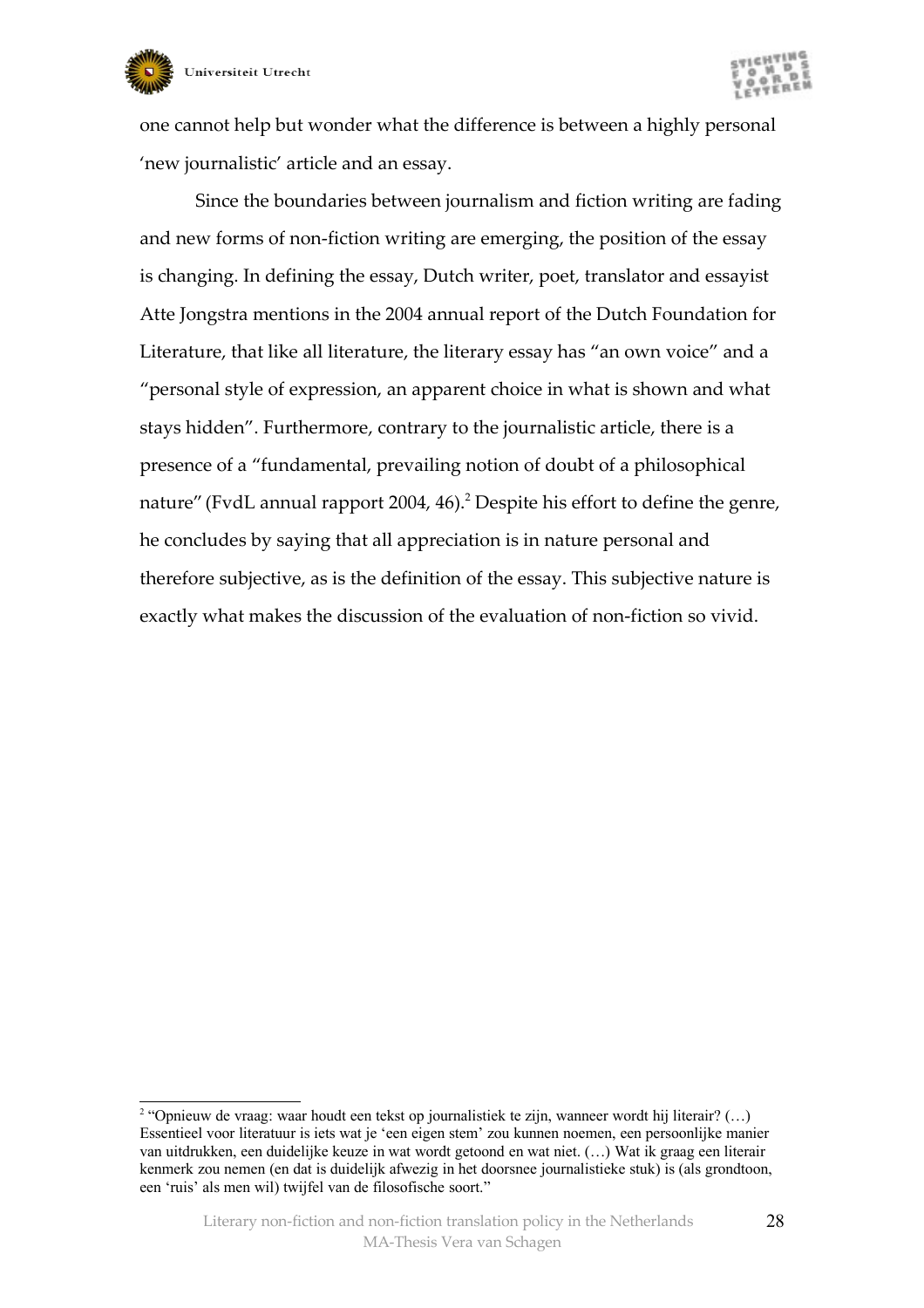

one cannot help but wonder what the difference is between a highly personal 'new journalistic' article and an essay.

Since the boundaries between journalism and fiction writing are fading and new forms of non-fiction writing are emerging, the position of the essay is changing. In defining the essay, Dutch writer, poet, translator and essayist Atte Jongstra mentions in the 2004 annual report of the Dutch Foundation for Literature, that like all literature, the literary essay has "an own voice" and a "personal style of expression, an apparent choice in what is shown and what stays hidden". Furthermore, contrary to the journalistic article, there is a presence of a "fundamental, prevailing notion of doubt of a philosophical nature" (FvdL annual rapport [2](#page-29-0)004, 46).<sup>2</sup> Despite his effort to define the genre, he concludes by saying that all appreciation is in nature personal and therefore subjective, as is the definition of the essay. This subjective nature is exactly what makes the discussion of the evaluation of non-fiction so vivid.

<span id="page-29-0"></span><sup>2</sup> "Opnieuw de vraag: waar houdt een tekst op journalistiek te zijn, wanneer wordt hij literair? (…) Essentieel voor literatuur is iets wat je 'een eigen stem' zou kunnen noemen, een persoonlijke manier van uitdrukken, een duidelijke keuze in wat wordt getoond en wat niet. (…) Wat ik graag een literair kenmerk zou nemen (en dat is duidelijk afwezig in het doorsnee journalistieke stuk) is (als grondtoon, een 'ruis' als men wil) twijfel van de filosofische soort."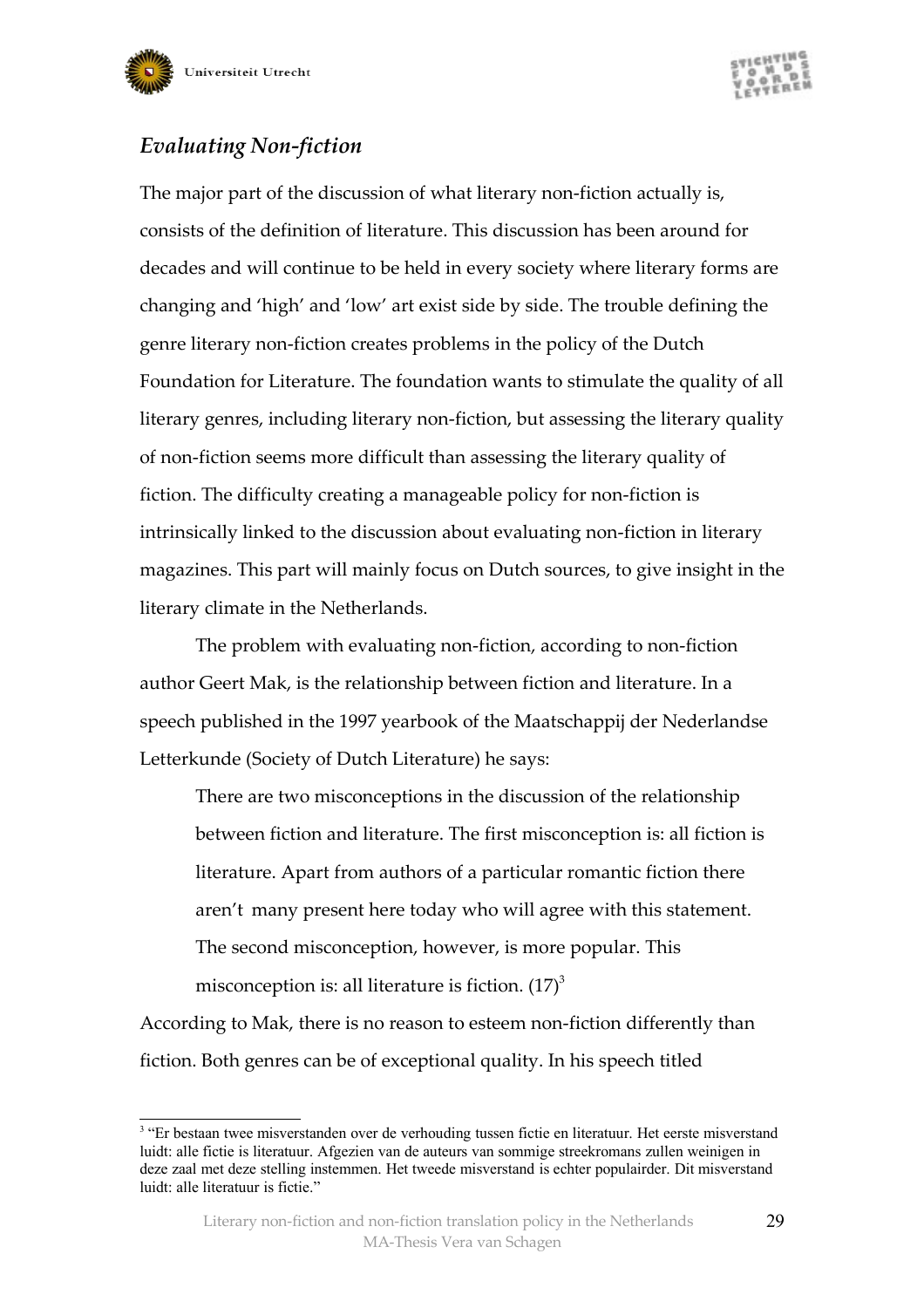

### <span id="page-30-0"></span>*Evaluating Non-fiction*

The major part of the discussion of what literary non-fiction actually is, consists of the definition of literature. This discussion has been around for decades and will continue to be held in every society where literary forms are changing and 'high' and 'low' art exist side by side. The trouble defining the genre literary non-fiction creates problems in the policy of the Dutch Foundation for Literature. The foundation wants to stimulate the quality of all literary genres, including literary non-fiction, but assessing the literary quality of non-fiction seems more difficult than assessing the literary quality of fiction. The difficulty creating a manageable policy for non-fiction is intrinsically linked to the discussion about evaluating non-fiction in literary magazines. This part will mainly focus on Dutch sources, to give insight in the literary climate in the Netherlands.

The problem with evaluating non-fiction, according to non-fiction author Geert Mak, is the relationship between fiction and literature. In a speech published in the 1997 yearbook of the Maatschappij der Nederlandse Letterkunde (Society of Dutch Literature) he says:

There are two misconceptions in the discussion of the relationship between fiction and literature. The first misconception is: all fiction is literature. Apart from authors of a particular romantic fiction there aren't many present here today who will agree with this statement. The second misconception, however, is more popular. This misconception is: all literature is fiction.  $(17)^3$  $(17)^3$ 

According to Mak, there is no reason to esteem non-fiction differently than fiction. Both genres can be of exceptional quality. In his speech titled

<span id="page-30-1"></span><sup>&</sup>lt;sup>3</sup> "Er bestaan twee misverstanden over de verhouding tussen fictie en literatuur. Het eerste misverstand luidt: alle fictie is literatuur. Afgezien van de auteurs van sommige streekromans zullen weinigen in deze zaal met deze stelling instemmen. Het tweede misverstand is echter populairder. Dit misverstand luidt: alle literatuur is fictie."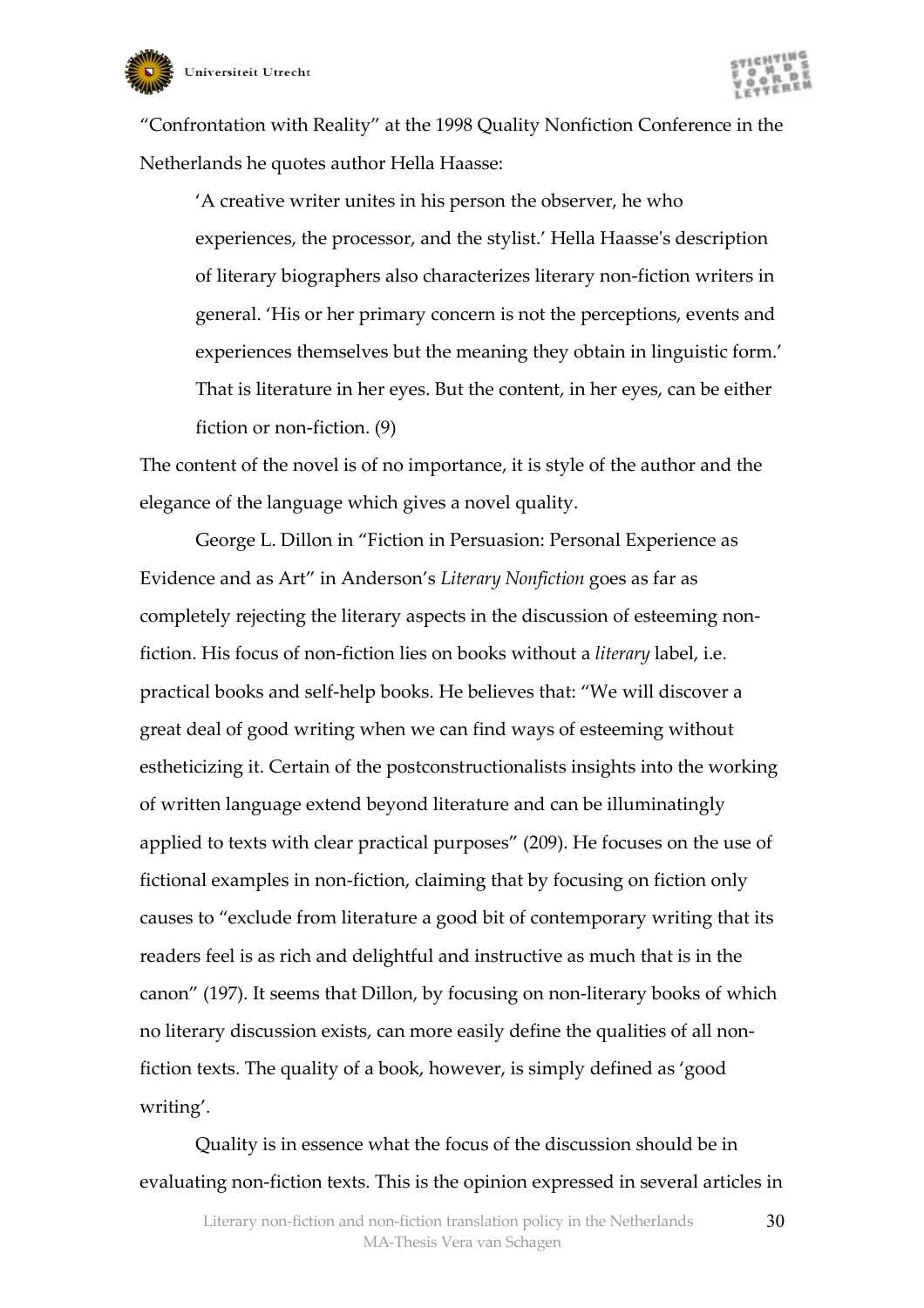

"Confrontation with Reality" at the 1998 Quality Nonfiction Conference in the Netherlands he quotes author Hella Haasse:

'A creative writer unites in his person the observer, he who experiences, the processor, and the stylist.' Hella Haasse's description of literary biographers also characterizes literary non-fiction writers in general. 'His or her primary concern is not the perceptions, events and experiences themselves but the meaning they obtain in linguistic form.' That is literature in her eyes. But the content, in her eyes, can be either fiction or non-fiction. (9)

The content of the novel is of no importance, it is style of the author and the elegance of the language which gives a novel quality.

George L. Dillon in "Fiction in Persuasion: Personal Experience as Evidence and as Art" in Anderson's *Literary Nonfiction* goes as far as completely rejecting the literary aspects in the discussion of esteeming nonfiction. His focus of non-fiction lies on books without a *literary* label, i.e. practical books and self-help books. He believes that: "We will discover a great deal of good writing when we can find ways of esteeming without estheticizing it. Certain of the postconstructionalists insights into the working of written language extend beyond literature and can be illuminatingly applied to texts with clear practical purposes" (209). He focuses on the use of fictional examples in non-fiction, claiming that by focusing on fiction only causes to "exclude from literature a good bit of contemporary writing that its readers feel is as rich and delightful and instructive as much that is in the canon" (197). It seems that Dillon, by focusing on non-literary books of which no literary discussion exists, can more easily define the qualities of all nonfiction texts. The quality of a book, however, is simply defined as 'good writing'.

Quality is in essence what the focus of the discussion should be in evaluating non-fiction texts. This is the opinion expressed in several articles in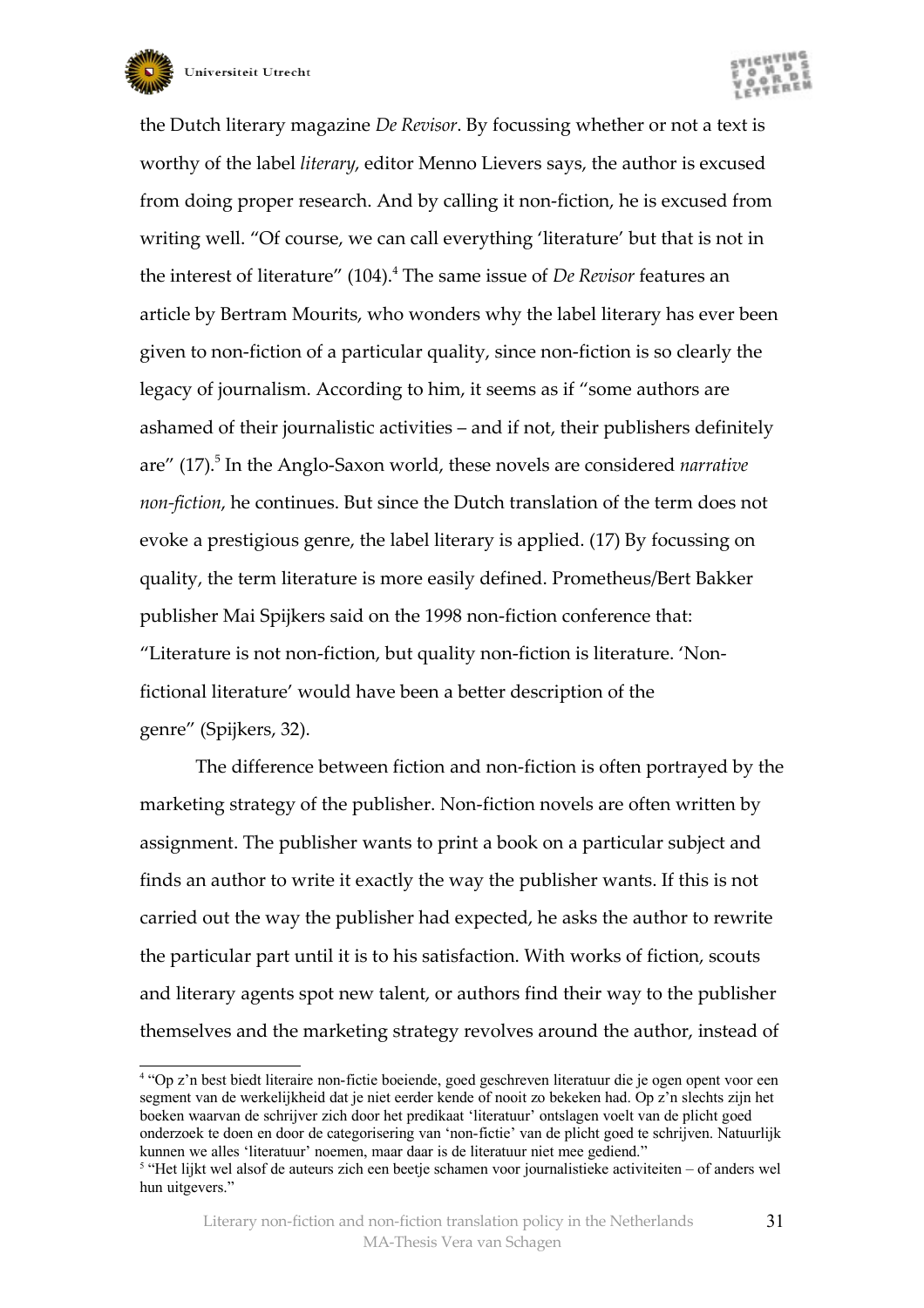

the Dutch literary magazine *De Revisor*. By focussing whether or not a text is worthy of the label *literary*, editor Menno Lievers says, the author is excused from doing proper research. And by calling it non-fiction, he is excused from writing well. "Of course, we can call everything 'literature' but that is not in the interest of literature" (10[4](#page-32-0)).<sup>4</sup> The same issue of *De Revisor* features an article by Bertram Mourits, who wonders why the label literary has ever been given to non-fiction of a particular quality, since non-fiction is so clearly the legacy of journalism. According to him, it seems as if "some authors are ashamed of their journalistic activities – and if not, their publishers definitely are" (17).<sup>[5](#page-32-1)</sup> In the Anglo-Saxon world, these novels are considered *narrative non-fiction*, he continues. But since the Dutch translation of the term does not evoke a prestigious genre, the label literary is applied. (17) By focussing on quality, the term literature is more easily defined. Prometheus/Bert Bakker publisher Mai Spijkers said on the 1998 non-fiction conference that: "Literature is not non-fiction, but quality non-fiction is literature. 'Nonfictional literature' would have been a better description of the genre" (Spijkers, 32).

The difference between fiction and non-fiction is often portrayed by the marketing strategy of the publisher. Non-fiction novels are often written by assignment. The publisher wants to print a book on a particular subject and finds an author to write it exactly the way the publisher wants. If this is not carried out the way the publisher had expected, he asks the author to rewrite the particular part until it is to his satisfaction. With works of fiction, scouts and literary agents spot new talent, or authors find their way to the publisher themselves and the marketing strategy revolves around the author, instead of

<span id="page-32-0"></span><sup>4</sup> "Op z'n best biedt literaire non-fictie boeiende, goed geschreven literatuur die je ogen opent voor een segment van de werkelijkheid dat je niet eerder kende of nooit zo bekeken had. Op z'n slechts zijn het boeken waarvan de schrijver zich door het predikaat 'literatuur' ontslagen voelt van de plicht goed onderzoek te doen en door de categorisering van 'non-fictie' van de plicht goed te schrijven. Natuurlijk kunnen we alles 'literatuur' noemen, maar daar is de literatuur niet mee gediend."

<span id="page-32-1"></span><sup>5</sup> "Het lijkt wel alsof de auteurs zich een beetje schamen voor journalistieke activiteiten – of anders wel hun uitgevers."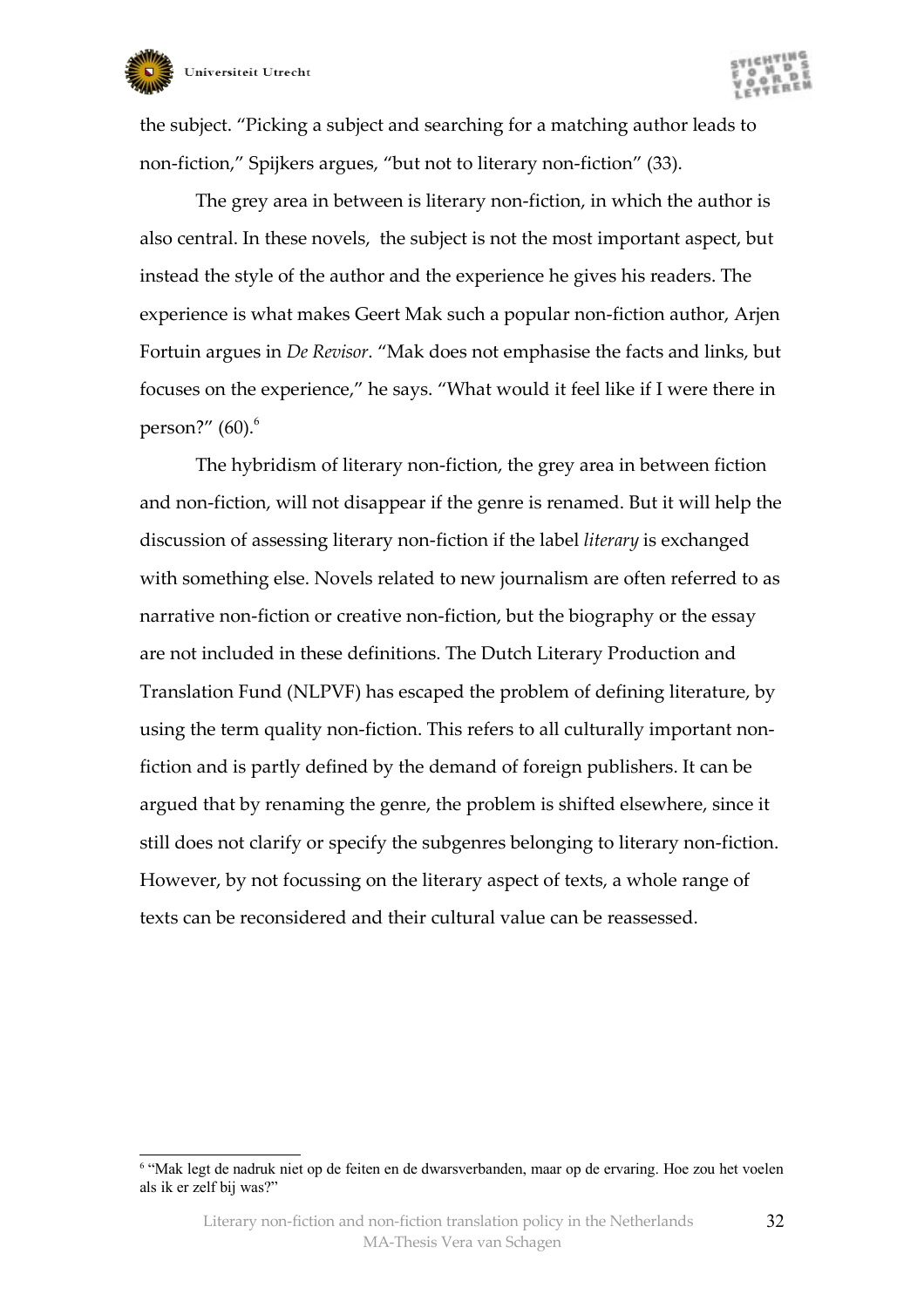

the subject. "Picking a subject and searching for a matching author leads to non-fiction," Spijkers argues, "but not to literary non-fiction" (33).

The grey area in between is literary non-fiction, in which the author is also central. In these novels, the subject is not the most important aspect, but instead the style of the author and the experience he gives his readers. The experience is what makes Geert Mak such a popular non-fiction author, Arjen Fortuin argues in *De Revisor*. "Mak does not emphasise the facts and links, but focuses on the experience," he says. "What would it feel like if I were there in person?"  $(60)$  $(60)$  $(60)$ .<sup>6</sup>

The hybridism of literary non-fiction, the grey area in between fiction and non-fiction, will not disappear if the genre is renamed. But it will help the discussion of assessing literary non-fiction if the label *literary* is exchanged with something else. Novels related to new journalism are often referred to as narrative non-fiction or creative non-fiction, but the biography or the essay are not included in these definitions. The Dutch Literary Production and Translation Fund (NLPVF) has escaped the problem of defining literature, by using the term quality non-fiction. This refers to all culturally important nonfiction and is partly defined by the demand of foreign publishers. It can be argued that by renaming the genre, the problem is shifted elsewhere, since it still does not clarify or specify the subgenres belonging to literary non-fiction. However, by not focussing on the literary aspect of texts, a whole range of texts can be reconsidered and their cultural value can be reassessed.

<span id="page-33-0"></span><sup>&</sup>lt;sup>6</sup> "Mak legt de nadruk niet op de feiten en de dwarsverbanden, maar op de ervaring. Hoe zou het voelen als ik er zelf bij was?"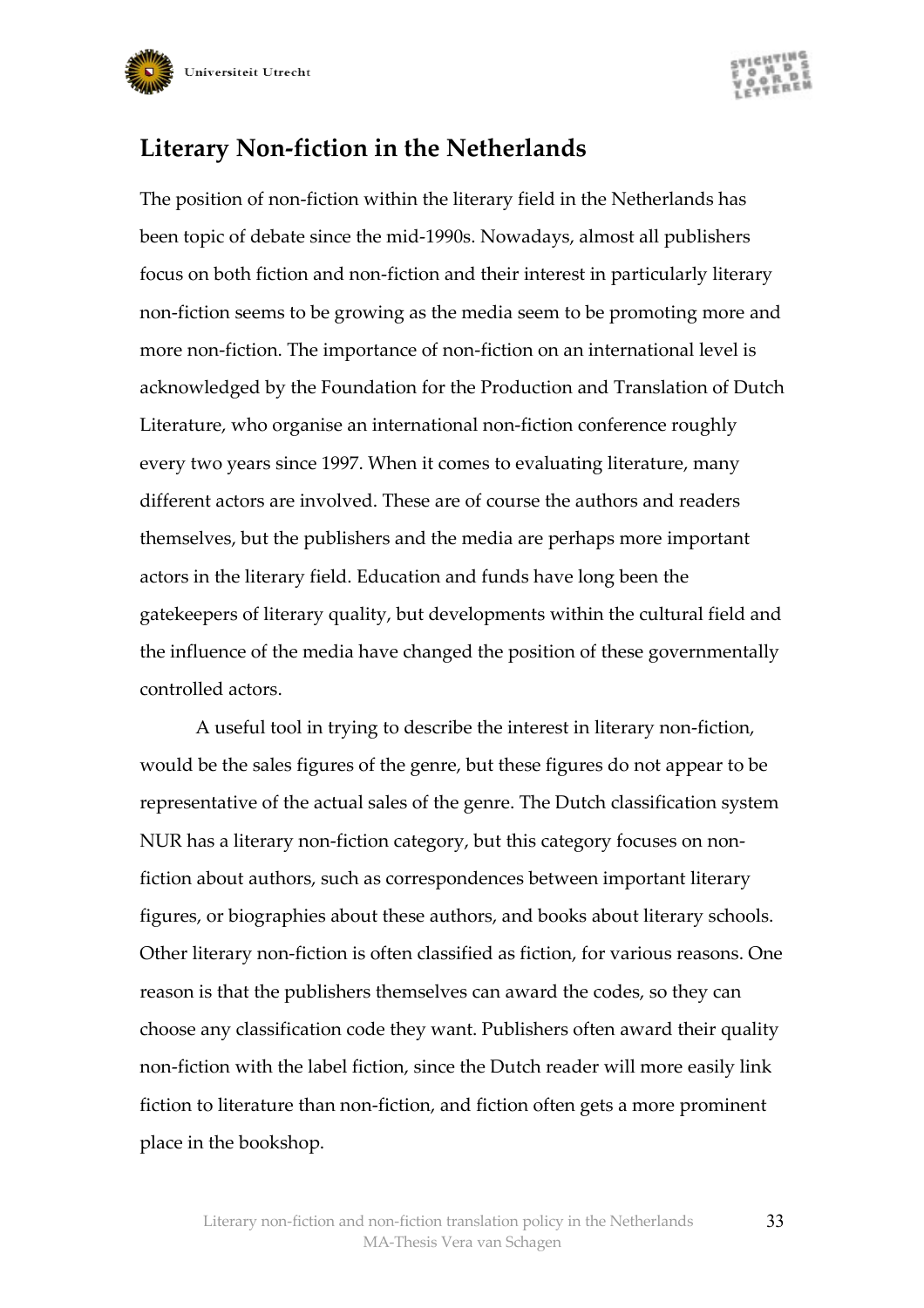

## **Literary Non-fiction in the Netherlands**

The position of non-fiction within the literary field in the Netherlands has been topic of debate since the mid-1990s. Nowadays, almost all publishers focus on both fiction and non-fiction and their interest in particularly literary non-fiction seems to be growing as the media seem to be promoting more and more non-fiction. The importance of non-fiction on an international level is acknowledged by the Foundation for the Production and Translation of Dutch Literature, who organise an international non-fiction conference roughly every two years since 1997. When it comes to evaluating literature, many different actors are involved. These are of course the authors and readers themselves, but the publishers and the media are perhaps more important actors in the literary field. Education and funds have long been the gatekeepers of literary quality, but developments within the cultural field and the influence of the media have changed the position of these governmentally controlled actors.

A useful tool in trying to describe the interest in literary non-fiction, would be the sales figures of the genre, but these figures do not appear to be representative of the actual sales of the genre. The Dutch classification system NUR has a literary non-fiction category, but this category focuses on nonfiction about authors, such as correspondences between important literary figures, or biographies about these authors, and books about literary schools. Other literary non-fiction is often classified as fiction, for various reasons. One reason is that the publishers themselves can award the codes, so they can choose any classification code they want. Publishers often award their quality non-fiction with the label fiction, since the Dutch reader will more easily link fiction to literature than non-fiction, and fiction often gets a more prominent place in the bookshop.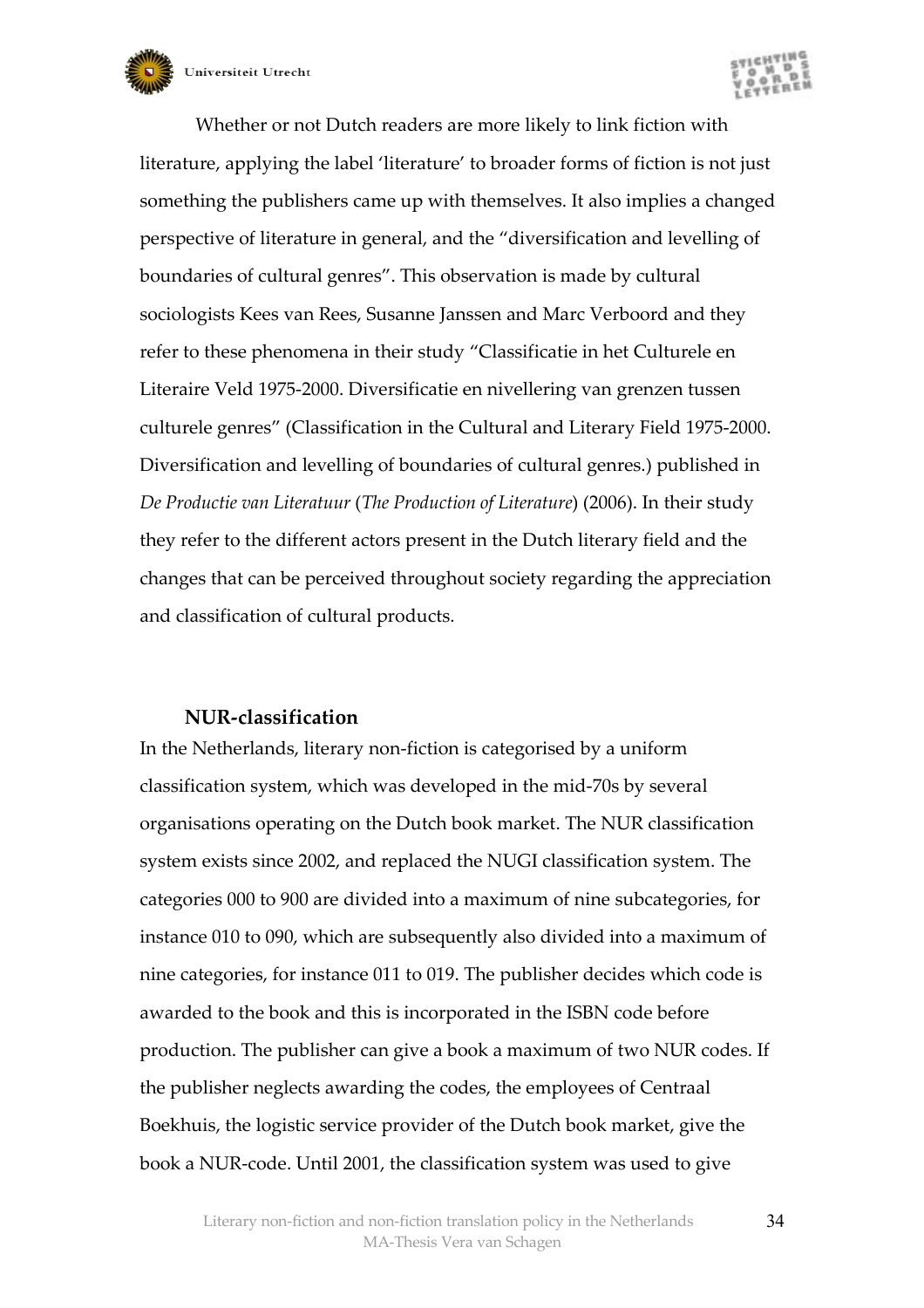

Whether or not Dutch readers are more likely to link fiction with literature, applying the label 'literature' to broader forms of fiction is not just something the publishers came up with themselves. It also implies a changed perspective of literature in general, and the "diversification and levelling of boundaries of cultural genres". This observation is made by cultural sociologists Kees van Rees, Susanne Janssen and Marc Verboord and they refer to these phenomena in their study "Classificatie in het Culturele en Literaire Veld 1975-2000. Diversificatie en nivellering van grenzen tussen culturele genres" (Classification in the Cultural and Literary Field 1975-2000. Diversification and levelling of boundaries of cultural genres.) published in *De Productie van Literatuur* (*The Production of Literature*) (2006). In their study they refer to the different actors present in the Dutch literary field and the changes that can be perceived throughout society regarding the appreciation and classification of cultural products.

#### <span id="page-35-0"></span>**NUR-classification**

In the Netherlands, literary non-fiction is categorised by a uniform classification system, which was developed in the mid-70s by several organisations operating on the Dutch book market. The NUR classification system exists since 2002, and replaced the NUGI classification system. The categories 000 to 900 are divided into a maximum of nine subcategories, for instance 010 to 090, which are subsequently also divided into a maximum of nine categories, for instance 011 to 019. The publisher decides which code is awarded to the book and this is incorporated in the ISBN code before production. The publisher can give a book a maximum of two NUR codes. If the publisher neglects awarding the codes, the employees of Centraal Boekhuis, the logistic service provider of the Dutch book market, give the book a NUR-code. Until 2001, the classification system was used to give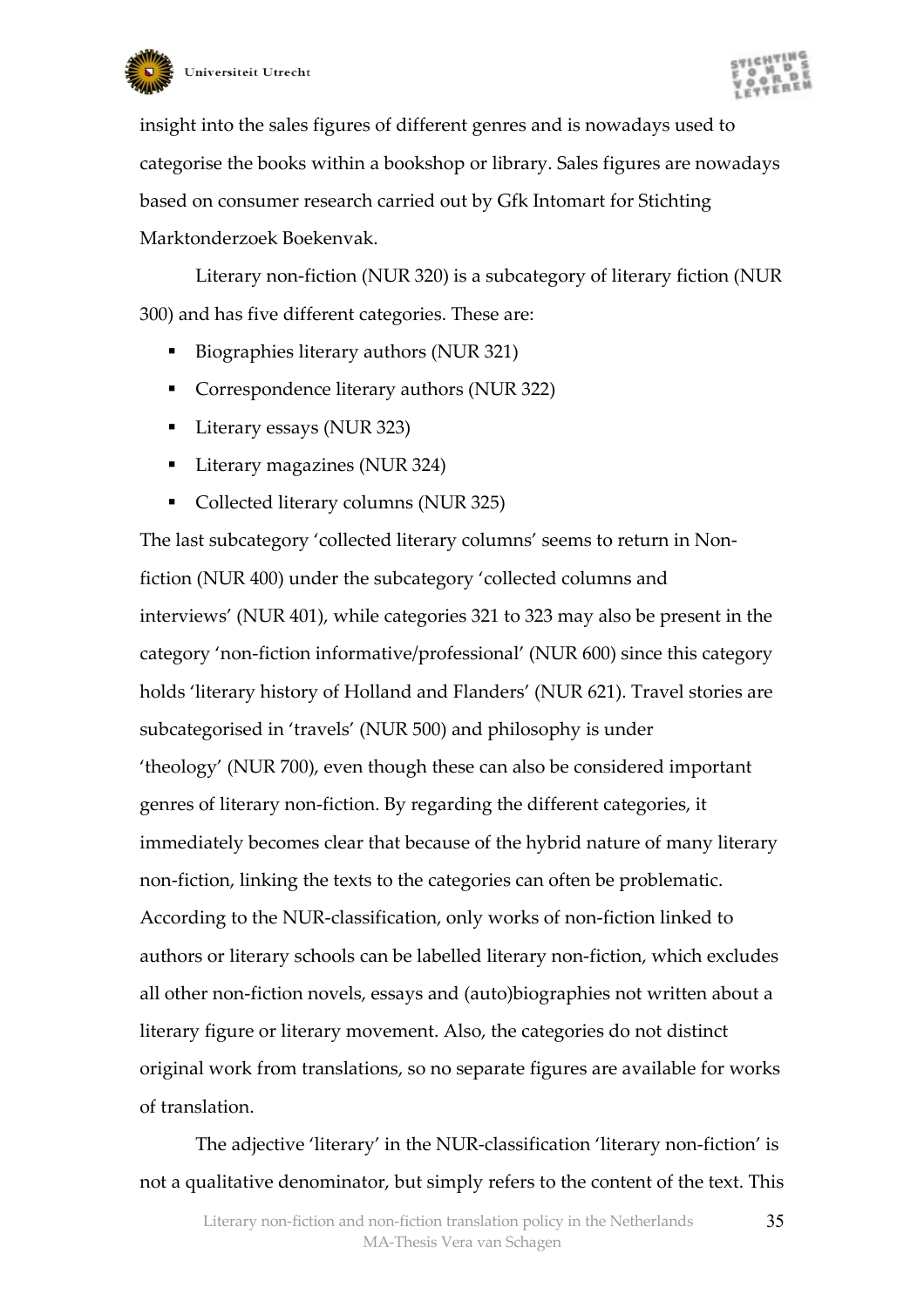

insight into the sales figures of different genres and is nowadays used to categorise the books within a bookshop or library. Sales figures are nowadays based on consumer research carried out by Gfk Intomart for Stichting Marktonderzoek Boekenvak.

Literary non-fiction (NUR 320) is a subcategory of literary fiction (NUR 300) and has five different categories. These are:

- Biographies literary authors (NUR 321)
- Correspondence literary authors (NUR 322)
- Literary essays (NUR 323)
- Literary magazines (NUR 324)
- Collected literary columns (NUR 325)

The last subcategory 'collected literary columns' seems to return in Nonfiction (NUR 400) under the subcategory 'collected columns and interviews' (NUR 401), while categories 321 to 323 may also be present in the category 'non-fiction informative/professional' (NUR 600) since this category holds 'literary history of Holland and Flanders' (NUR 621). Travel stories are subcategorised in 'travels' (NUR 500) and philosophy is under 'theology' (NUR 700), even though these can also be considered important genres of literary non-fiction. By regarding the different categories, it immediately becomes clear that because of the hybrid nature of many literary non-fiction, linking the texts to the categories can often be problematic. According to the NUR-classification, only works of non-fiction linked to authors or literary schools can be labelled literary non-fiction, which excludes all other non-fiction novels, essays and (auto)biographies not written about a literary figure or literary movement. Also, the categories do not distinct original work from translations, so no separate figures are available for works of translation.

The adjective 'literary' in the NUR-classification 'literary non-fiction' is not a qualitative denominator, but simply refers to the content of the text. This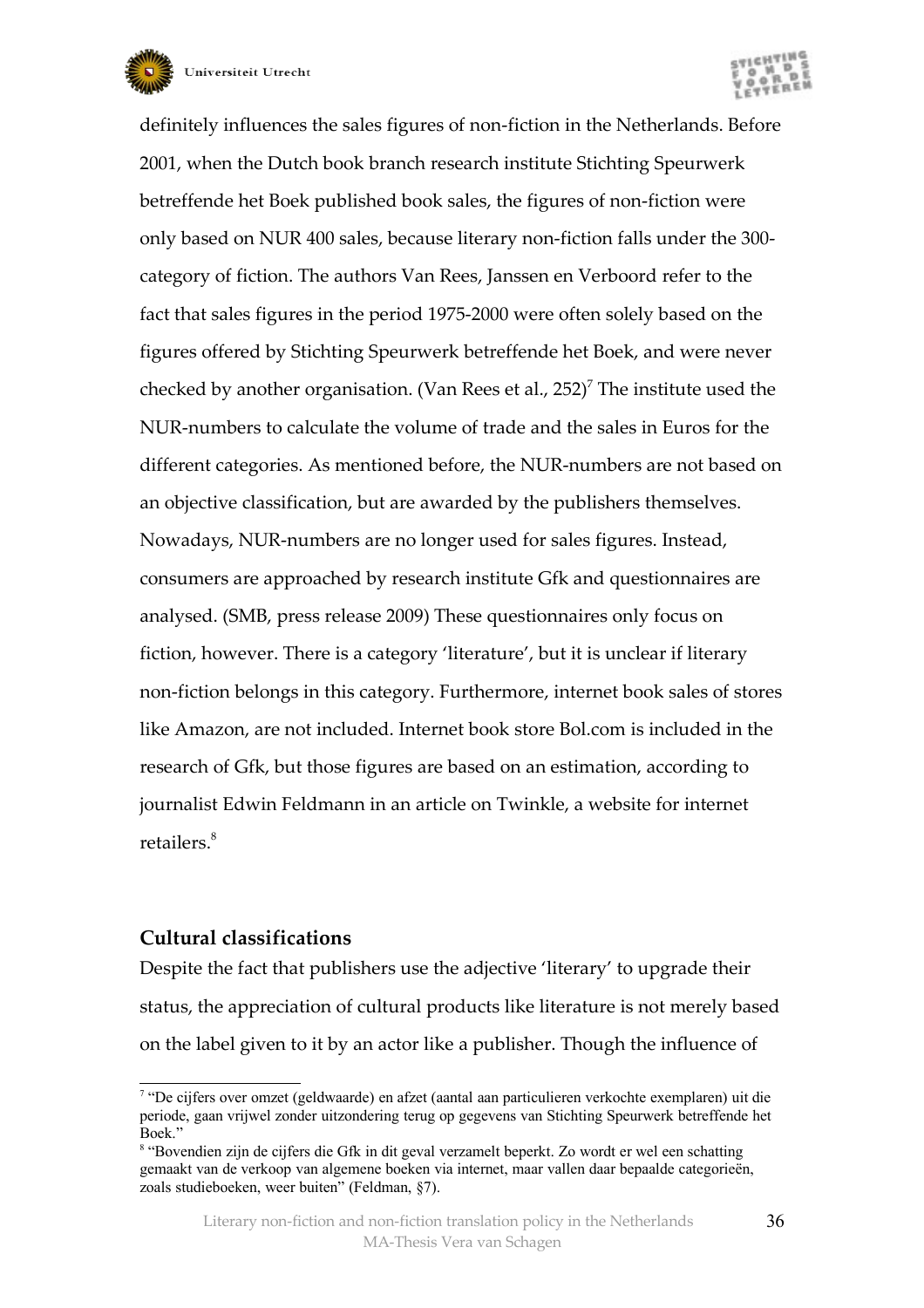

definitely influences the sales figures of non-fiction in the Netherlands. Before 2001, when the Dutch book branch research institute Stichting Speurwerk betreffende het Boek published book sales, the figures of non-fiction were only based on NUR 400 sales, because literary non-fiction falls under the 300 category of fiction. The authors Van Rees, Janssen en Verboord refer to the fact that sales figures in the period 1975-2000 were often solely based on the figures offered by Stichting Speurwerk betreffende het Boek, and were never checked by another organisation. (Van Rees et al., 252)<sup>[7](#page-37-0)</sup> The institute used the NUR-numbers to calculate the volume of trade and the sales in Euros for the different categories. As mentioned before, the NUR-numbers are not based on an objective classification, but are awarded by the publishers themselves. Nowadays, NUR-numbers are no longer used for sales figures. Instead, consumers are approached by research institute Gfk and questionnaires are analysed. (SMB, press release 2009) These questionnaires only focus on fiction, however. There is a category 'literature', but it is unclear if literary non-fiction belongs in this category. Furthermore, internet book sales of stores like Amazon, are not included. Internet book store Bol.com is included in the research of Gfk, but those figures are based on an estimation, according to journalist Edwin Feldmann in an article on Twinkle, a website for internet retailers.<sup>[8](#page-37-1)</sup>

## **Cultural classifications**

Despite the fact that publishers use the adjective 'literary' to upgrade their status, the appreciation of cultural products like literature is not merely based on the label given to it by an actor like a publisher. Though the influence of

<span id="page-37-0"></span><sup>7</sup> "De cijfers over omzet (geldwaarde) en afzet (aantal aan particulieren verkochte exemplaren) uit die periode, gaan vrijwel zonder uitzondering terug op gegevens van Stichting Speurwerk betreffende het Boek<sup>?</sup>

<span id="page-37-1"></span><sup>8</sup> "Bovendien zijn de cijfers die Gfk in dit geval verzamelt beperkt. Zo wordt er wel een schatting gemaakt van de verkoop van algemene boeken via internet, maar vallen daar bepaalde categorieën, zoals studieboeken, weer buiten" (Feldman, §7).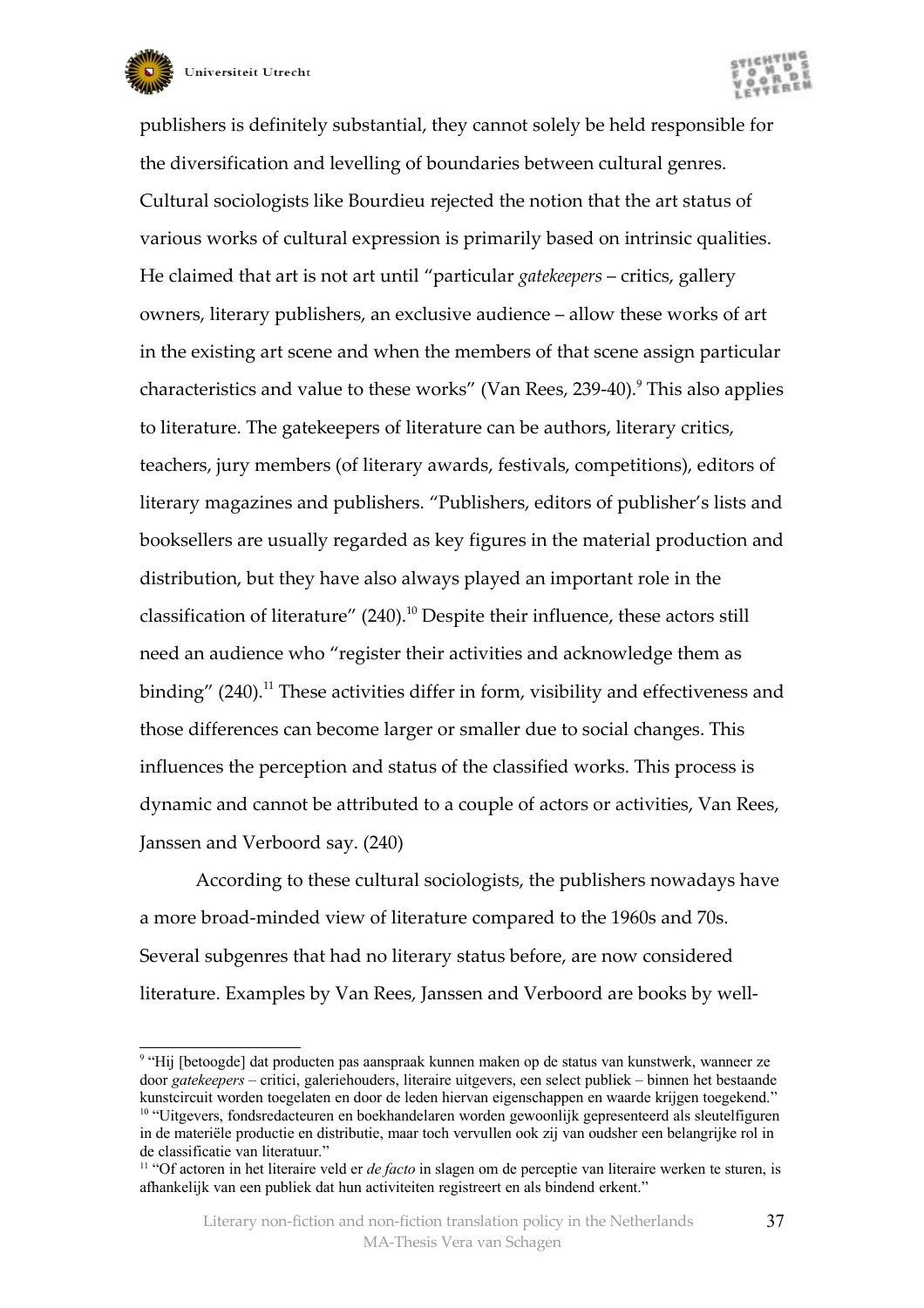

publishers is definitely substantial, they cannot solely be held responsible for the diversification and levelling of boundaries between cultural genres. Cultural sociologists like Bourdieu rejected the notion that the art status of various works of cultural expression is primarily based on intrinsic qualities. He claimed that art is not art until "particular *gatekeepers* – critics, gallery owners, literary publishers, an exclusive audience – allow these works of art in the existing art scene and when the members of that scene assign particular characteristics and value to these works" (Van Rees, 23[9](#page-38-0)-40). This also applies to literature. The gatekeepers of literature can be authors, literary critics, teachers, jury members (of literary awards, festivals, competitions), editors of literary magazines and publishers. "Publishers, editors of publisher's lists and booksellers are usually regarded as key figures in the material production and distribution, but they have also always played an important role in the classification of literature"  $(240)$ .<sup>[10](#page-38-1)</sup> Despite their influence, these actors still need an audience who "register their activities and acknowledge them as binding"  $(240)$ .<sup>[11](#page-38-2)</sup> These activities differ in form, visibility and effectiveness and those differences can become larger or smaller due to social changes. This influences the perception and status of the classified works. This process is dynamic and cannot be attributed to a couple of actors or activities, Van Rees, Janssen and Verboord say. (240)

According to these cultural sociologists, the publishers nowadays have a more broad-minded view of literature compared to the 1960s and 70s. Several subgenres that had no literary status before, are now considered literature. Examples by Van Rees, Janssen and Verboord are books by well-

<span id="page-38-1"></span><span id="page-38-0"></span><sup>9</sup> "Hij [betoogde] dat producten pas aanspraak kunnen maken op de status van kunstwerk, wanneer ze door *gatekeepers* – critici, galeriehouders, literaire uitgevers, een select publiek – binnen het bestaande kunstcircuit worden toegelaten en door de leden hiervan eigenschappen en waarde krijgen toegekend." <sup>10</sup> "Uitgevers, fondsredacteuren en boekhandelaren worden gewoonlijk gepresenteerd als sleutelfiguren in de materiële productie en distributie, maar toch vervullen ook zij van oudsher een belangrijke rol in de classificatie van literatuur."

<span id="page-38-2"></span><sup>11</sup> "Of actoren in het literaire veld er *de facto* in slagen om de perceptie van literaire werken te sturen, is afhankelijk van een publiek dat hun activiteiten registreert en als bindend erkent."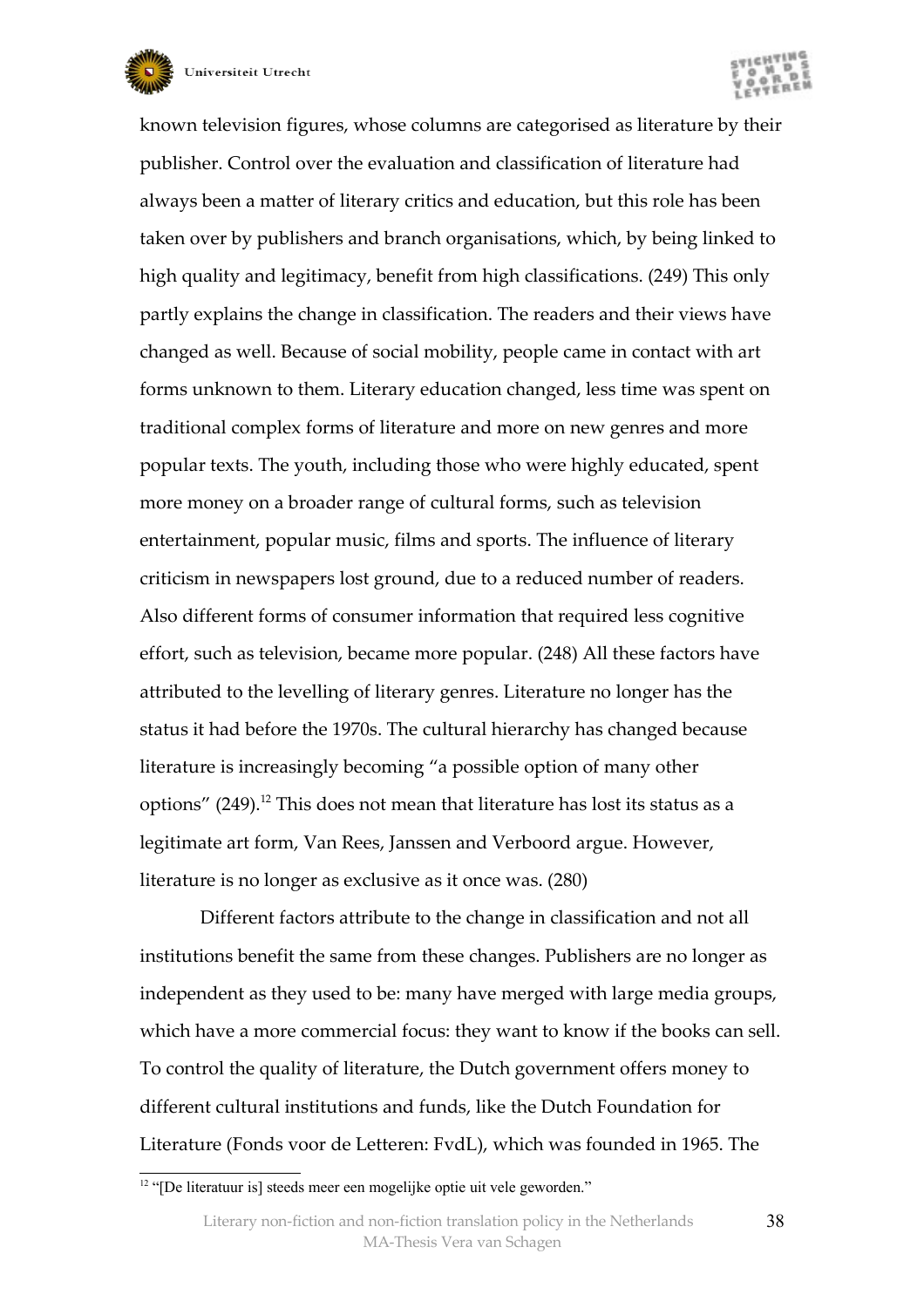

known television figures, whose columns are categorised as literature by their publisher. Control over the evaluation and classification of literature had always been a matter of literary critics and education, but this role has been taken over by publishers and branch organisations, which, by being linked to high quality and legitimacy, benefit from high classifications. (249) This only partly explains the change in classification. The readers and their views have changed as well. Because of social mobility, people came in contact with art forms unknown to them. Literary education changed, less time was spent on traditional complex forms of literature and more on new genres and more popular texts. The youth, including those who were highly educated, spent more money on a broader range of cultural forms, such as television entertainment, popular music, films and sports. The influence of literary criticism in newspapers lost ground, due to a reduced number of readers. Also different forms of consumer information that required less cognitive effort, such as television, became more popular. (248) All these factors have attributed to the levelling of literary genres. Literature no longer has the status it had before the 1970s. The cultural hierarchy has changed because literature is increasingly becoming "a possible option of many other options"  $(249).<sup>12</sup>$  $(249).<sup>12</sup>$  $(249).<sup>12</sup>$  This does not mean that literature has lost its status as a legitimate art form, Van Rees, Janssen and Verboord argue. However, literature is no longer as exclusive as it once was. (280)

 Different factors attribute to the change in classification and not all institutions benefit the same from these changes. Publishers are no longer as independent as they used to be: many have merged with large media groups, which have a more commercial focus: they want to know if the books can sell. To control the quality of literature, the Dutch government offers money to different cultural institutions and funds, like the Dutch Foundation for Literature (Fonds voor de Letteren: FvdL), which was founded in 1965. The

<span id="page-39-0"></span><sup>&</sup>lt;sup>12</sup> "[De literatuur is] steeds meer een mogelijke optie uit vele geworden."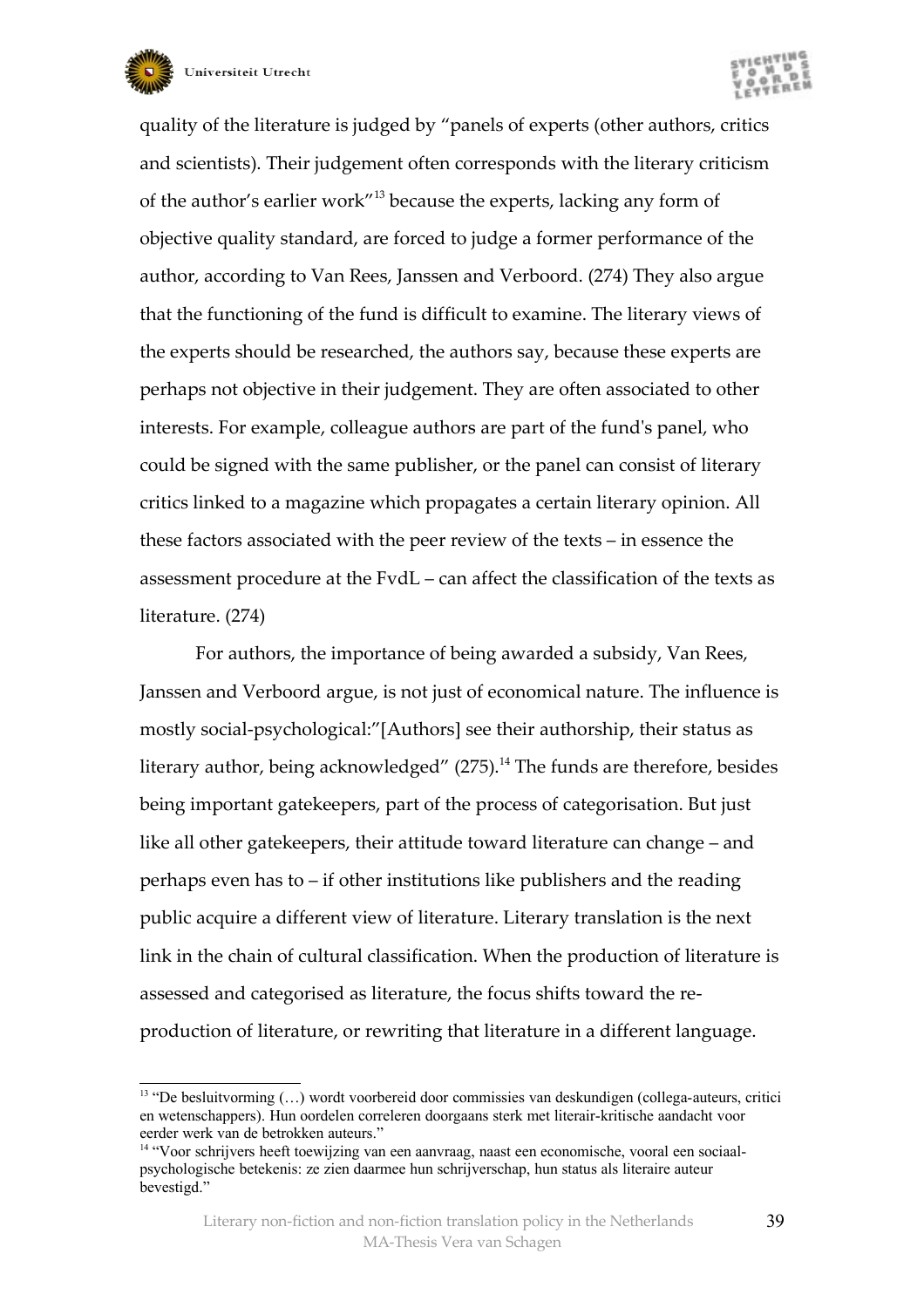

quality of the literature is judged by "panels of experts (other authors, critics and scientists). Their judgement often corresponds with the literary criticism of the author's earlier work"[13](#page-40-0) because the experts, lacking any form of objective quality standard, are forced to judge a former performance of the author, according to Van Rees, Janssen and Verboord. (274) They also argue that the functioning of the fund is difficult to examine. The literary views of the experts should be researched, the authors say, because these experts are perhaps not objective in their judgement. They are often associated to other interests. For example, colleague authors are part of the fund's panel, who could be signed with the same publisher, or the panel can consist of literary critics linked to a magazine which propagates a certain literary opinion. All these factors associated with the peer review of the texts – in essence the assessment procedure at the FvdL – can affect the classification of the texts as literature. (274)

For authors, the importance of being awarded a subsidy, Van Rees, Janssen and Verboord argue, is not just of economical nature. The influence is mostly social-psychological:"[Authors] see their authorship, their status as literary author, being acknowledged"  $(275)$ .<sup>[14](#page-40-1)</sup> The funds are therefore, besides being important gatekeepers, part of the process of categorisation. But just like all other gatekeepers, their attitude toward literature can change – and perhaps even has to – if other institutions like publishers and the reading public acquire a different view of literature. Literary translation is the next link in the chain of cultural classification. When the production of literature is assessed and categorised as literature, the focus shifts toward the reproduction of literature, or rewriting that literature in a different language.

<span id="page-40-0"></span><sup>&</sup>lt;sup>13</sup> "De besluitvorming (...) wordt voorbereid door commissies van deskundigen (collega-auteurs, critici en wetenschappers). Hun oordelen correleren doorgaans sterk met literair-kritische aandacht voor eerder werk van de betrokken auteurs."

<span id="page-40-1"></span><sup>14</sup> "Voor schrijvers heeft toewijzing van een aanvraag, naast een economische, vooral een sociaalpsychologische betekenis: ze zien daarmee hun schrijverschap, hun status als literaire auteur bevestigd."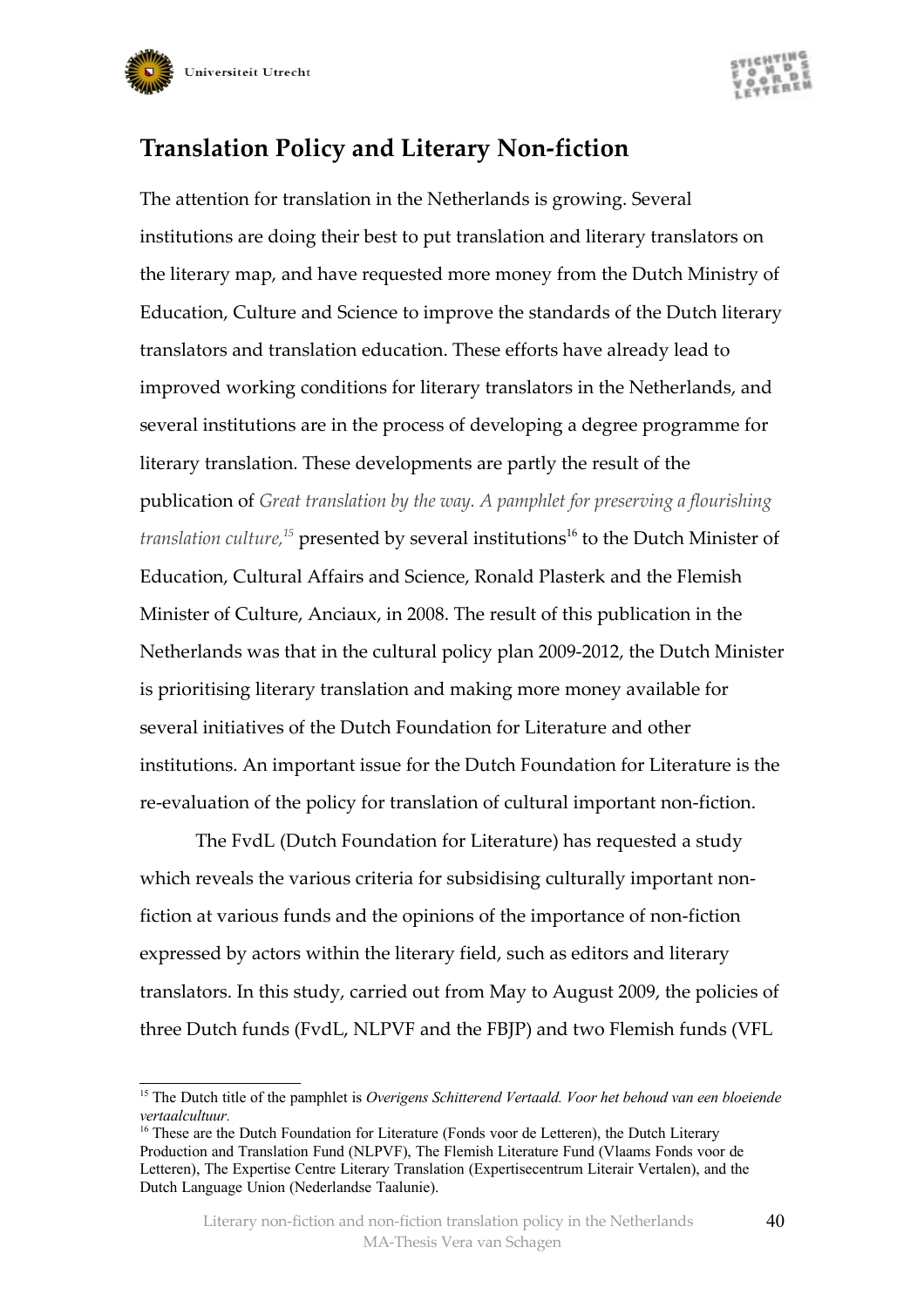

# **Translation Policy and Literary Non-fiction**

The attention for translation in the Netherlands is growing. Several institutions are doing their best to put translation and literary translators on the literary map, and have requested more money from the Dutch Ministry of Education, Culture and Science to improve the standards of the Dutch literary translators and translation education. These efforts have already lead to improved working conditions for literary translators in the Netherlands, and several institutions are in the process of developing a degree programme for literary translation. These developments are partly the result of the publication of *Great translation by the way. A pamphlet for preserving a flourishing translation culture*,<sup> $15$ </sup> presented by several institutions<sup>[16](#page-41-1)</sup> to the Dutch Minister of Education, Cultural Affairs and Science, Ronald Plasterk and the Flemish Minister of Culture, Anciaux, in 2008. The result of this publication in the Netherlands was that in the cultural policy plan 2009-2012, the Dutch Minister is prioritising literary translation and making more money available for several initiatives of the Dutch Foundation for Literature and other institutions. An important issue for the Dutch Foundation for Literature is the re-evaluation of the policy for translation of cultural important non-fiction.

The FvdL (Dutch Foundation for Literature) has requested a study which reveals the various criteria for subsidising culturally important nonfiction at various funds and the opinions of the importance of non-fiction expressed by actors within the literary field, such as editors and literary translators. In this study, carried out from May to August 2009, the policies of three Dutch funds (FvdL, NLPVF and the FBJP) and two Flemish funds (VFL

<span id="page-41-0"></span><sup>&</sup>lt;sup>15</sup> The Dutch title of the pamphlet is *Overigens Schitterend Vertaald. Voor het behoud van een bloeiende vertaalcultuur.*

<span id="page-41-1"></span><sup>&</sup>lt;sup>16</sup> These are the Dutch Foundation for Literature (Fonds voor de Letteren), the Dutch Literary Production and Translation Fund (NLPVF), The Flemish Literature Fund (Vlaams Fonds voor de Letteren), The Expertise Centre Literary Translation (Expertisecentrum Literair Vertalen), and the Dutch Language Union (Nederlandse Taalunie).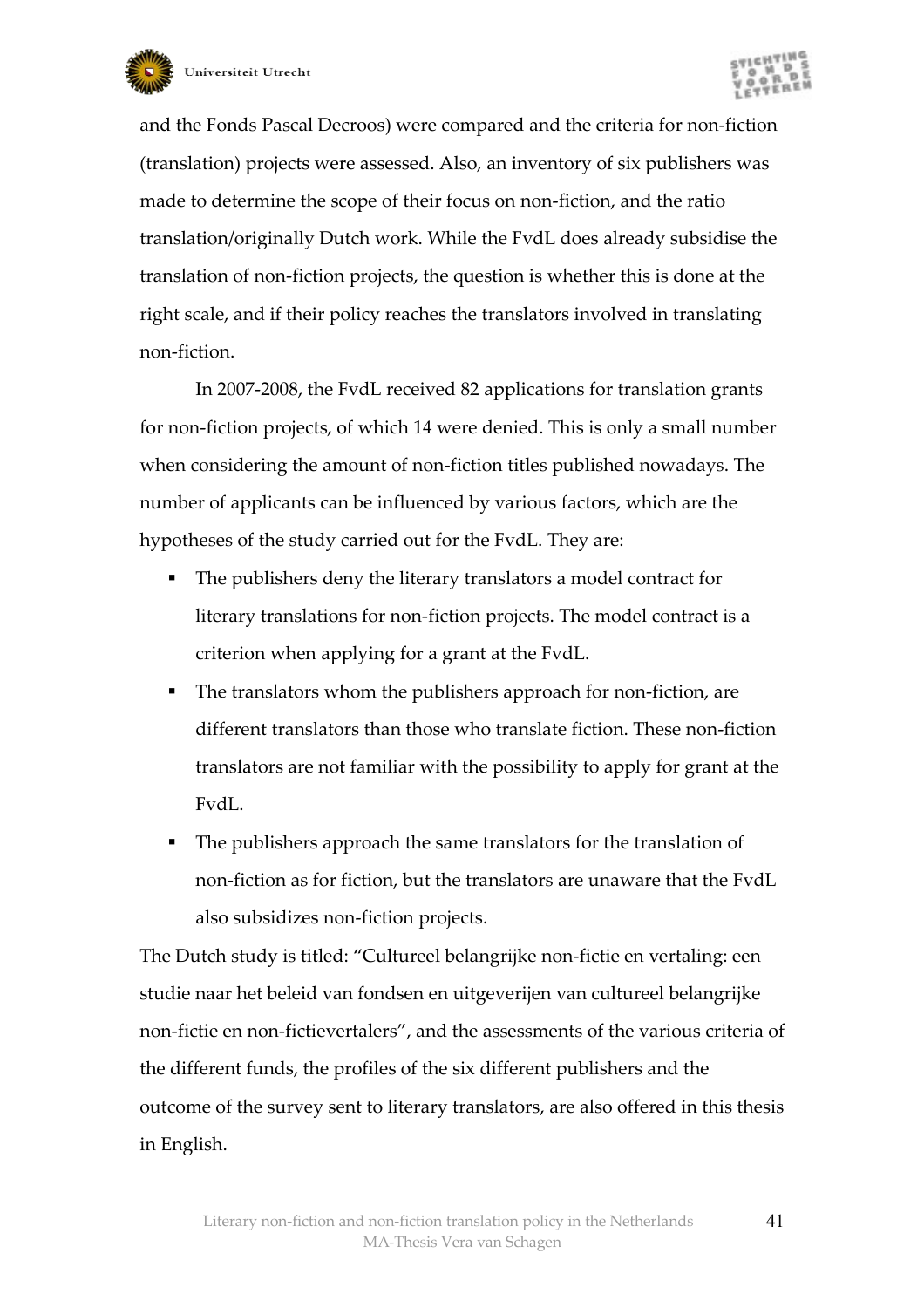

and the Fonds Pascal Decroos) were compared and the criteria for non-fiction (translation) projects were assessed. Also, an inventory of six publishers was made to determine the scope of their focus on non-fiction, and the ratio translation/originally Dutch work. While the FvdL does already subsidise the translation of non-fiction projects, the question is whether this is done at the right scale, and if their policy reaches the translators involved in translating non-fiction.

In 2007-2008, the FvdL received 82 applications for translation grants for non-fiction projects, of which 14 were denied. This is only a small number when considering the amount of non-fiction titles published nowadays. The number of applicants can be influenced by various factors, which are the hypotheses of the study carried out for the FvdL. They are:

- The publishers deny the literary translators a model contract for literary translations for non-fiction projects. The model contract is a criterion when applying for a grant at the FvdL.
- The translators whom the publishers approach for non-fiction, are different translators than those who translate fiction. These non-fiction translators are not familiar with the possibility to apply for grant at the FvdL.
- The publishers approach the same translators for the translation of non-fiction as for fiction, but the translators are unaware that the FvdL also subsidizes non-fiction projects.

The Dutch study is titled: "Cultureel belangrijke non-fictie en vertaling: een studie naar het beleid van fondsen en uitgeverijen van cultureel belangrijke non-fictie en non-fictievertalers", and the assessments of the various criteria of the different funds, the profiles of the six different publishers and the outcome of the survey sent to literary translators, are also offered in this thesis in English.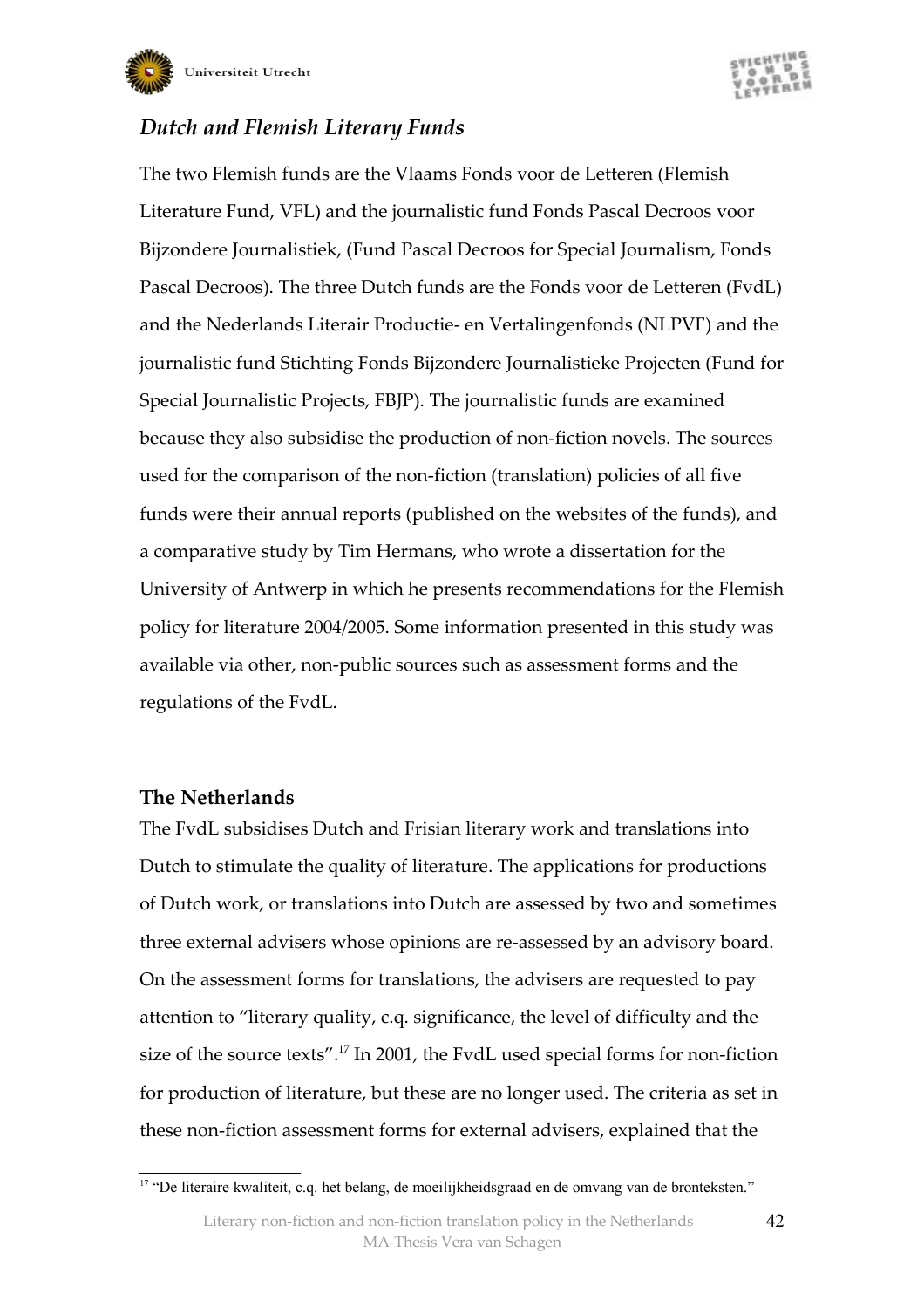

# *Dutch and Flemish Literary Funds*

The two Flemish funds are the Vlaams Fonds voor de Letteren (Flemish Literature Fund, VFL) and the journalistic fund Fonds Pascal Decroos voor Bijzondere Journalistiek, (Fund Pascal Decroos for Special Journalism, Fonds Pascal Decroos). The three Dutch funds are the Fonds voor de Letteren (FvdL) and the Nederlands Literair Productie- en Vertalingenfonds (NLPVF) and the journalistic fund Stichting Fonds Bijzondere Journalistieke Projecten (Fund for Special Journalistic Projects, FBJP). The journalistic funds are examined because they also subsidise the production of non-fiction novels. The sources used for the comparison of the non-fiction (translation) policies of all five funds were their annual reports (published on the websites of the funds), and a comparative study by Tim Hermans, who wrote a dissertation for the University of Antwerp in which he presents recommendations for the Flemish policy for literature 2004/2005. Some information presented in this study was available via other, non-public sources such as assessment forms and the regulations of the FvdL.

#### **The Netherlands**

The FvdL subsidises Dutch and Frisian literary work and translations into Dutch to stimulate the quality of literature. The applications for productions of Dutch work, or translations into Dutch are assessed by two and sometimes three external advisers whose opinions are re-assessed by an advisory board. On the assessment forms for translations, the advisers are requested to pay attention to "literary quality, c.q. significance, the level of difficulty and the size of the source texts".[17](#page-43-0) In 2001, the FvdL used special forms for non-fiction for production of literature, but these are no longer used. The criteria as set in these non-fiction assessment forms for external advisers, explained that the

<span id="page-43-0"></span><sup>&</sup>lt;sup>17</sup> "De literaire kwaliteit, c.q. het belang, de moeilijkheidsgraad en de omvang van de bronteksten."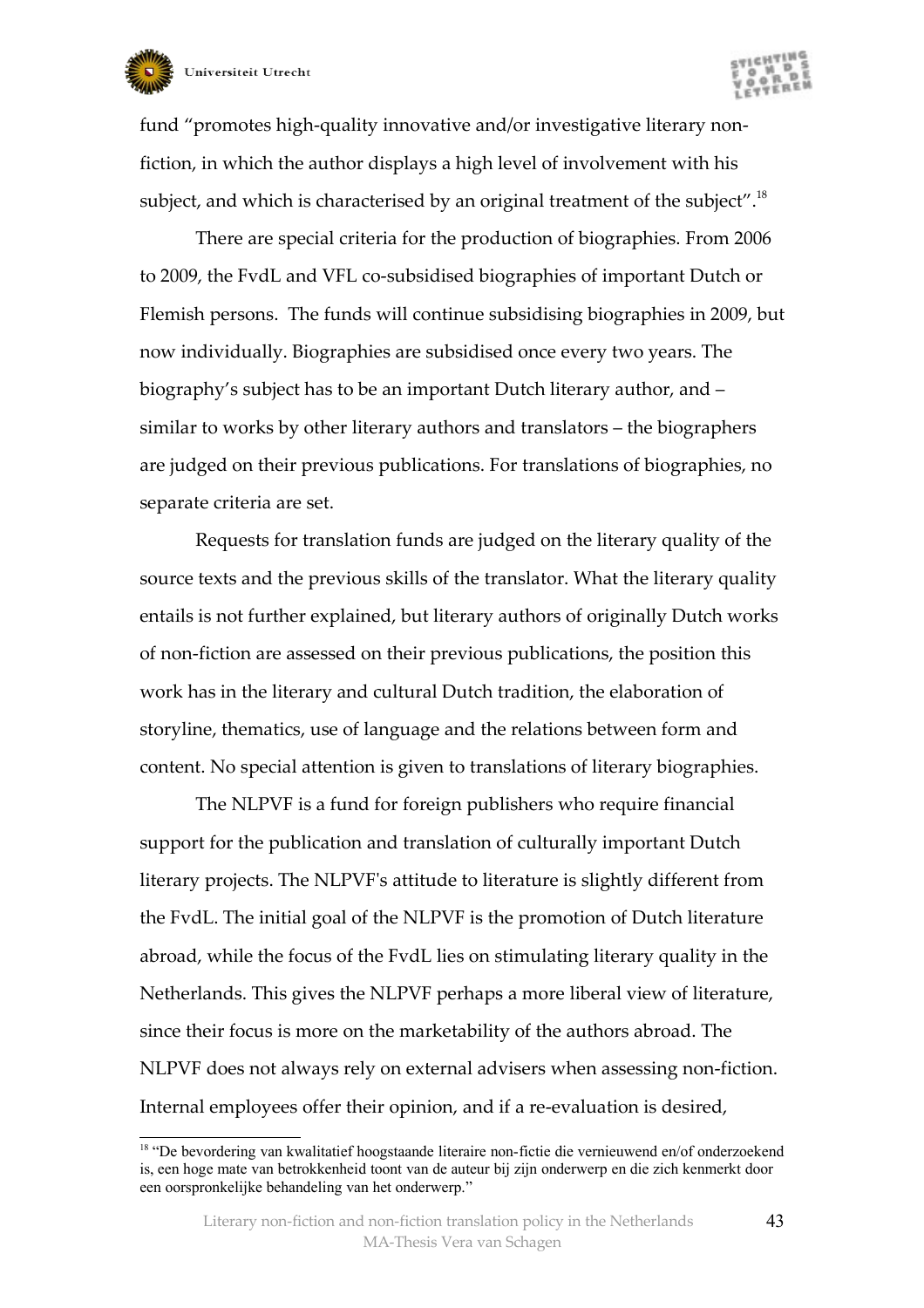

fund "promotes high-quality innovative and/or investigative literary nonfiction, in which the author displays a high level of involvement with his subject, and which is characterised by an original treatment of the subject".<sup>[18](#page-44-0)</sup>

There are special criteria for the production of biographies. From 2006 to 2009, the FvdL and VFL co-subsidised biographies of important Dutch or Flemish persons. The funds will continue subsidising biographies in 2009, but now individually. Biographies are subsidised once every two years. The biography's subject has to be an important Dutch literary author, and – similar to works by other literary authors and translators – the biographers are judged on their previous publications. For translations of biographies, no separate criteria are set.

Requests for translation funds are judged on the literary quality of the source texts and the previous skills of the translator. What the literary quality entails is not further explained, but literary authors of originally Dutch works of non-fiction are assessed on their previous publications, the position this work has in the literary and cultural Dutch tradition, the elaboration of storyline, thematics, use of language and the relations between form and content. No special attention is given to translations of literary biographies.

The NLPVF is a fund for foreign publishers who require financial support for the publication and translation of culturally important Dutch literary projects. The NLPVF's attitude to literature is slightly different from the FvdL. The initial goal of the NLPVF is the promotion of Dutch literature abroad, while the focus of the FvdL lies on stimulating literary quality in the Netherlands. This gives the NLPVF perhaps a more liberal view of literature, since their focus is more on the marketability of the authors abroad. The NLPVF does not always rely on external advisers when assessing non-fiction. Internal employees offer their opinion, and if a re-evaluation is desired,

<span id="page-44-0"></span><sup>&</sup>lt;sup>18</sup> "De bevordering van kwalitatief hoogstaande literaire non-fictie die vernieuwend en/of onderzoekend is, een hoge mate van betrokkenheid toont van de auteur bij zijn onderwerp en die zich kenmerkt door een oorspronkelijke behandeling van het onderwerp."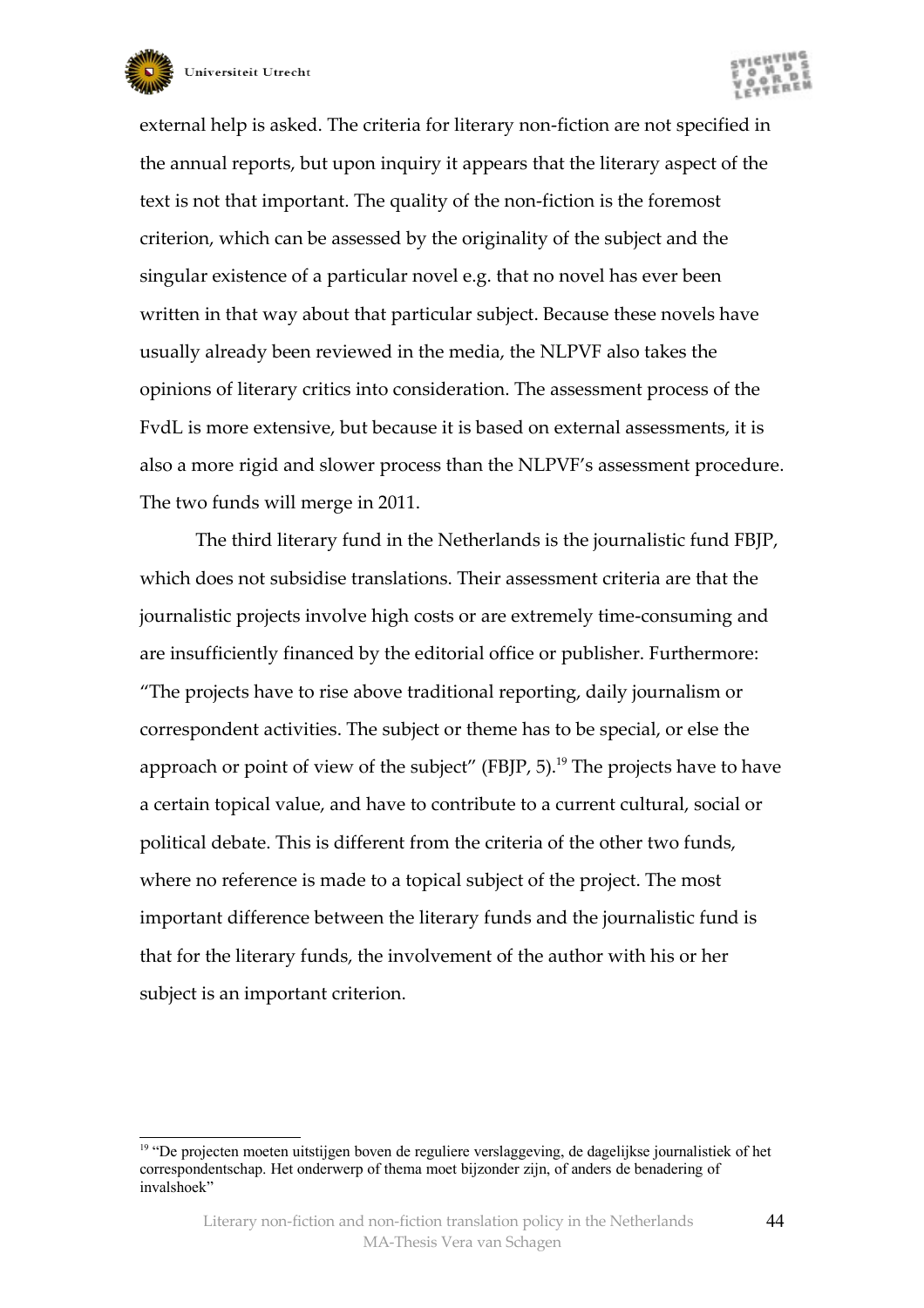

external help is asked. The criteria for literary non-fiction are not specified in the annual reports, but upon inquiry it appears that the literary aspect of the text is not that important. The quality of the non-fiction is the foremost criterion, which can be assessed by the originality of the subject and the singular existence of a particular novel e.g. that no novel has ever been written in that way about that particular subject. Because these novels have usually already been reviewed in the media, the NLPVF also takes the opinions of literary critics into consideration. The assessment process of the FvdL is more extensive, but because it is based on external assessments, it is also a more rigid and slower process than the NLPVF's assessment procedure. The two funds will merge in 2011.

The third literary fund in the Netherlands is the journalistic fund FBJP, which does not subsidise translations. Their assessment criteria are that the journalistic projects involve high costs or are extremely time-consuming and are insufficiently financed by the editorial office or publisher. Furthermore: "The projects have to rise above traditional reporting, daily journalism or correspondent activities. The subject or theme has to be special, or else the approach or point of view of the subject" (FBJP, 5).<sup>[19](#page-45-0)</sup> The projects have to have a certain topical value, and have to contribute to a current cultural, social or political debate. This is different from the criteria of the other two funds, where no reference is made to a topical subject of the project. The most important difference between the literary funds and the journalistic fund is that for the literary funds, the involvement of the author with his or her subject is an important criterion.

<span id="page-45-0"></span><sup>19</sup> "De projecten moeten uitstijgen boven de reguliere verslaggeving, de dagelijkse journalistiek of het correspondentschap. Het onderwerp of thema moet bijzonder zijn, of anders de benadering of invalshoek"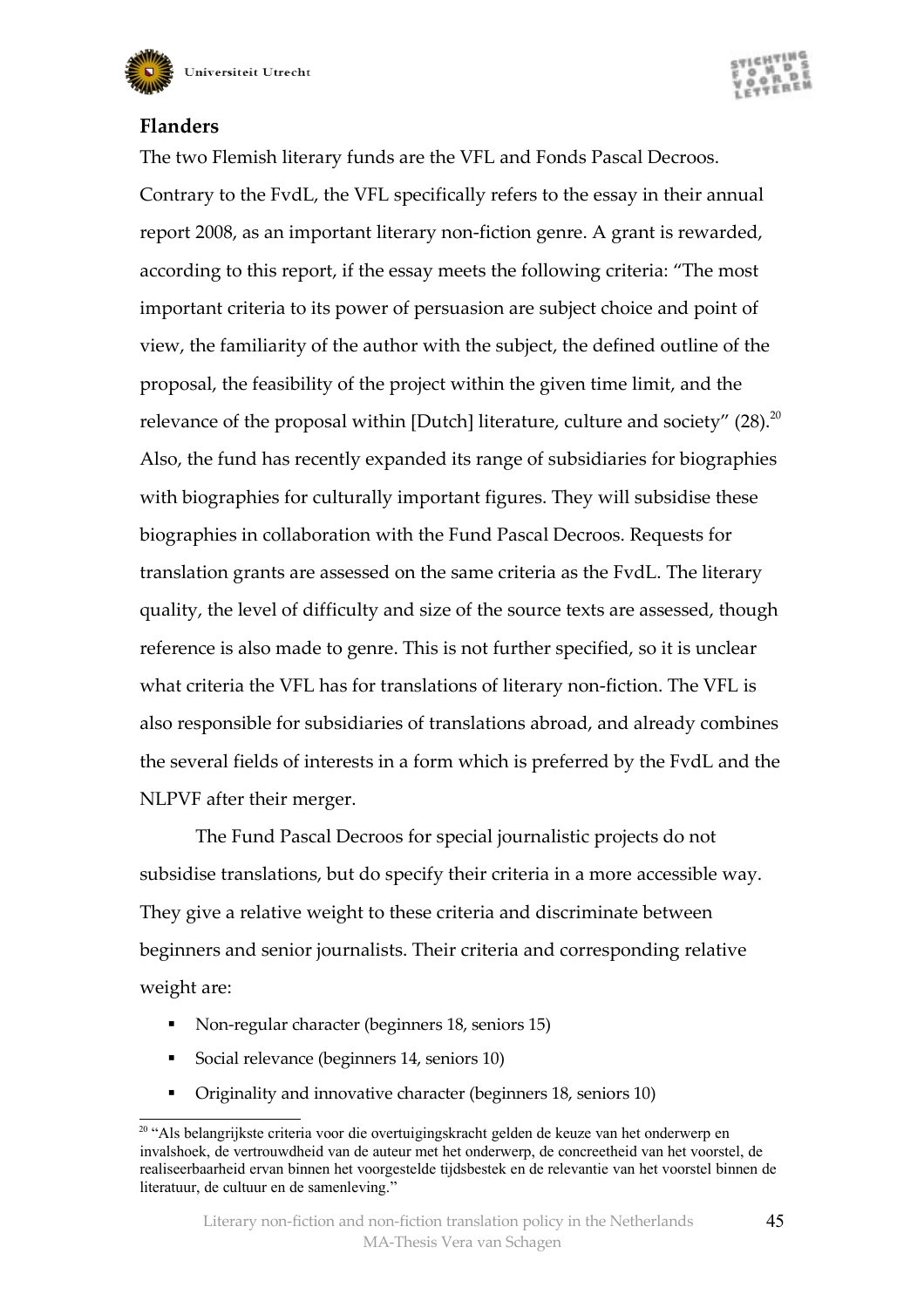

## **Flanders**

The two Flemish literary funds are the VFL and Fonds Pascal Decroos. Contrary to the FvdL, the VFL specifically refers to the essay in their annual report 2008, as an important literary non-fiction genre. A grant is rewarded, according to this report, if the essay meets the following criteria: "The most important criteria to its power of persuasion are subject choice and point of view, the familiarity of the author with the subject, the defined outline of the proposal, the feasibility of the project within the given time limit, and the relevance of the proposal within [Dutch] literature, culture and society"  $(28)^{20}$  $(28)^{20}$  $(28)^{20}$ . Also, the fund has recently expanded its range of subsidiaries for biographies with biographies for culturally important figures. They will subsidise these biographies in collaboration with the Fund Pascal Decroos. Requests for translation grants are assessed on the same criteria as the FvdL. The literary quality, the level of difficulty and size of the source texts are assessed, though reference is also made to genre. This is not further specified, so it is unclear what criteria the VFL has for translations of literary non-fiction. The VFL is also responsible for subsidiaries of translations abroad, and already combines the several fields of interests in a form which is preferred by the FvdL and the NLPVF after their merger.

The Fund Pascal Decroos for special journalistic projects do not subsidise translations, but do specify their criteria in a more accessible way. They give a relative weight to these criteria and discriminate between beginners and senior journalists. Their criteria and corresponding relative weight are:

- Non-regular character (beginners 18, seniors 15)
- Social relevance (beginners 14, seniors 10)
- Originality and innovative character (beginners 18, seniors 10)

<span id="page-46-0"></span><sup>&</sup>lt;sup>20</sup> "Als belangrijkste criteria voor die overtuigingskracht gelden de keuze van het onderwerp en invalshoek, de vertrouwdheid van de auteur met het onderwerp, de concreetheid van het voorstel, de realiseerbaarheid ervan binnen het voorgestelde tijdsbestek en de relevantie van het voorstel binnen de literatuur, de cultuur en de samenleving."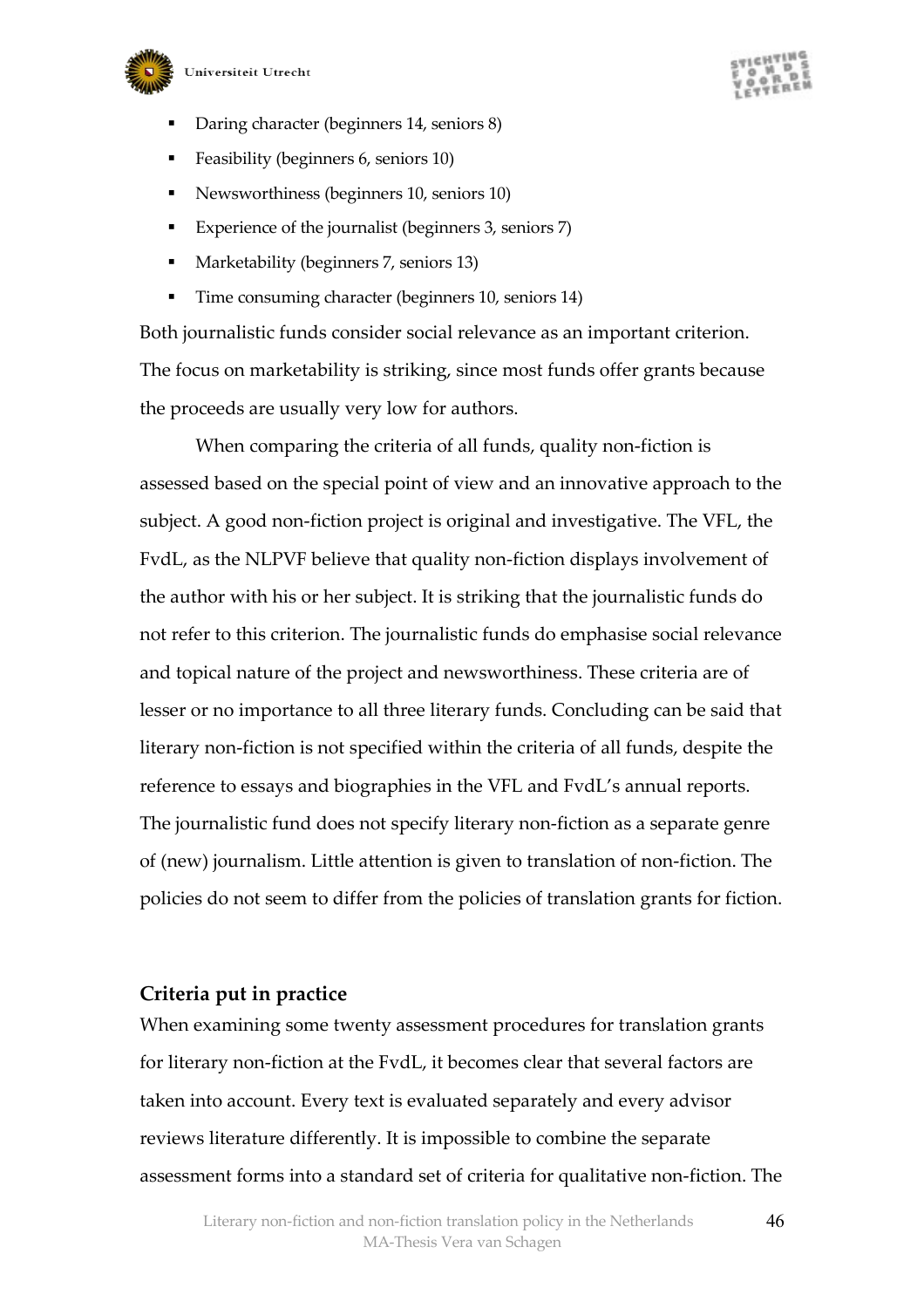

- Daring character (beginners 14, seniors 8)
- Feasibility (beginners 6, seniors 10)
- Newsworthiness (beginners 10, seniors 10)
- Experience of the journalist (beginners 3, seniors 7)
- Marketability (beginners 7, seniors 13)
- Time consuming character (beginners 10, seniors 14)

Both journalistic funds consider social relevance as an important criterion. The focus on marketability is striking, since most funds offer grants because the proceeds are usually very low for authors.

When comparing the criteria of all funds, quality non-fiction is assessed based on the special point of view and an innovative approach to the subject. A good non-fiction project is original and investigative. The VFL, the FvdL, as the NLPVF believe that quality non-fiction displays involvement of the author with his or her subject. It is striking that the journalistic funds do not refer to this criterion. The journalistic funds do emphasise social relevance and topical nature of the project and newsworthiness. These criteria are of lesser or no importance to all three literary funds. Concluding can be said that literary non-fiction is not specified within the criteria of all funds, despite the reference to essays and biographies in the VFL and FvdL's annual reports. The journalistic fund does not specify literary non-fiction as a separate genre of (new) journalism. Little attention is given to translation of non-fiction. The policies do not seem to differ from the policies of translation grants for fiction.

#### **Criteria put in practice**

When examining some twenty assessment procedures for translation grants for literary non-fiction at the FvdL, it becomes clear that several factors are taken into account. Every text is evaluated separately and every advisor reviews literature differently. It is impossible to combine the separate assessment forms into a standard set of criteria for qualitative non-fiction. The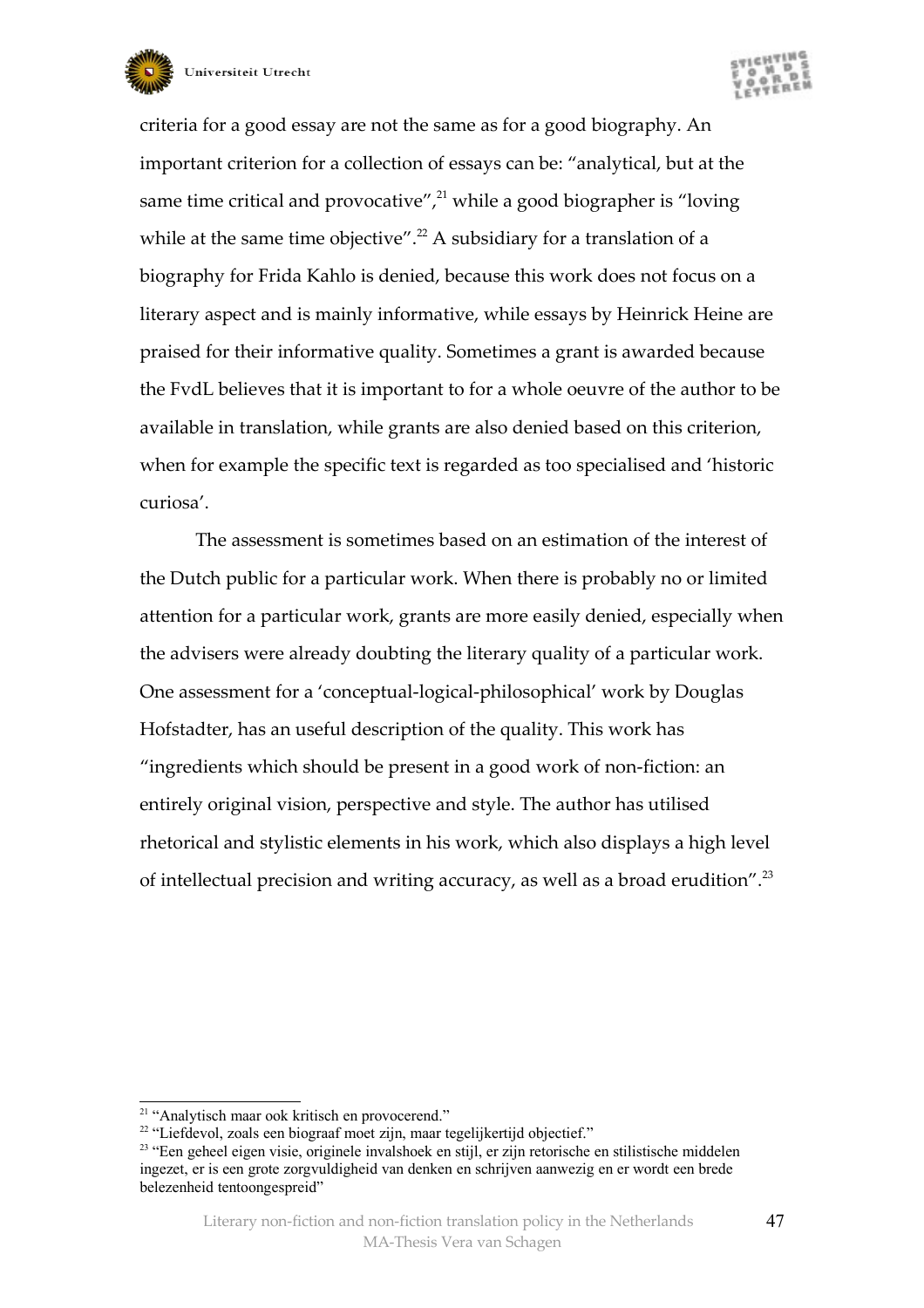

**TICHTIN** 

criteria for a good essay are not the same as for a good biography. An important criterion for a collection of essays can be: "analytical, but at the same time critical and provocative", $^{21}$  $^{21}$  $^{21}$  while a good biographer is "loving" while at the same time objective".<sup>[22](#page-48-1)</sup> A subsidiary for a translation of a biography for Frida Kahlo is denied, because this work does not focus on a literary aspect and is mainly informative, while essays by Heinrick Heine are praised for their informative quality. Sometimes a grant is awarded because the FvdL believes that it is important to for a whole oeuvre of the author to be available in translation, while grants are also denied based on this criterion, when for example the specific text is regarded as too specialised and 'historic curiosa'.

The assessment is sometimes based on an estimation of the interest of the Dutch public for a particular work. When there is probably no or limited attention for a particular work, grants are more easily denied, especially when the advisers were already doubting the literary quality of a particular work. One assessment for a 'conceptual-logical-philosophical' work by Douglas Hofstadter, has an useful description of the quality. This work has "ingredients which should be present in a good work of non-fiction: an entirely original vision, perspective and style. The author has utilised rhetorical and stylistic elements in his work, which also displays a high level of intellectual precision and writing accuracy, as well as a broad erudition".<sup>[23](#page-48-2)</sup>

<span id="page-48-0"></span><sup>&</sup>lt;sup>21</sup> "Analytisch maar ook kritisch en provocerend."

<span id="page-48-1"></span><sup>&</sup>lt;sup>22</sup> "Liefdevol, zoals een biograaf moet zijn, maar tegelijkertijd objectief."

<span id="page-48-2"></span><sup>&</sup>lt;sup>23</sup> "Een geheel eigen visie, originele invalshoek en stijl, er zijn retorische en stilistische middelen ingezet, er is een grote zorgvuldigheid van denken en schrijven aanwezig en er wordt een brede belezenheid tentoongespreid"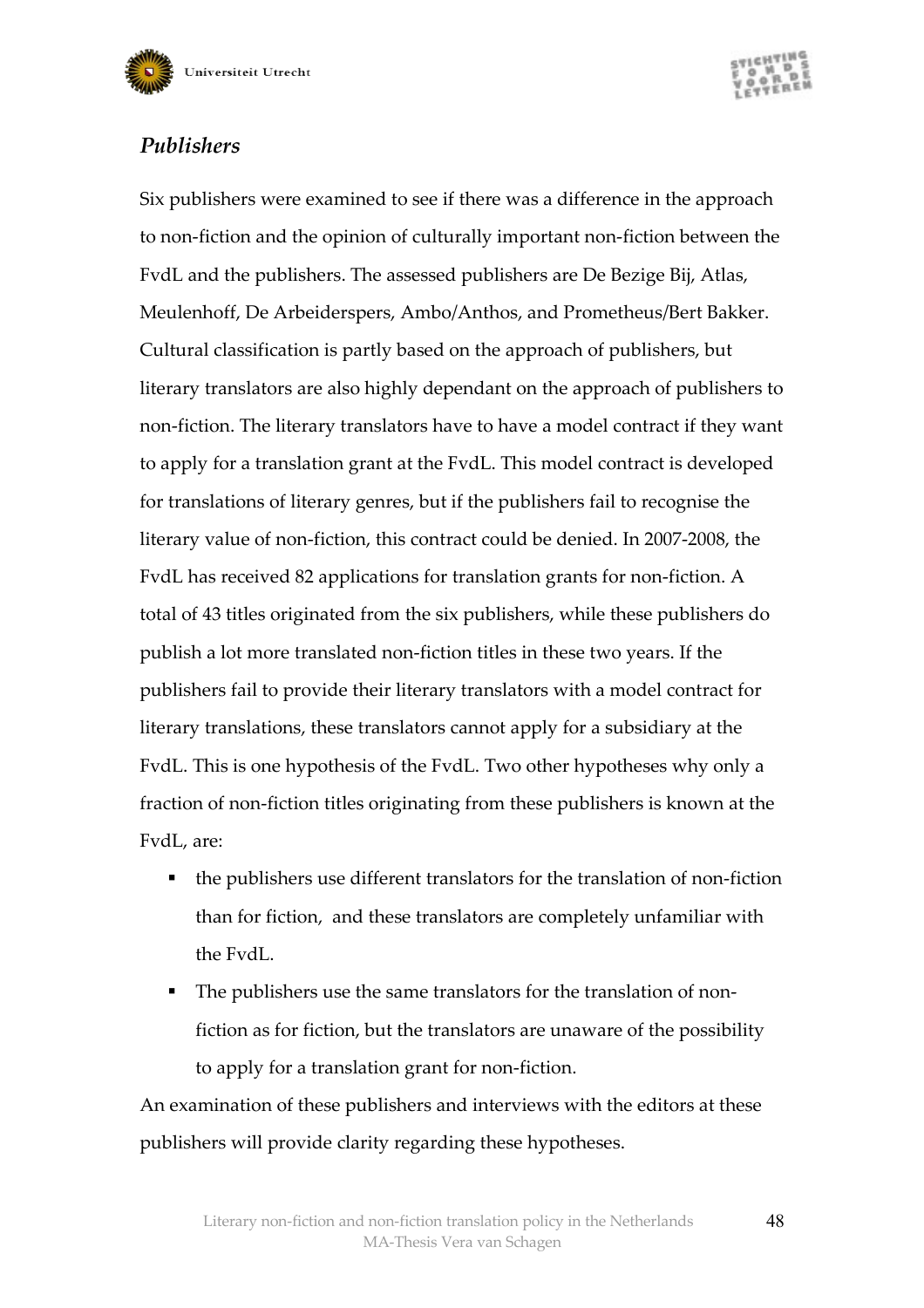

# *Publishers*

Six publishers were examined to see if there was a difference in the approach to non-fiction and the opinion of culturally important non-fiction between the FvdL and the publishers. The assessed publishers are De Bezige Bij, Atlas, Meulenhoff, De Arbeiderspers, Ambo/Anthos, and Prometheus/Bert Bakker. Cultural classification is partly based on the approach of publishers, but literary translators are also highly dependant on the approach of publishers to non-fiction. The literary translators have to have a model contract if they want to apply for a translation grant at the FvdL. This model contract is developed for translations of literary genres, but if the publishers fail to recognise the literary value of non-fiction, this contract could be denied. In 2007-2008, the FvdL has received 82 applications for translation grants for non-fiction. A total of 43 titles originated from the six publishers, while these publishers do publish a lot more translated non-fiction titles in these two years. If the publishers fail to provide their literary translators with a model contract for literary translations, these translators cannot apply for a subsidiary at the FvdL. This is one hypothesis of the FvdL. Two other hypotheses why only a fraction of non-fiction titles originating from these publishers is known at the FvdL, are:

- the publishers use different translators for the translation of non-fiction than for fiction, and these translators are completely unfamiliar with the FvdL.
- The publishers use the same translators for the translation of nonfiction as for fiction, but the translators are unaware of the possibility to apply for a translation grant for non-fiction.

An examination of these publishers and interviews with the editors at these publishers will provide clarity regarding these hypotheses.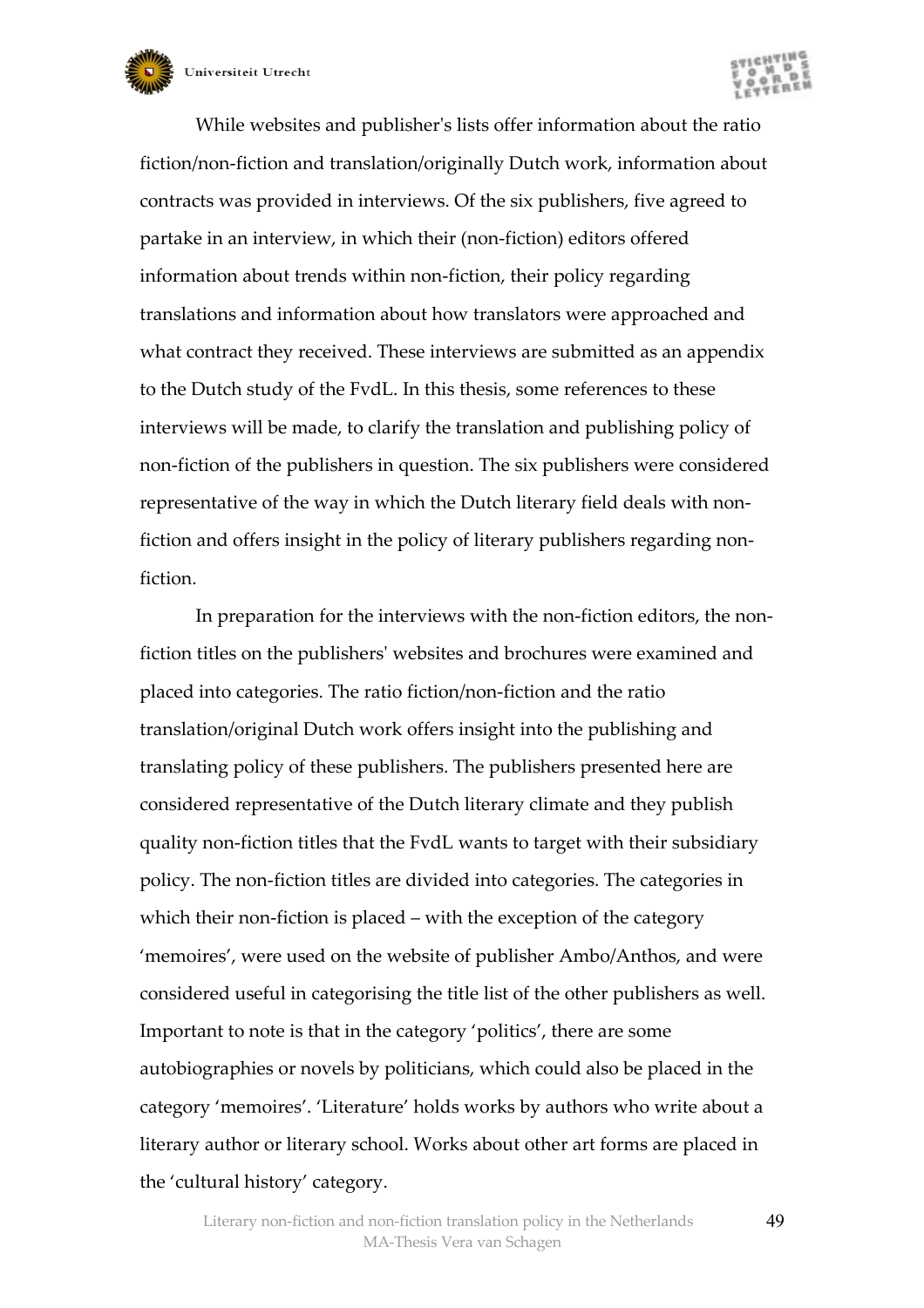

While websites and publisher's lists offer information about the ratio fiction/non-fiction and translation/originally Dutch work, information about contracts was provided in interviews. Of the six publishers, five agreed to partake in an interview, in which their (non-fiction) editors offered information about trends within non-fiction, their policy regarding translations and information about how translators were approached and what contract they received. These interviews are submitted as an appendix to the Dutch study of the FvdL. In this thesis, some references to these interviews will be made, to clarify the translation and publishing policy of non-fiction of the publishers in question. The six publishers were considered representative of the way in which the Dutch literary field deals with nonfiction and offers insight in the policy of literary publishers regarding nonfiction.

In preparation for the interviews with the non-fiction editors, the nonfiction titles on the publishers' websites and brochures were examined and placed into categories. The ratio fiction/non-fiction and the ratio translation/original Dutch work offers insight into the publishing and translating policy of these publishers. The publishers presented here are considered representative of the Dutch literary climate and they publish quality non-fiction titles that the FvdL wants to target with their subsidiary policy. The non-fiction titles are divided into categories. The categories in which their non-fiction is placed – with the exception of the category 'memoires', were used on the website of publisher Ambo/Anthos, and were considered useful in categorising the title list of the other publishers as well. Important to note is that in the category 'politics', there are some autobiographies or novels by politicians, which could also be placed in the category 'memoires'. 'Literature' holds works by authors who write about a literary author or literary school. Works about other art forms are placed in the 'cultural history' category.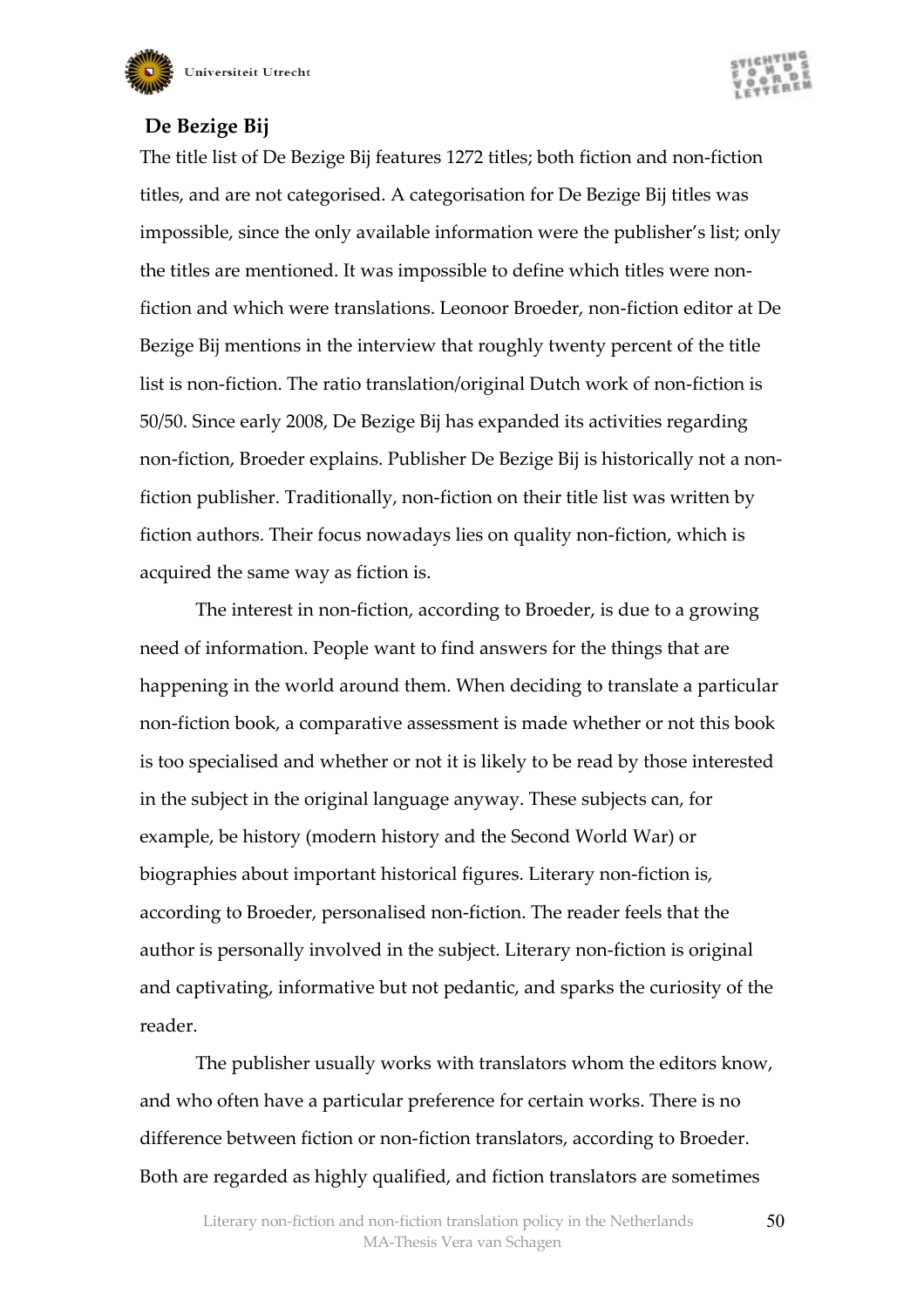

## **De Bezige Bij**

The title list of De Bezige Bij features 1272 titles; both fiction and non-fiction titles, and are not categorised. A categorisation for De Bezige Bij titles was impossible, since the only available information were the publisher's list; only the titles are mentioned. It was impossible to define which titles were nonfiction and which were translations. Leonoor Broeder, non-fiction editor at De Bezige Bij mentions in the interview that roughly twenty percent of the title list is non-fiction. The ratio translation/original Dutch work of non-fiction is 50/50. Since early 2008, De Bezige Bij has expanded its activities regarding non-fiction, Broeder explains. Publisher De Bezige Bij is historically not a nonfiction publisher. Traditionally, non-fiction on their title list was written by fiction authors. Their focus nowadays lies on quality non-fiction, which is acquired the same way as fiction is.

The interest in non-fiction, according to Broeder, is due to a growing need of information. People want to find answers for the things that are happening in the world around them. When deciding to translate a particular non-fiction book, a comparative assessment is made whether or not this book is too specialised and whether or not it is likely to be read by those interested in the subject in the original language anyway. These subjects can, for example, be history (modern history and the Second World War) or biographies about important historical figures. Literary non-fiction is, according to Broeder, personalised non-fiction. The reader feels that the author is personally involved in the subject. Literary non-fiction is original and captivating, informative but not pedantic, and sparks the curiosity of the reader.

The publisher usually works with translators whom the editors know, and who often have a particular preference for certain works. There is no difference between fiction or non-fiction translators, according to Broeder. Both are regarded as highly qualified, and fiction translators are sometimes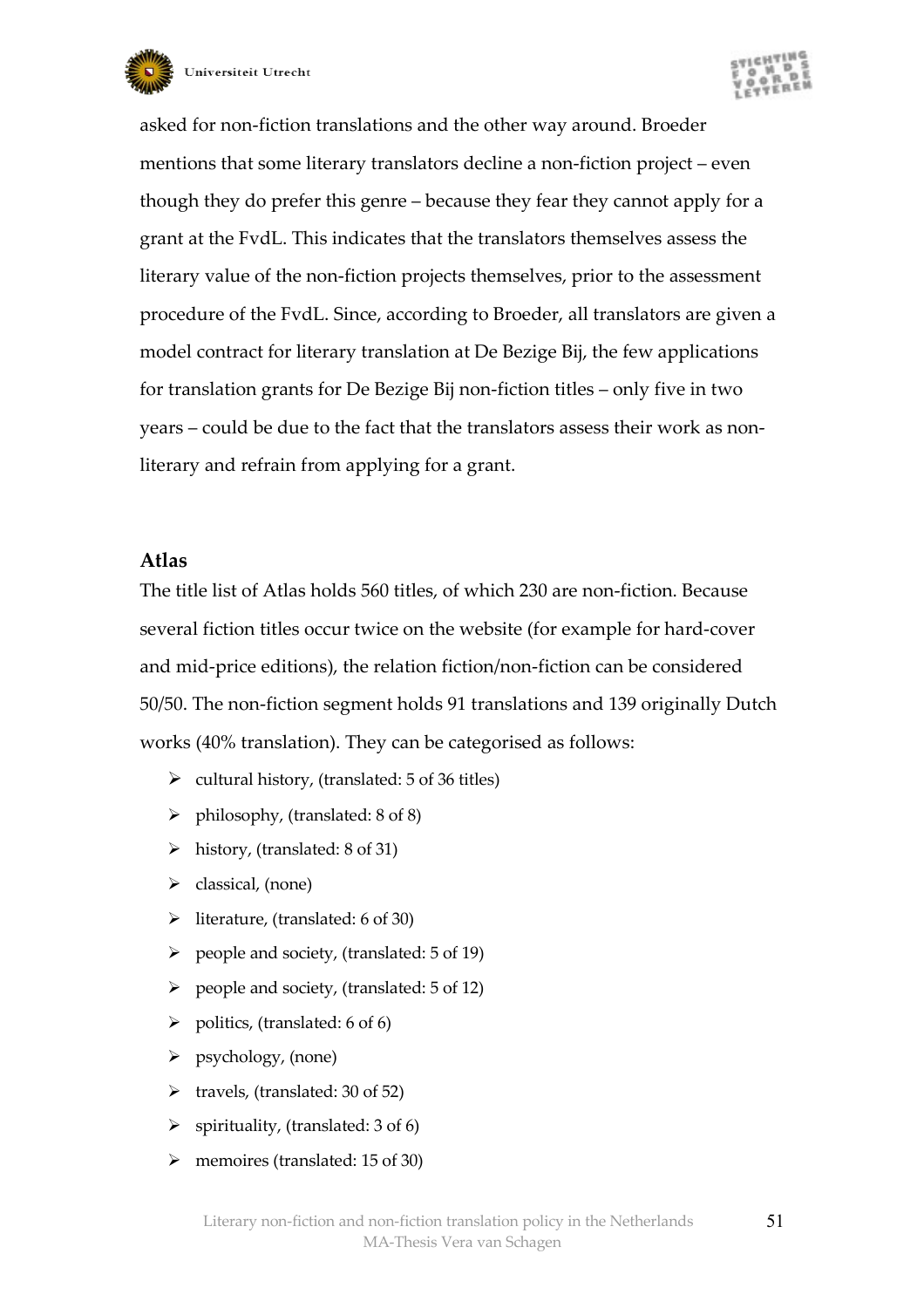

asked for non-fiction translations and the other way around. Broeder mentions that some literary translators decline a non-fiction project – even though they do prefer this genre – because they fear they cannot apply for a grant at the FvdL. This indicates that the translators themselves assess the literary value of the non-fiction projects themselves, prior to the assessment procedure of the FvdL. Since, according to Broeder, all translators are given a model contract for literary translation at De Bezige Bij, the few applications for translation grants for De Bezige Bij non-fiction titles – only five in two years – could be due to the fact that the translators assess their work as nonliterary and refrain from applying for a grant.

#### **Atlas**

The title list of Atlas holds 560 titles, of which 230 are non-fiction. Because several fiction titles occur twice on the website (for example for hard-cover and mid-price editions), the relation fiction/non-fiction can be considered 50/50. The non-fiction segment holds 91 translations and 139 originally Dutch works (40% translation). They can be categorised as follows:

- $\triangleright$  cultural history, (translated: 5 of 36 titles)
- $\triangleright$  philosophy, (translated: 8 of 8)
- $\triangleright$  history, (translated: 8 of 31)
- $\blacktriangleright$  classical, (none)
- $\triangleright$  literature, (translated: 6 of 30)
- $\triangleright$  people and society, (translated: 5 of 19)
- $\triangleright$  people and society, (translated: 5 of 12)
- $\triangleright$  politics, (translated: 6 of 6)
- $\triangleright$  psychology, (none)
- $\triangleright$  travels, (translated: 30 of 52)
- $\triangleright$  spirituality, (translated: 3 of 6)
- $\triangleright$  memoires (translated: 15 of 30)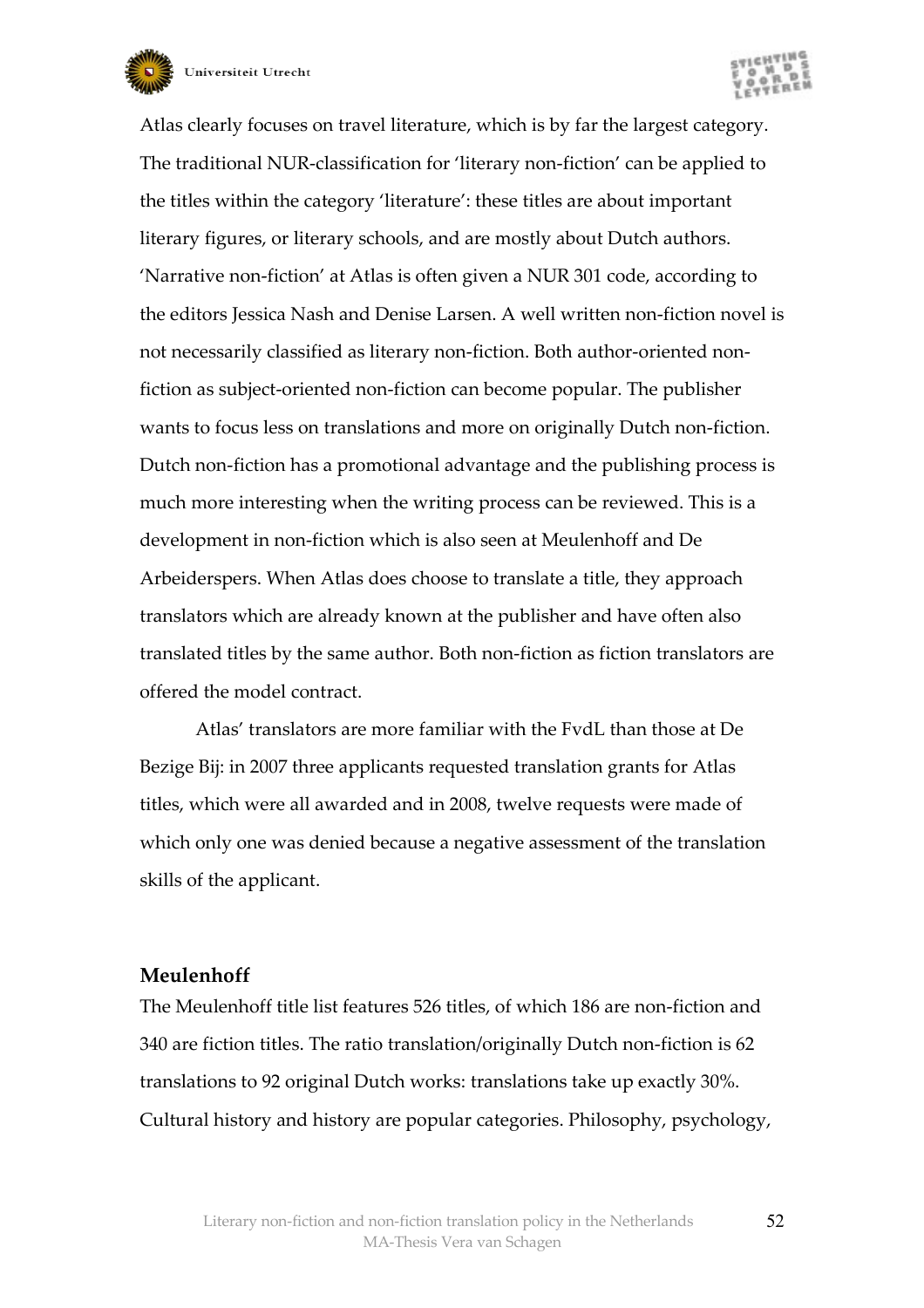

Atlas clearly focuses on travel literature, which is by far the largest category. The traditional NUR-classification for 'literary non-fiction' can be applied to the titles within the category 'literature': these titles are about important literary figures, or literary schools, and are mostly about Dutch authors. 'Narrative non-fiction' at Atlas is often given a NUR 301 code, according to the editors Jessica Nash and Denise Larsen. A well written non-fiction novel is not necessarily classified as literary non-fiction. Both author-oriented nonfiction as subject-oriented non-fiction can become popular. The publisher wants to focus less on translations and more on originally Dutch non-fiction. Dutch non-fiction has a promotional advantage and the publishing process is much more interesting when the writing process can be reviewed. This is a development in non-fiction which is also seen at Meulenhoff and De Arbeiderspers. When Atlas does choose to translate a title, they approach translators which are already known at the publisher and have often also translated titles by the same author. Both non-fiction as fiction translators are offered the model contract.

Atlas' translators are more familiar with the FvdL than those at De Bezige Bij: in 2007 three applicants requested translation grants for Atlas titles, which were all awarded and in 2008, twelve requests were made of which only one was denied because a negative assessment of the translation skills of the applicant.

### **Meulenhoff**

The Meulenhoff title list features 526 titles, of which 186 are non-fiction and 340 are fiction titles. The ratio translation/originally Dutch non-fiction is 62 translations to 92 original Dutch works: translations take up exactly 30%. Cultural history and history are popular categories. Philosophy, psychology,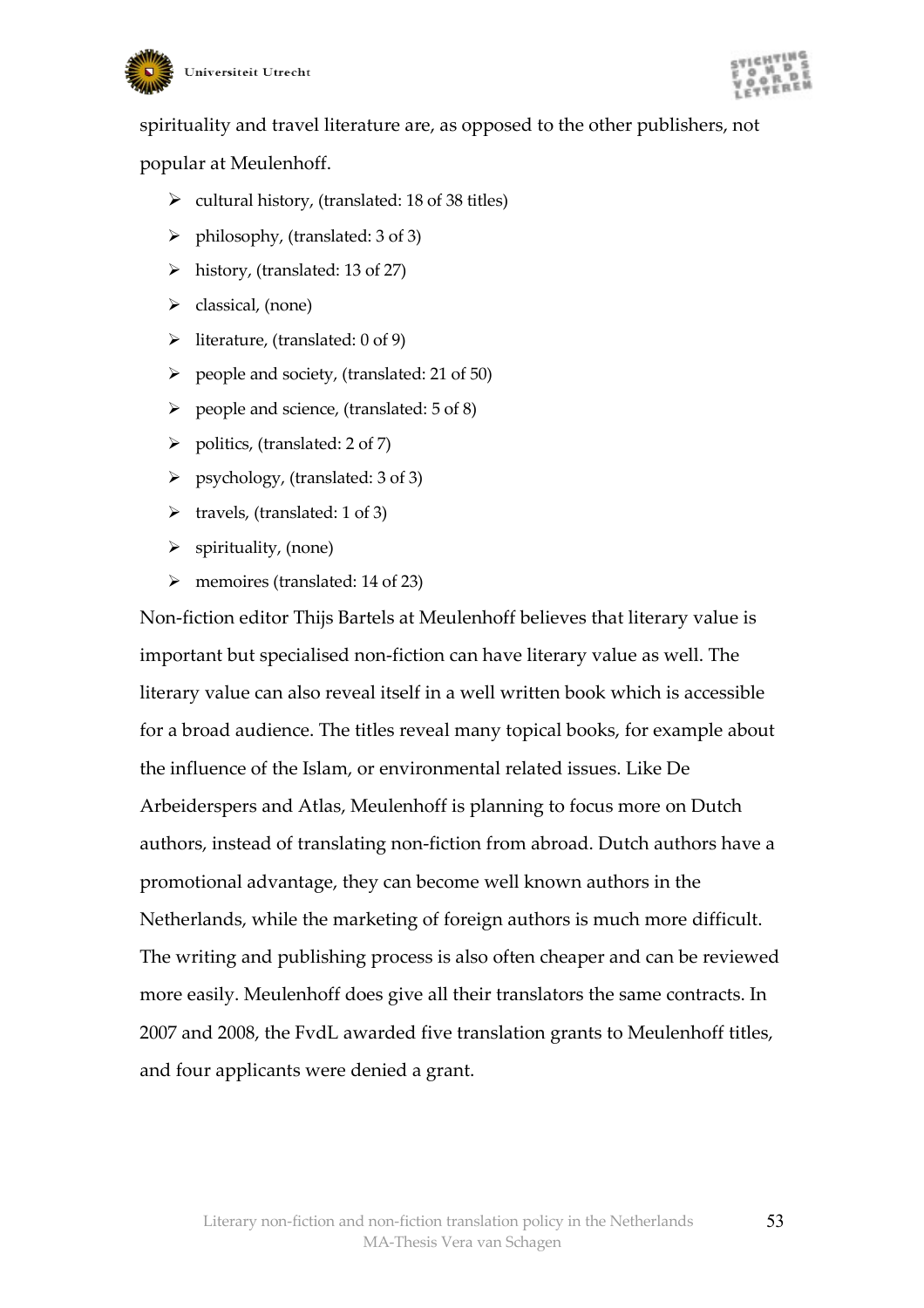

spirituality and travel literature are, as opposed to the other publishers, not

popular at Meulenhoff.

- $\triangleright$  cultural history, (translated: 18 of 38 titles)
- $\blacktriangleright$  philosophy, (translated: 3 of 3)
- $\triangleright$  history, (translated: 13 of 27)
- classical, (none)
- literature, (translated: 0 of 9)
- $\triangleright$  people and society, (translated: 21 of 50)
- $\geq$  people and science, (translated: 5 of 8)
- $\triangleright$  politics, (translated: 2 of 7)
- $\triangleright$  psychology, (translated: 3 of 3)
- $\triangleright$  travels, (translated: 1 of 3)
- $\triangleright$  spirituality, (none)
- $\triangleright$  memoires (translated: 14 of 23)

Non-fiction editor Thijs Bartels at Meulenhoff believes that literary value is important but specialised non-fiction can have literary value as well. The literary value can also reveal itself in a well written book which is accessible for a broad audience. The titles reveal many topical books, for example about the influence of the Islam, or environmental related issues. Like De Arbeiderspers and Atlas, Meulenhoff is planning to focus more on Dutch authors, instead of translating non-fiction from abroad. Dutch authors have a promotional advantage, they can become well known authors in the Netherlands, while the marketing of foreign authors is much more difficult. The writing and publishing process is also often cheaper and can be reviewed more easily. Meulenhoff does give all their translators the same contracts. In 2007 and 2008, the FvdL awarded five translation grants to Meulenhoff titles, and four applicants were denied a grant.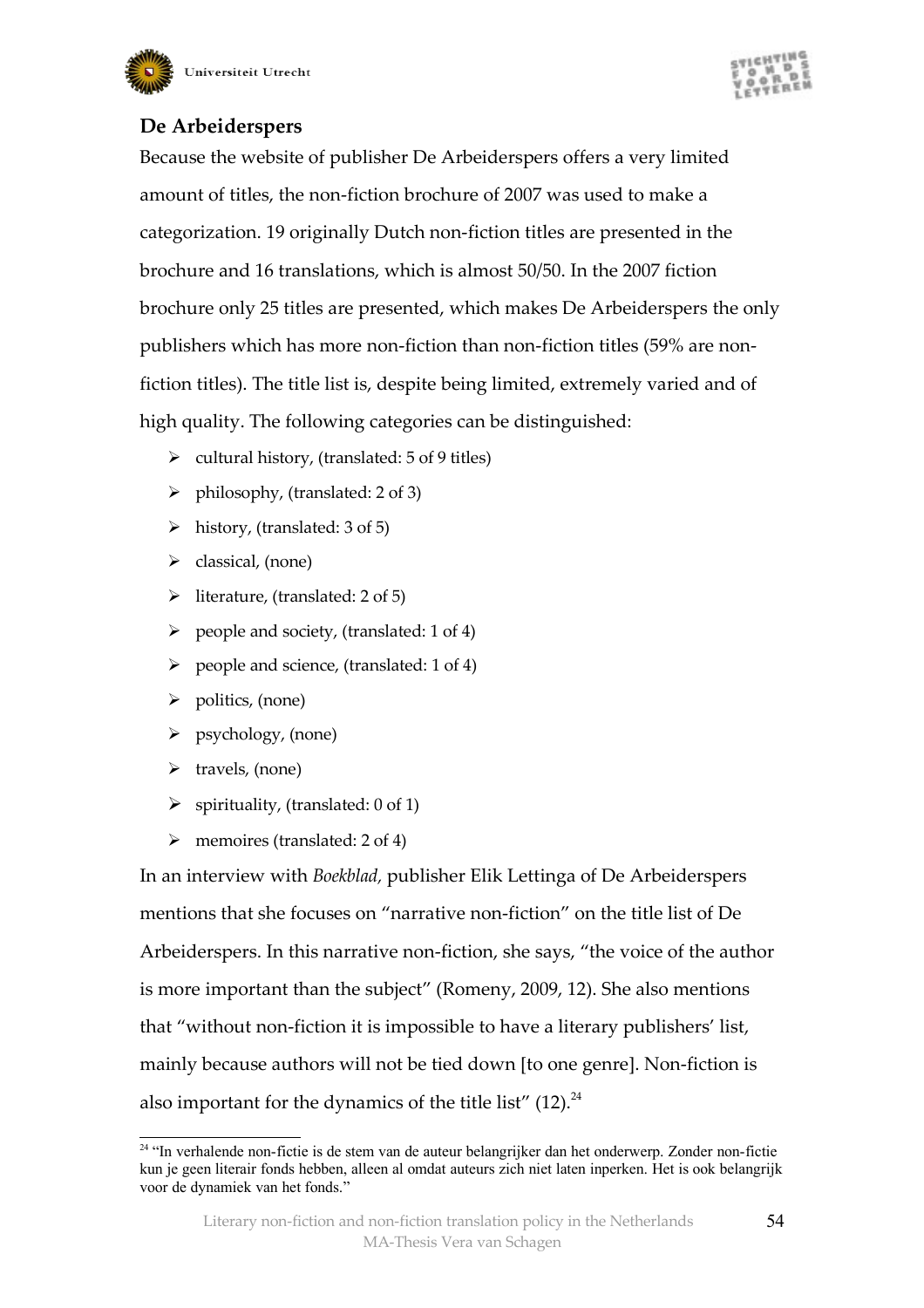

# **De Arbeiderspers**

Because the website of publisher De Arbeiderspers offers a very limited amount of titles, the non-fiction brochure of 2007 was used to make a categorization. 19 originally Dutch non-fiction titles are presented in the brochure and 16 translations, which is almost 50/50. In the 2007 fiction brochure only 25 titles are presented, which makes De Arbeiderspers the only publishers which has more non-fiction than non-fiction titles (59% are nonfiction titles). The title list is, despite being limited, extremely varied and of high quality. The following categories can be distinguished:

- $\triangleright$  cultural history, (translated: 5 of 9 titles)
- $\triangleright$  philosophy, (translated: 2 of 3)
- $\triangleright$  history, (translated: 3 of 5)
- $\blacktriangleright$  classical, (none)
- $\triangleright$  literature, (translated: 2 of 5)
- $\triangleright$  people and society, (translated: 1 of 4)
- $\triangleright$  people and science, (translated: 1 of 4)
- $\triangleright$  politics, (none)
- $\triangleright$  psychology, (none)
- $\triangleright$  travels, (none)
- $\triangleright$  spirituality, (translated: 0 of 1)
- $\triangleright$  memoires (translated: 2 of 4)

In an interview with *Boekblad,* publisher Elik Lettinga of De Arbeiderspers mentions that she focuses on "narrative non-fiction" on the title list of De Arbeiderspers. In this narrative non-fiction, she says, "the voice of the author is more important than the subject" (Romeny, 2009, 12). She also mentions that "without non-fiction it is impossible to have a literary publishers' list, mainly because authors will not be tied down [to one genre]. Non-fiction is also important for the dynamics of the title list"  $(12).^{24}$  $(12).^{24}$  $(12).^{24}$ 

<span id="page-55-0"></span><sup>&</sup>lt;sup>24</sup> "In verhalende non-fictie is de stem van de auteur belangrijker dan het onderwerp. Zonder non-fictie kun je geen literair fonds hebben, alleen al omdat auteurs zich niet laten inperken. Het is ook belangrijk voor de dynamiek van het fonds."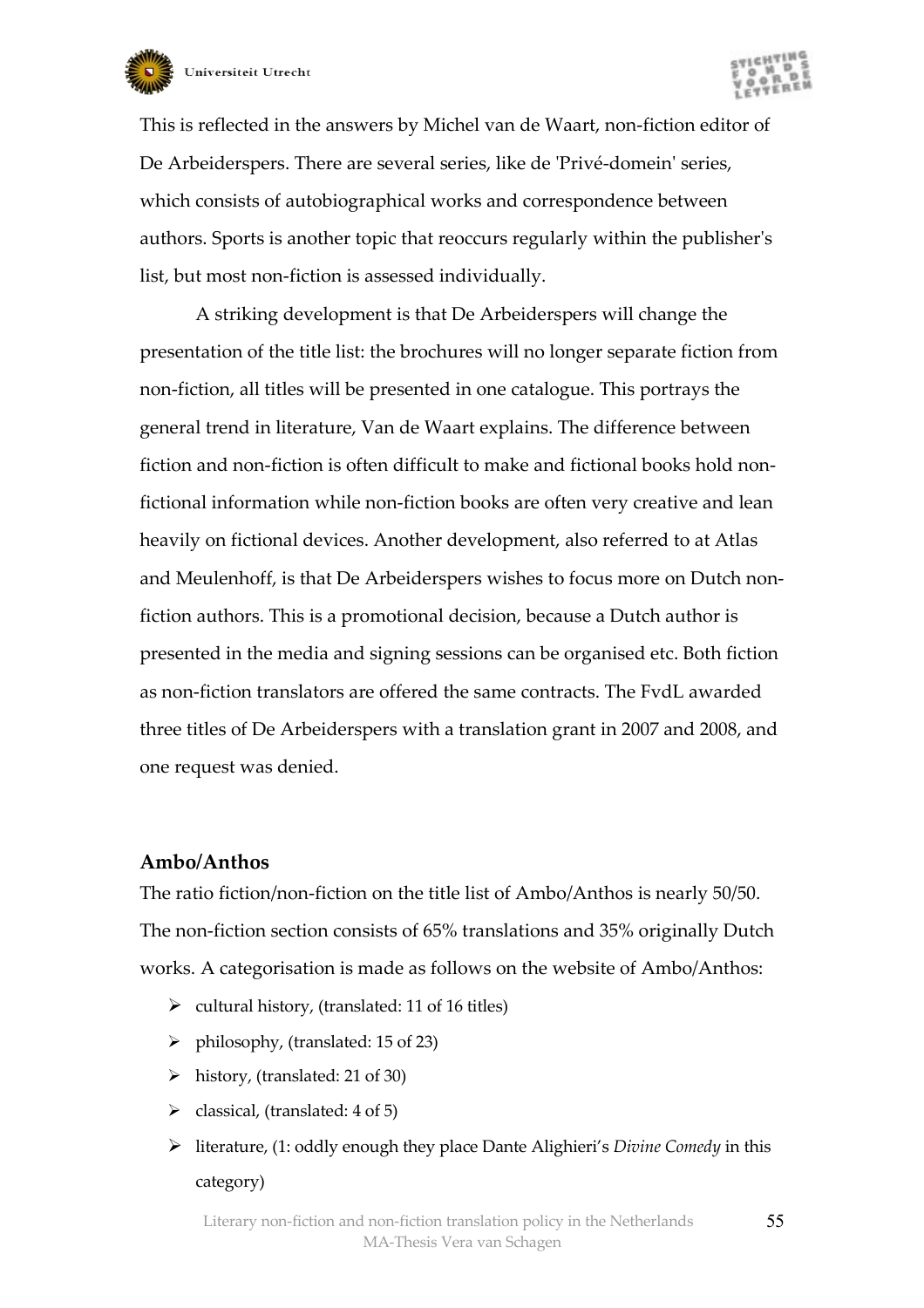

This is reflected in the answers by Michel van de Waart, non-fiction editor of De Arbeiderspers. There are several series, like de 'Privé-domein' series, which consists of autobiographical works and correspondence between authors. Sports is another topic that reoccurs regularly within the publisher's list, but most non-fiction is assessed individually.

A striking development is that De Arbeiderspers will change the presentation of the title list: the brochures will no longer separate fiction from non-fiction, all titles will be presented in one catalogue. This portrays the general trend in literature, Van de Waart explains. The difference between fiction and non-fiction is often difficult to make and fictional books hold nonfictional information while non-fiction books are often very creative and lean heavily on fictional devices. Another development, also referred to at Atlas and Meulenhoff, is that De Arbeiderspers wishes to focus more on Dutch nonfiction authors. This is a promotional decision, because a Dutch author is presented in the media and signing sessions can be organised etc. Both fiction as non-fiction translators are offered the same contracts. The FvdL awarded three titles of De Arbeiderspers with a translation grant in 2007 and 2008, and one request was denied.

#### **Ambo/Anthos**

The ratio fiction/non-fiction on the title list of Ambo/Anthos is nearly 50/50. The non-fiction section consists of 65% translations and 35% originally Dutch works. A categorisation is made as follows on the website of Ambo/Anthos:

- $\triangleright$  cultural history, (translated: 11 of 16 titles)
- $\blacktriangleright$  philosophy, (translated: 15 of 23)
- $\triangleright$  history, (translated: 21 of 30)
- $\triangleright$  classical, (translated: 4 of 5)
- literature, (1: oddly enough they place Dante Alighieri's *Divine Comedy* in this category)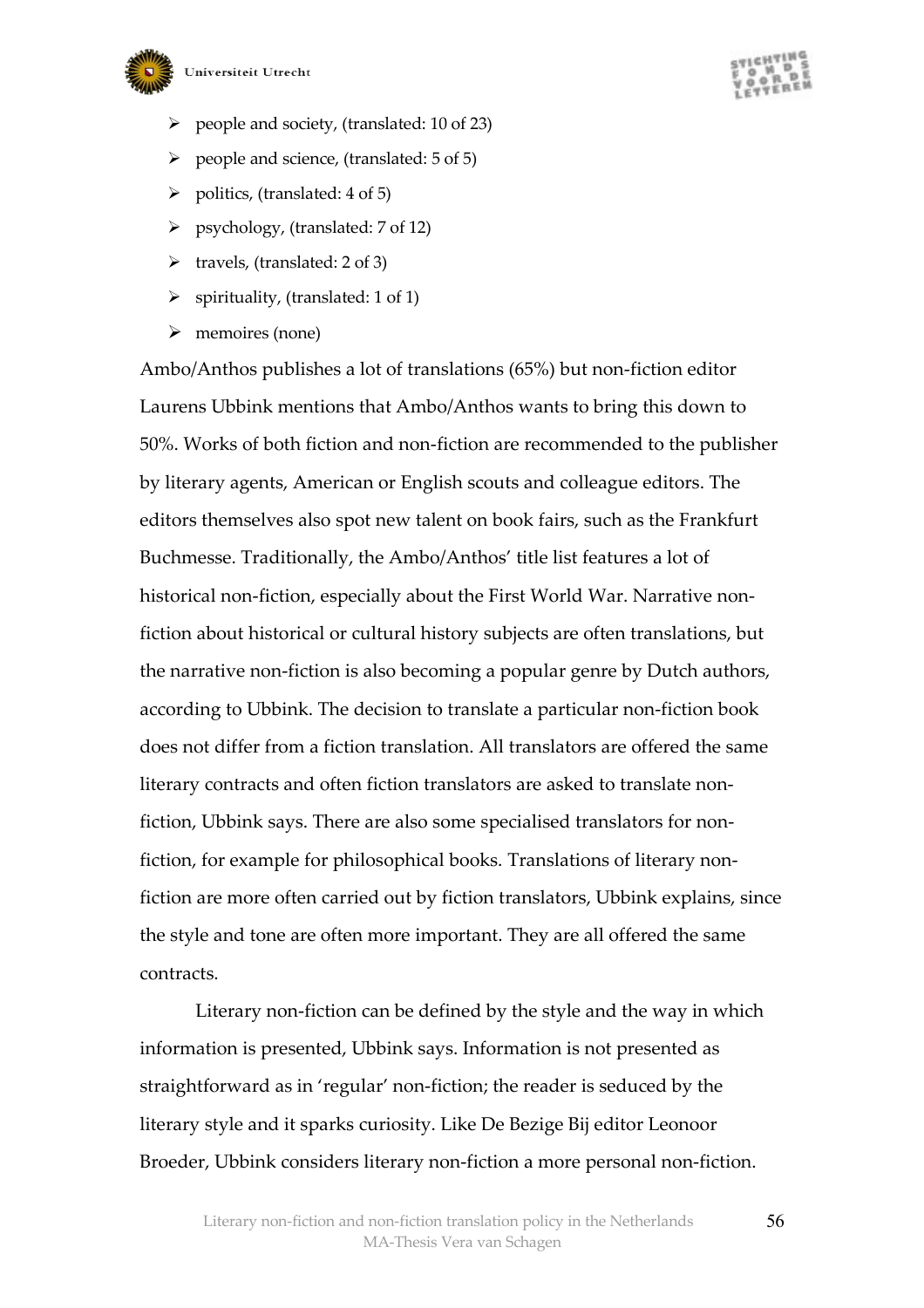

- $\triangleright$  people and society, (translated: 10 of 23)
- $\triangleright$  people and science, (translated: 5 of 5)
- $\triangleright$  politics, (translated: 4 of 5)
- $\triangleright$  psychology, (translated: 7 of 12)
- $\triangleright$  travels, (translated: 2 of 3)
- $\triangleright$  spirituality, (translated: 1 of 1)
- $\triangleright$  memoires (none)

Ambo/Anthos publishes a lot of translations (65%) but non-fiction editor Laurens Ubbink mentions that Ambo/Anthos wants to bring this down to 50%. Works of both fiction and non-fiction are recommended to the publisher by literary agents, American or English scouts and colleague editors. The editors themselves also spot new talent on book fairs, such as the Frankfurt Buchmesse. Traditionally, the Ambo/Anthos' title list features a lot of historical non-fiction, especially about the First World War. Narrative nonfiction about historical or cultural history subjects are often translations, but the narrative non-fiction is also becoming a popular genre by Dutch authors, according to Ubbink. The decision to translate a particular non-fiction book does not differ from a fiction translation. All translators are offered the same literary contracts and often fiction translators are asked to translate nonfiction, Ubbink says. There are also some specialised translators for nonfiction, for example for philosophical books. Translations of literary nonfiction are more often carried out by fiction translators, Ubbink explains, since the style and tone are often more important. They are all offered the same contracts.

Literary non-fiction can be defined by the style and the way in which information is presented, Ubbink says. Information is not presented as straightforward as in 'regular' non-fiction; the reader is seduced by the literary style and it sparks curiosity. Like De Bezige Bij editor Leonoor Broeder, Ubbink considers literary non-fiction a more personal non-fiction.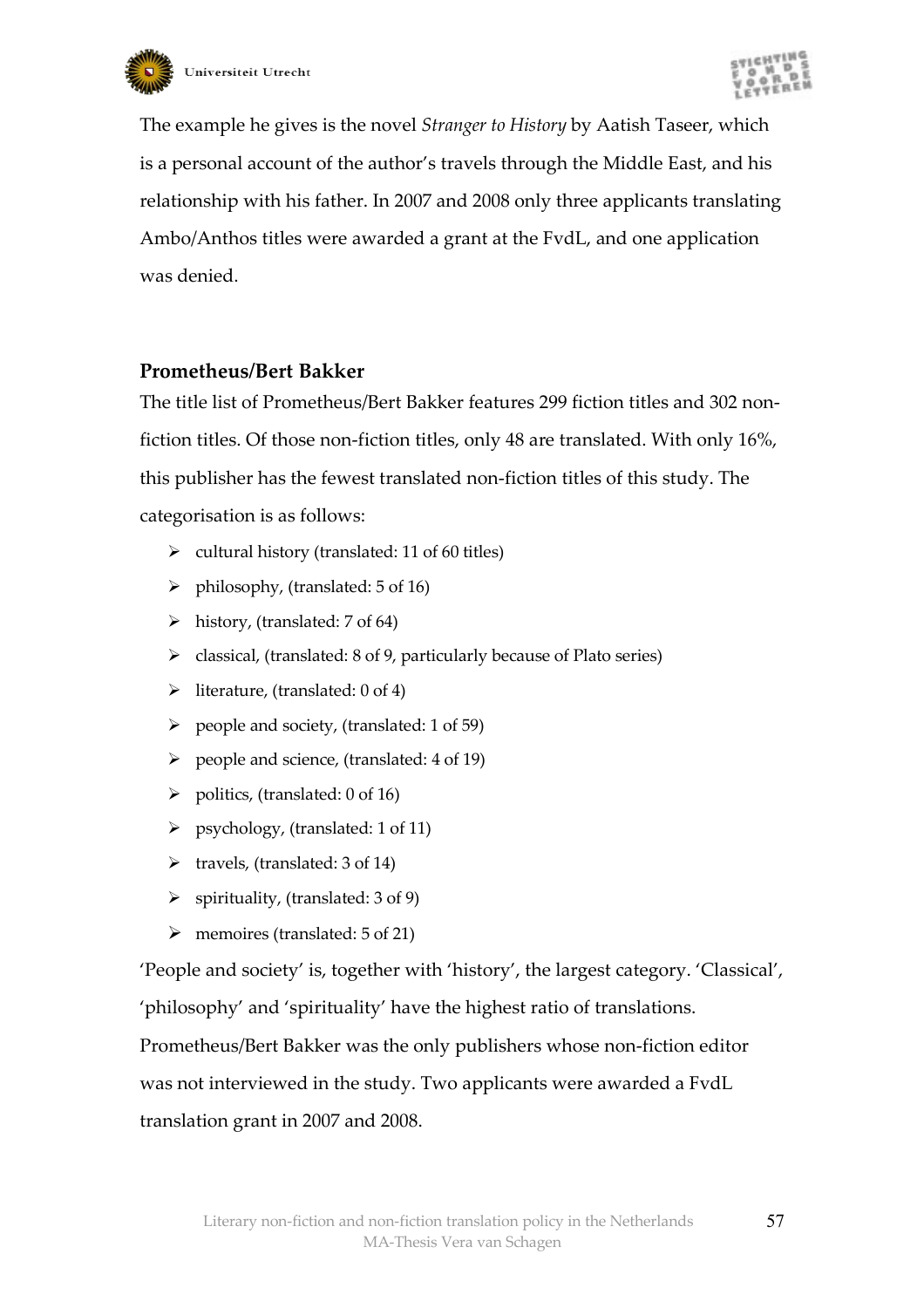

The example he gives is the novel *Stranger to History* by Aatish Taseer, which is a personal account of the author's travels through the Middle East, and his relationship with his father. In 2007 and 2008 only three applicants translating Ambo/Anthos titles were awarded a grant at the FvdL, and one application was denied.

## **Prometheus/Bert Bakker**

The title list of Prometheus/Bert Bakker features 299 fiction titles and 302 nonfiction titles. Of those non-fiction titles, only 48 are translated. With only 16%, this publisher has the fewest translated non-fiction titles of this study. The categorisation is as follows:

- $\triangleright$  cultural history (translated: 11 of 60 titles)
- $\blacktriangleright$  philosophy, (translated: 5 of 16)
- $\triangleright$  history, (translated: 7 of 64)
- $\triangleright$  classical, (translated: 8 of 9, particularly because of Plato series)
- $\triangleright$  literature, (translated: 0 of 4)
- $\geq$  people and society, (translated: 1 of 59)
- $\triangleright$  people and science, (translated: 4 of 19)
- $\triangleright$  politics, (translated: 0 of 16)
- $\triangleright$  psychology, (translated: 1 of 11)
- $\triangleright$  travels, (translated: 3 of 14)
- $\triangleright$  spirituality, (translated: 3 of 9)
- $\triangleright$  memoires (translated: 5 of 21)

'People and society' is, together with 'history', the largest category. 'Classical',

'philosophy' and 'spirituality' have the highest ratio of translations.

Prometheus/Bert Bakker was the only publishers whose non-fiction editor

was not interviewed in the study. Two applicants were awarded a FvdL

translation grant in 2007 and 2008.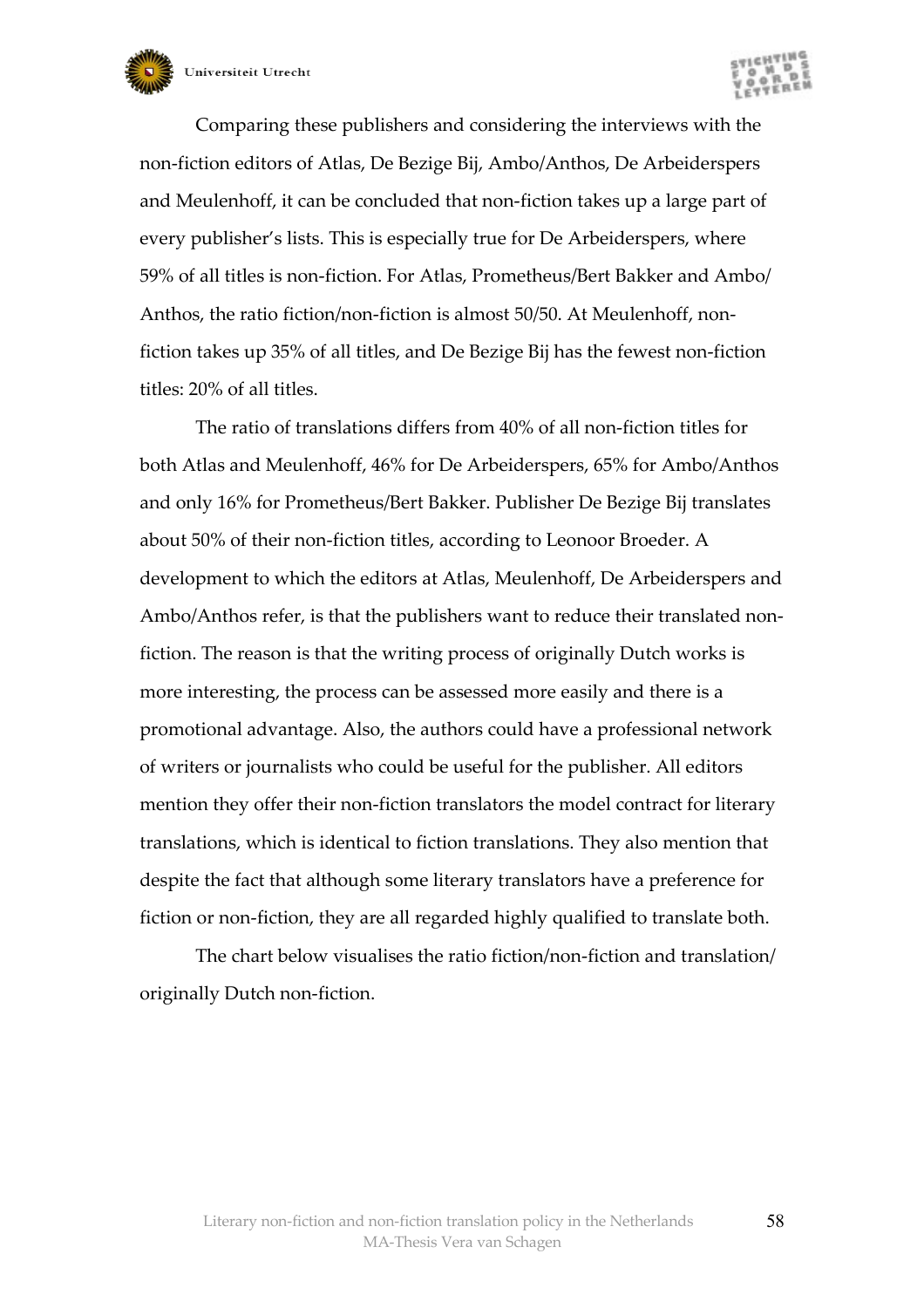

Comparing these publishers and considering the interviews with the non-fiction editors of Atlas, De Bezige Bij, Ambo/Anthos, De Arbeiderspers and Meulenhoff, it can be concluded that non-fiction takes up a large part of every publisher's lists. This is especially true for De Arbeiderspers, where 59% of all titles is non-fiction. For Atlas, Prometheus/Bert Bakker and Ambo/ Anthos, the ratio fiction/non-fiction is almost 50/50. At Meulenhoff, nonfiction takes up 35% of all titles, and De Bezige Bij has the fewest non-fiction titles: 20% of all titles.

The ratio of translations differs from 40% of all non-fiction titles for both Atlas and Meulenhoff, 46% for De Arbeiderspers, 65% for Ambo/Anthos and only 16% for Prometheus/Bert Bakker. Publisher De Bezige Bij translates about 50% of their non-fiction titles, according to Leonoor Broeder. A development to which the editors at Atlas, Meulenhoff, De Arbeiderspers and Ambo/Anthos refer, is that the publishers want to reduce their translated nonfiction. The reason is that the writing process of originally Dutch works is more interesting, the process can be assessed more easily and there is a promotional advantage. Also, the authors could have a professional network of writers or journalists who could be useful for the publisher. All editors mention they offer their non-fiction translators the model contract for literary translations, which is identical to fiction translations. They also mention that despite the fact that although some literary translators have a preference for fiction or non-fiction, they are all regarded highly qualified to translate both.

The chart below visualises the ratio fiction/non-fiction and translation/ originally Dutch non-fiction.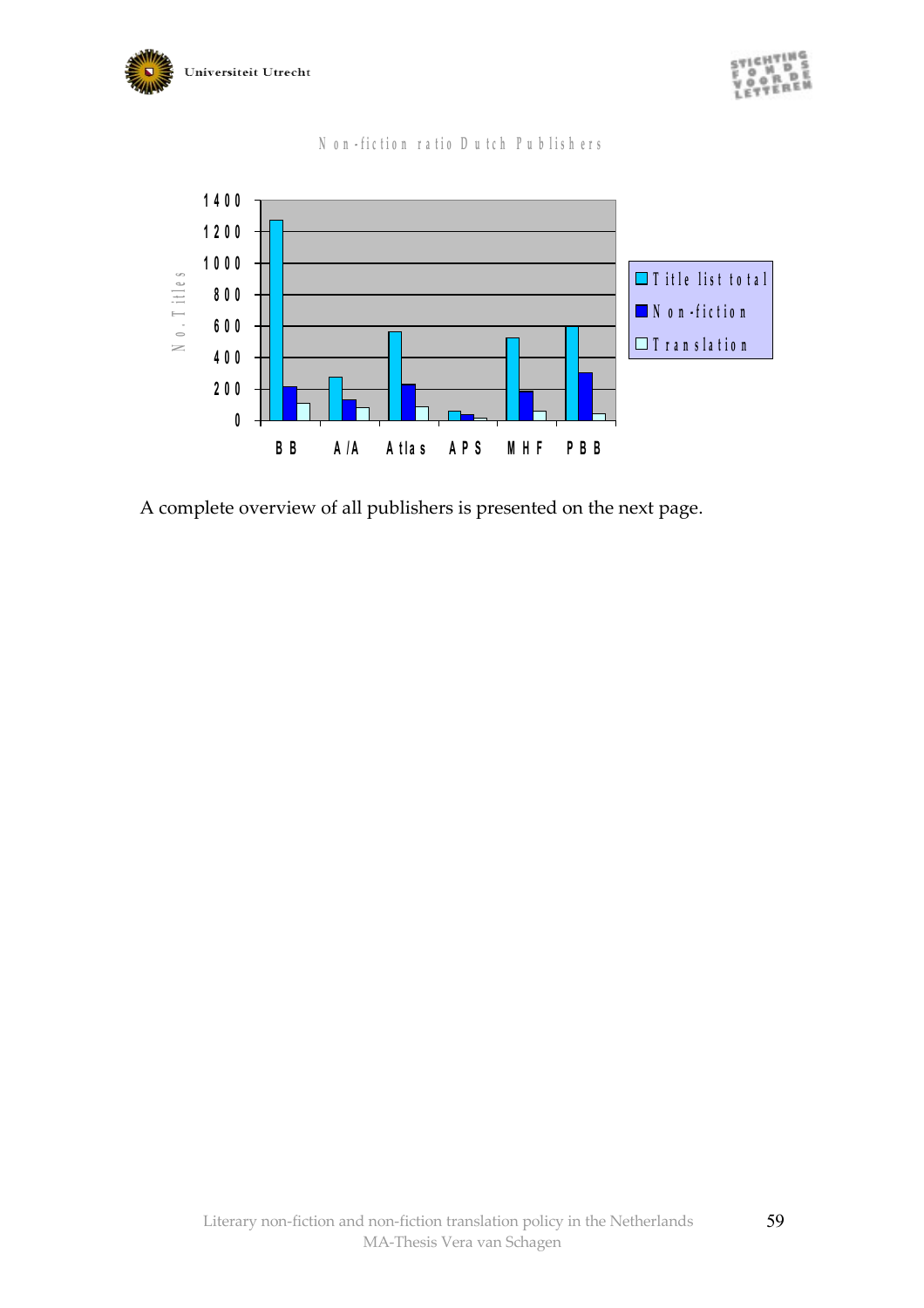

**STICHTING**<br>FOORDE

#### **N o n - f i c t i o n r a t i o D u t c h P u b l i s h e r s**



A complete overview of all publishers is presented on the next page.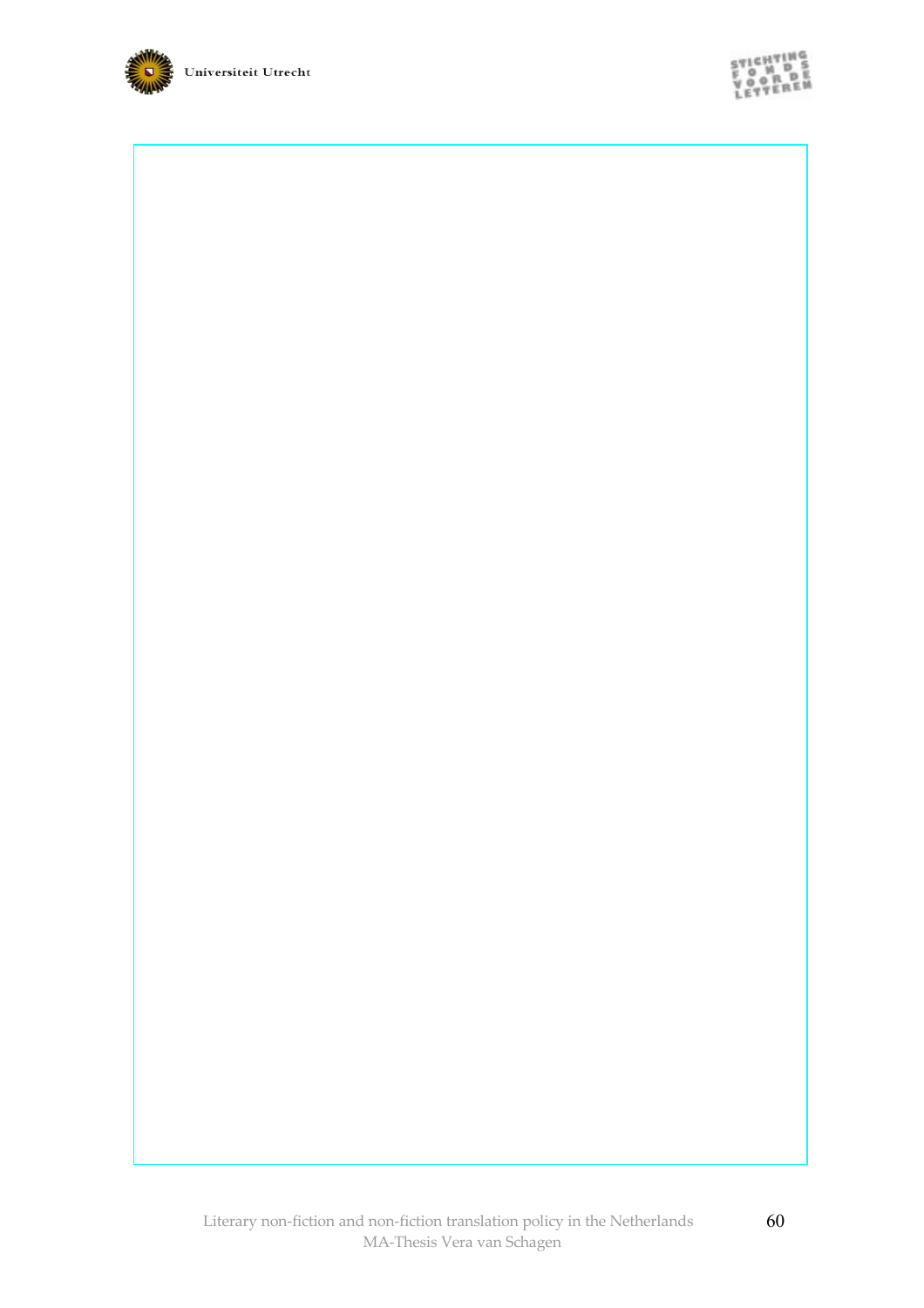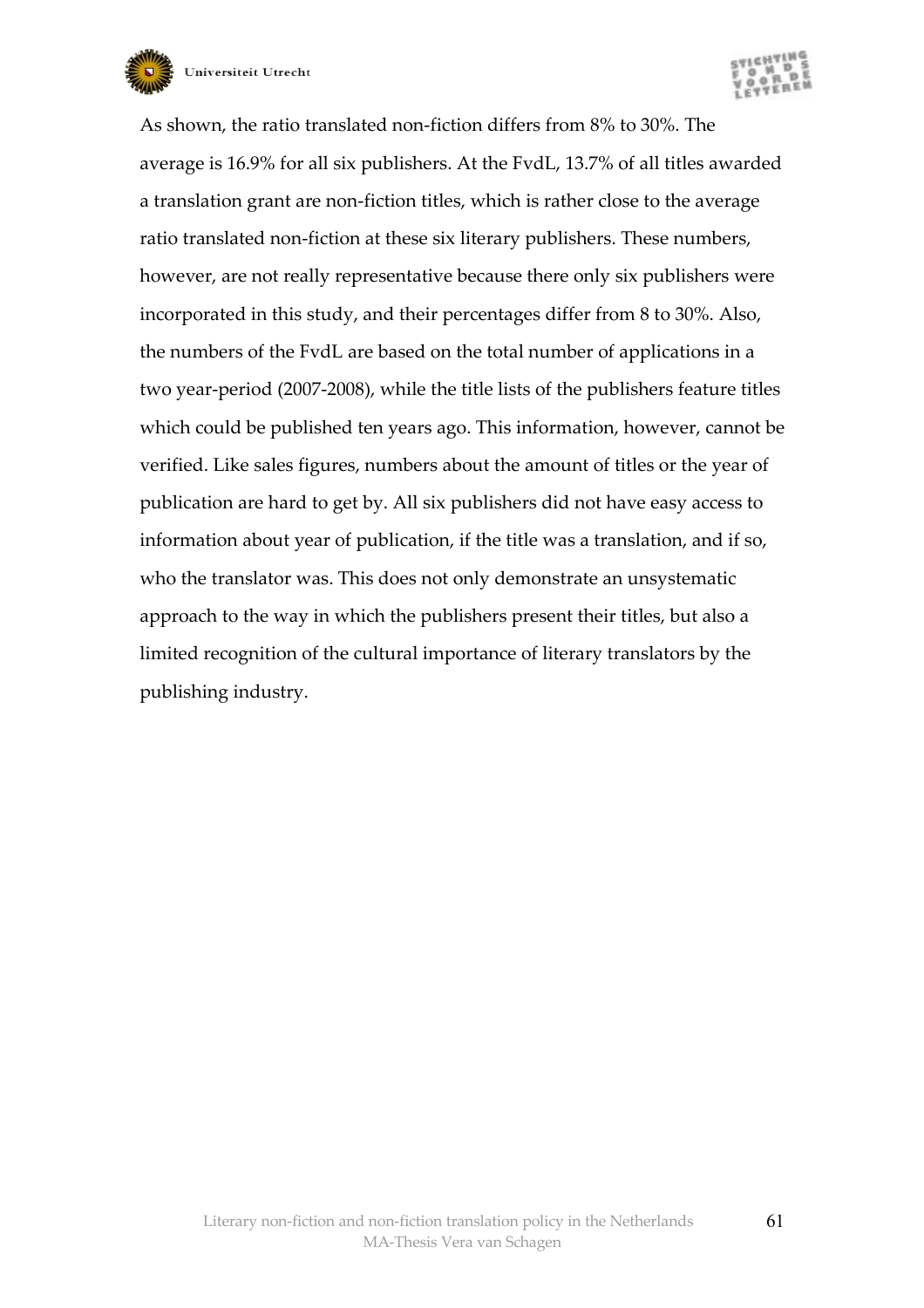

As shown, the ratio translated non-fiction differs from 8% to 30%. The average is 16.9% for all six publishers. At the FvdL, 13.7% of all titles awarded a translation grant are non-fiction titles, which is rather close to the average ratio translated non-fiction at these six literary publishers. These numbers, however, are not really representative because there only six publishers were incorporated in this study, and their percentages differ from 8 to 30%. Also, the numbers of the FvdL are based on the total number of applications in a two year-period (2007-2008), while the title lists of the publishers feature titles which could be published ten years ago. This information, however, cannot be verified. Like sales figures, numbers about the amount of titles or the year of publication are hard to get by. All six publishers did not have easy access to information about year of publication, if the title was a translation, and if so, who the translator was. This does not only demonstrate an unsystematic approach to the way in which the publishers present their titles, but also a limited recognition of the cultural importance of literary translators by the publishing industry.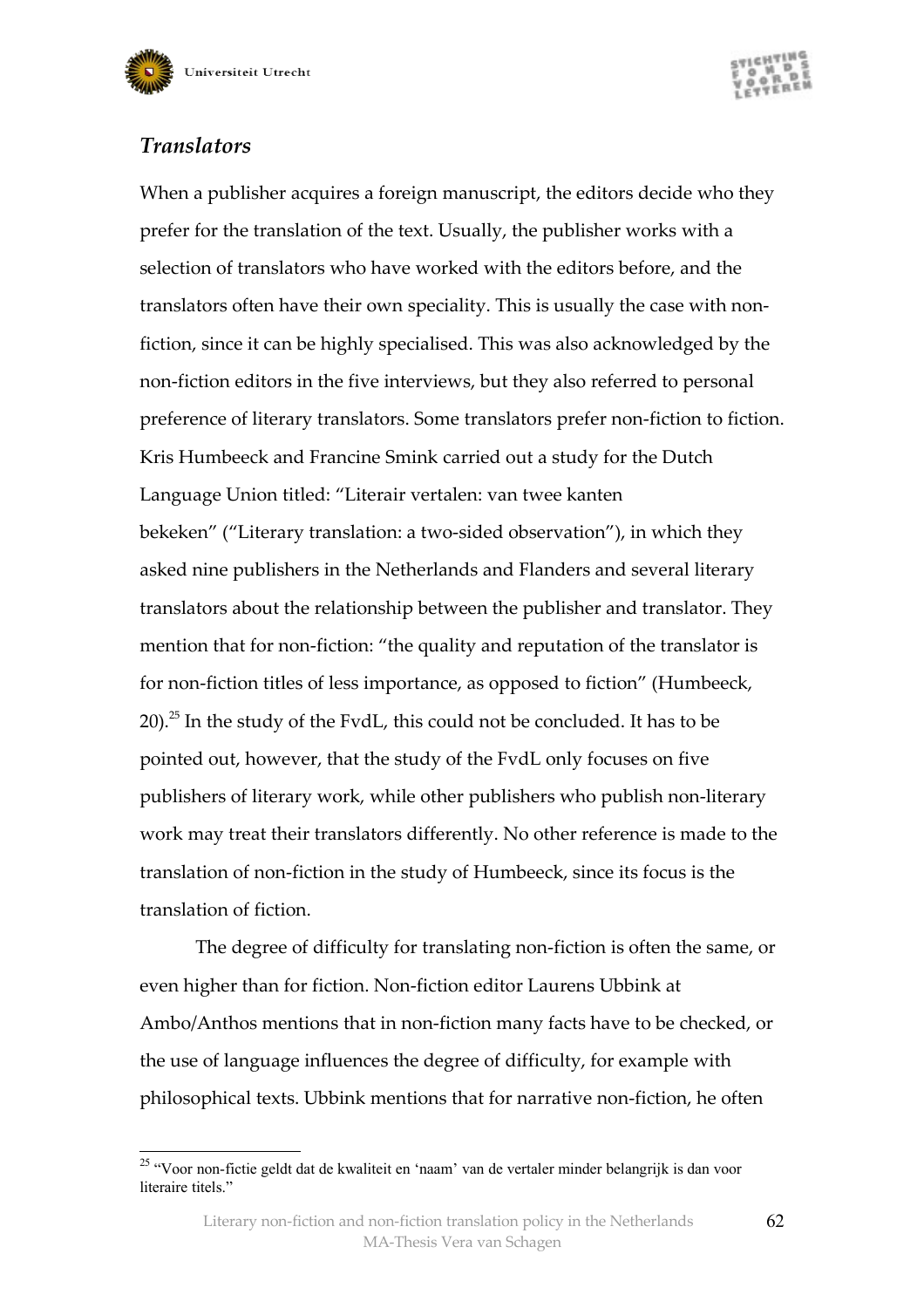

# *Translators*

When a publisher acquires a foreign manuscript, the editors decide who they prefer for the translation of the text. Usually, the publisher works with a selection of translators who have worked with the editors before, and the translators often have their own speciality. This is usually the case with nonfiction, since it can be highly specialised. This was also acknowledged by the non-fiction editors in the five interviews, but they also referred to personal preference of literary translators. Some translators prefer non-fiction to fiction. Kris Humbeeck and Francine Smink carried out a study for the Dutch Language Union titled: "Literair vertalen: van twee kanten bekeken" ("Literary translation: a two-sided observation"), in which they asked nine publishers in the Netherlands and Flanders and several literary translators about the relationship between the publisher and translator. They mention that for non-fiction: "the quality and reputation of the translator is for non-fiction titles of less importance, as opposed to fiction" (Humbeeck, 20).<sup>[25](#page-63-0)</sup> In the study of the FvdL, this could not be concluded. It has to be pointed out, however, that the study of the FvdL only focuses on five publishers of literary work, while other publishers who publish non-literary work may treat their translators differently. No other reference is made to the translation of non-fiction in the study of Humbeeck, since its focus is the translation of fiction.

The degree of difficulty for translating non-fiction is often the same, or even higher than for fiction. Non-fiction editor Laurens Ubbink at Ambo/Anthos mentions that in non-fiction many facts have to be checked, or the use of language influences the degree of difficulty, for example with philosophical texts. Ubbink mentions that for narrative non-fiction, he often

<span id="page-63-0"></span><sup>&</sup>lt;sup>25</sup> "Voor non-fictie geldt dat de kwaliteit en 'naam' van de vertaler minder belangrijk is dan voor literaire titels."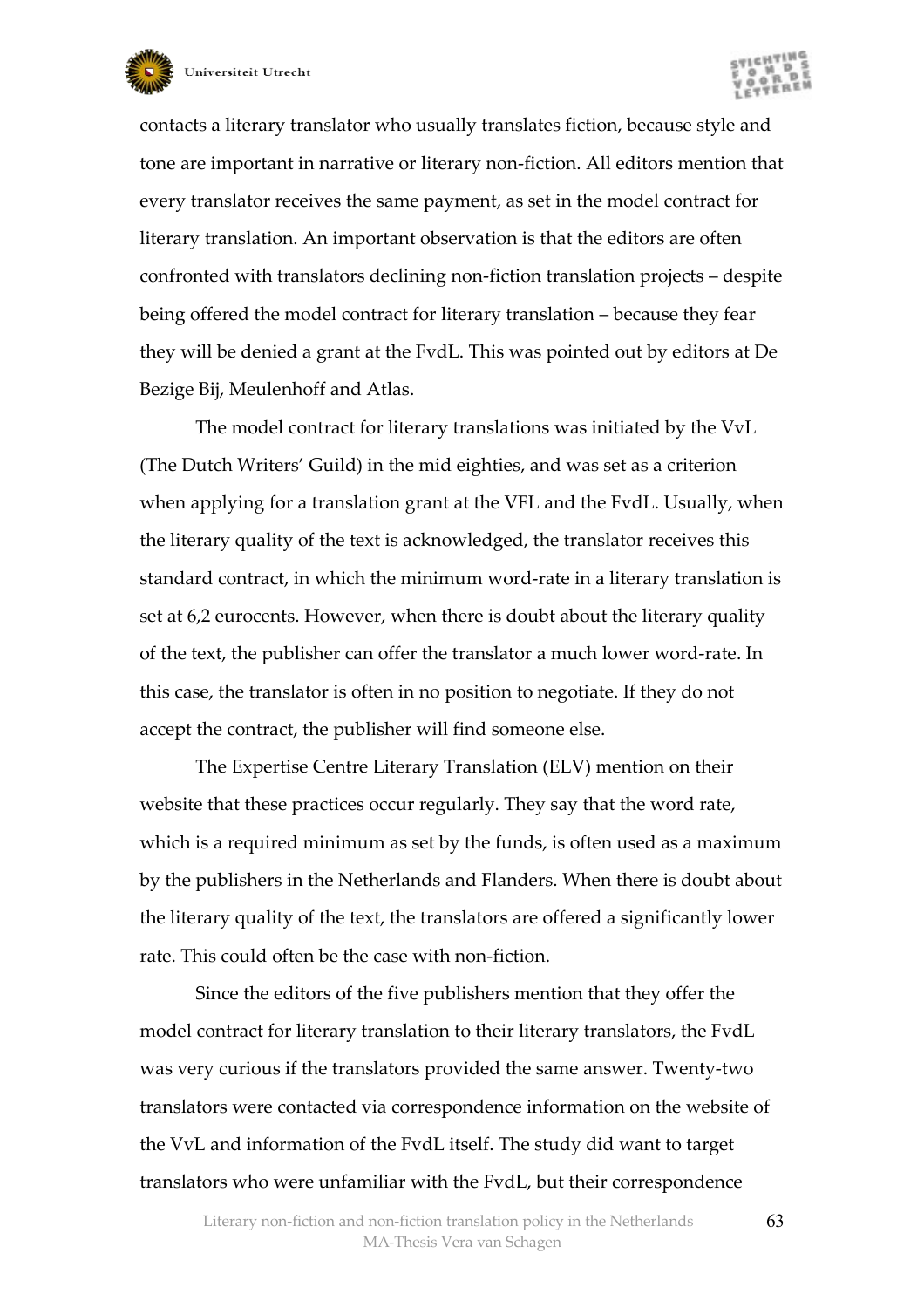

contacts a literary translator who usually translates fiction, because style and tone are important in narrative or literary non-fiction. All editors mention that every translator receives the same payment, as set in the model contract for literary translation. An important observation is that the editors are often confronted with translators declining non-fiction translation projects – despite being offered the model contract for literary translation – because they fear they will be denied a grant at the FvdL. This was pointed out by editors at De Bezige Bij, Meulenhoff and Atlas.

The model contract for literary translations was initiated by the VvL (The Dutch Writers' Guild) in the mid eighties, and was set as a criterion when applying for a translation grant at the VFL and the FvdL. Usually, when the literary quality of the text is acknowledged, the translator receives this standard contract, in which the minimum word-rate in a literary translation is set at 6,2 eurocents. However, when there is doubt about the literary quality of the text, the publisher can offer the translator a much lower word-rate. In this case, the translator is often in no position to negotiate. If they do not accept the contract, the publisher will find someone else.

The Expertise Centre Literary Translation (ELV) mention on their website that these practices occur regularly. They say that the word rate, which is a required minimum as set by the funds, is often used as a maximum by the publishers in the Netherlands and Flanders. When there is doubt about the literary quality of the text, the translators are offered a significantly lower rate. This could often be the case with non-fiction.

Since the editors of the five publishers mention that they offer the model contract for literary translation to their literary translators, the FvdL was very curious if the translators provided the same answer. Twenty-two translators were contacted via correspondence information on the website of the VvL and information of the FvdL itself. The study did want to target translators who were unfamiliar with the FvdL, but their correspondence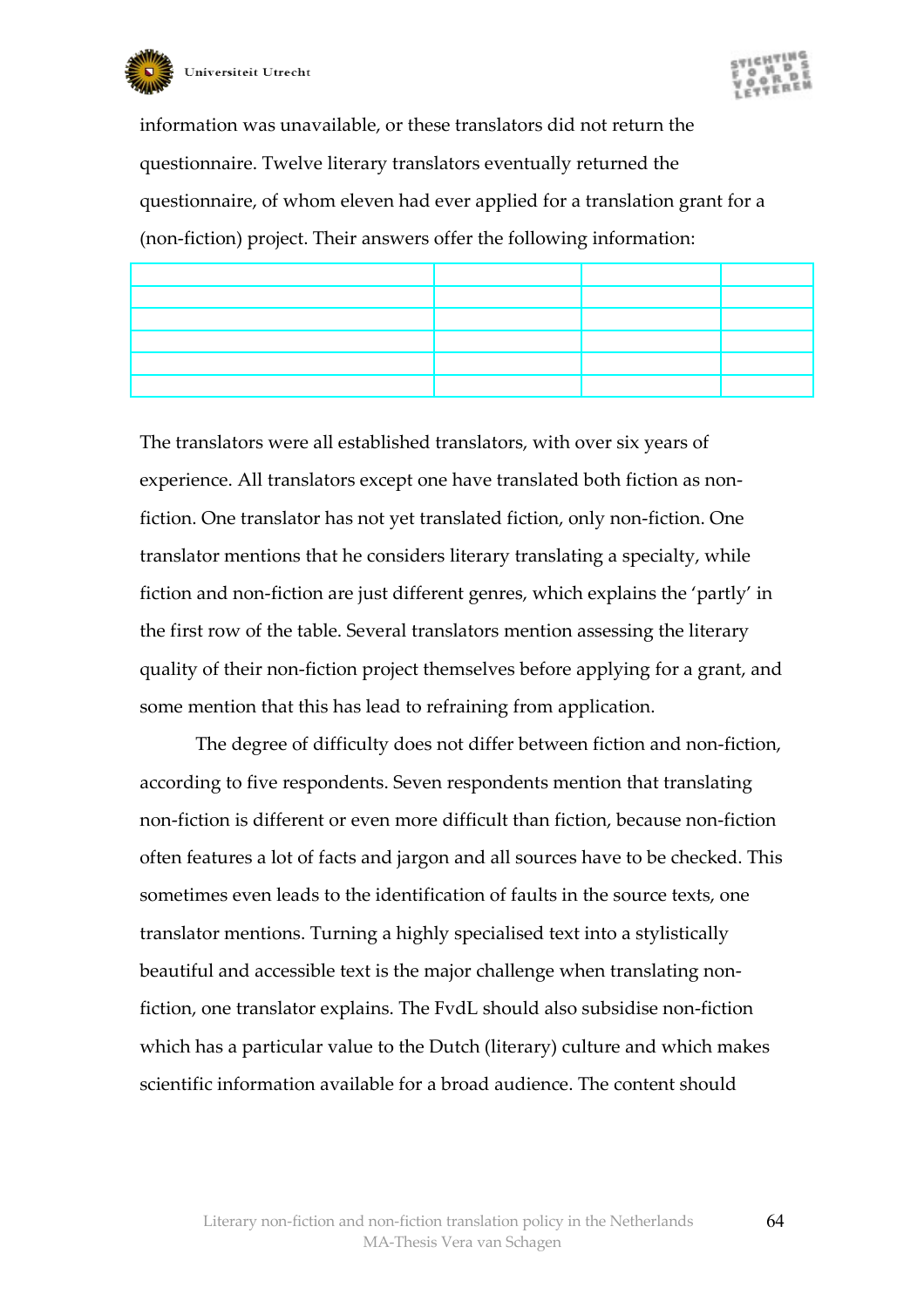

information was unavailable, or these translators did not return the questionnaire. Twelve literary translators eventually returned the questionnaire, of whom eleven had ever applied for a translation grant for a (non-fiction) project. Their answers offer the following information:

The translators were all established translators, with over six years of experience. All translators except one have translated both fiction as nonfiction. One translator has not yet translated fiction, only non-fiction. One translator mentions that he considers literary translating a specialty, while fiction and non-fiction are just different genres, which explains the 'partly' in the first row of the table. Several translators mention assessing the literary quality of their non-fiction project themselves before applying for a grant, and some mention that this has lead to refraining from application.

The degree of difficulty does not differ between fiction and non-fiction, according to five respondents. Seven respondents mention that translating non-fiction is different or even more difficult than fiction, because non-fiction often features a lot of facts and jargon and all sources have to be checked. This sometimes even leads to the identification of faults in the source texts, one translator mentions. Turning a highly specialised text into a stylistically beautiful and accessible text is the major challenge when translating nonfiction, one translator explains. The FvdL should also subsidise non-fiction which has a particular value to the Dutch (literary) culture and which makes scientific information available for a broad audience. The content should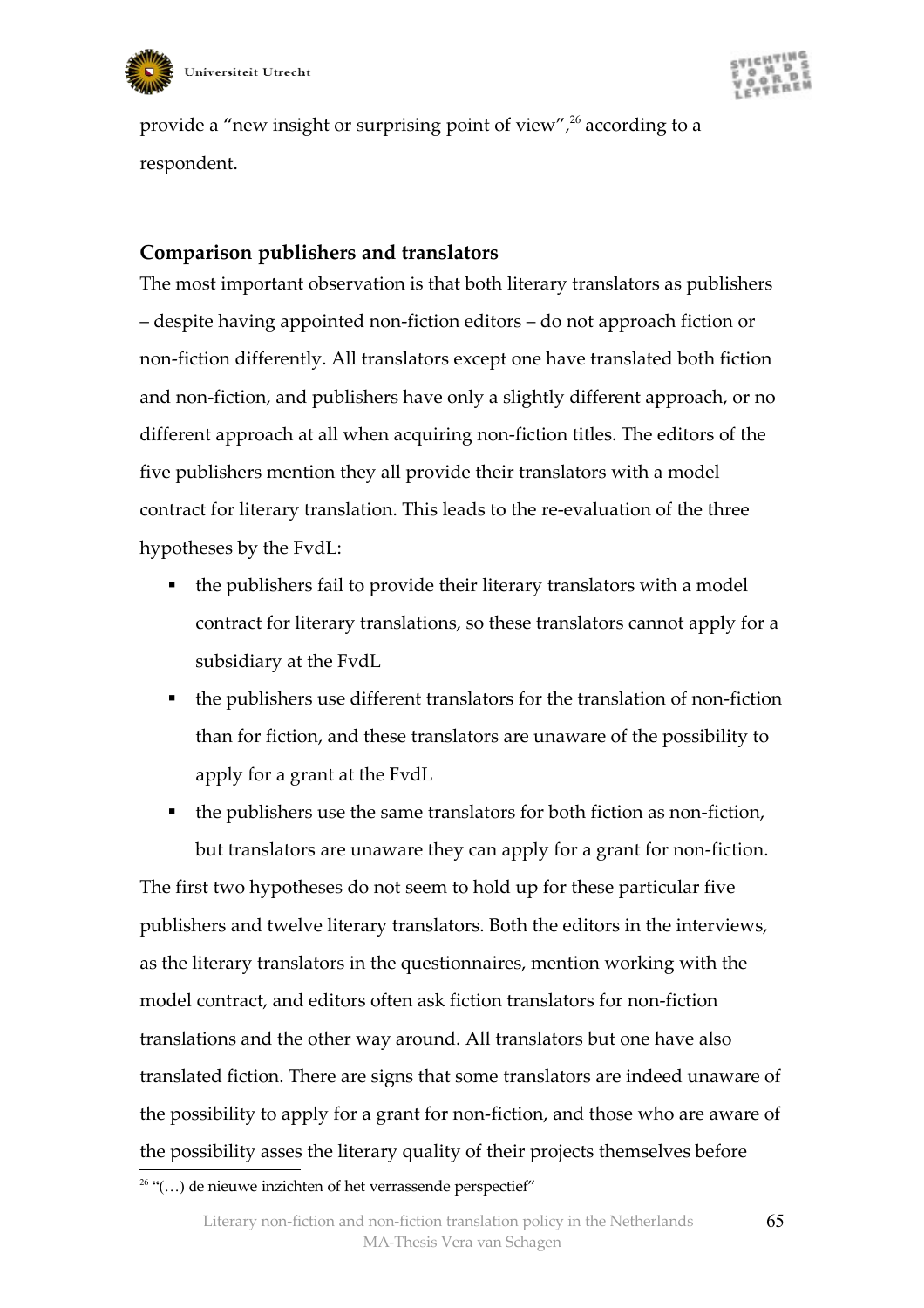

provide a "new insight or surprising point of view",<sup>[26](#page-66-0)</sup> according to a respondent.

### **Comparison publishers and translators**

The most important observation is that both literary translators as publishers – despite having appointed non-fiction editors – do not approach fiction or non-fiction differently. All translators except one have translated both fiction and non-fiction, and publishers have only a slightly different approach, or no different approach at all when acquiring non-fiction titles. The editors of the five publishers mention they all provide their translators with a model contract for literary translation. This leads to the re-evaluation of the three hypotheses by the FvdL:

- the publishers fail to provide their literary translators with a model contract for literary translations, so these translators cannot apply for a subsidiary at the FvdL
- the publishers use different translators for the translation of non-fiction than for fiction, and these translators are unaware of the possibility to apply for a grant at the FvdL

<span id="page-66-0"></span> the publishers use the same translators for both fiction as non-fiction, but translators are unaware they can apply for a grant for non-fiction. The first two hypotheses do not seem to hold up for these particular five publishers and twelve literary translators. Both the editors in the interviews, as the literary translators in the questionnaires, mention working with the model contract, and editors often ask fiction translators for non-fiction translations and the other way around. All translators but one have also translated fiction. There are signs that some translators are indeed unaware of the possibility to apply for a grant for non-fiction, and those who are aware of the possibility asses the literary quality of their projects themselves before  $26$  "(...) de nieuwe inzichten of het verrassende perspectief"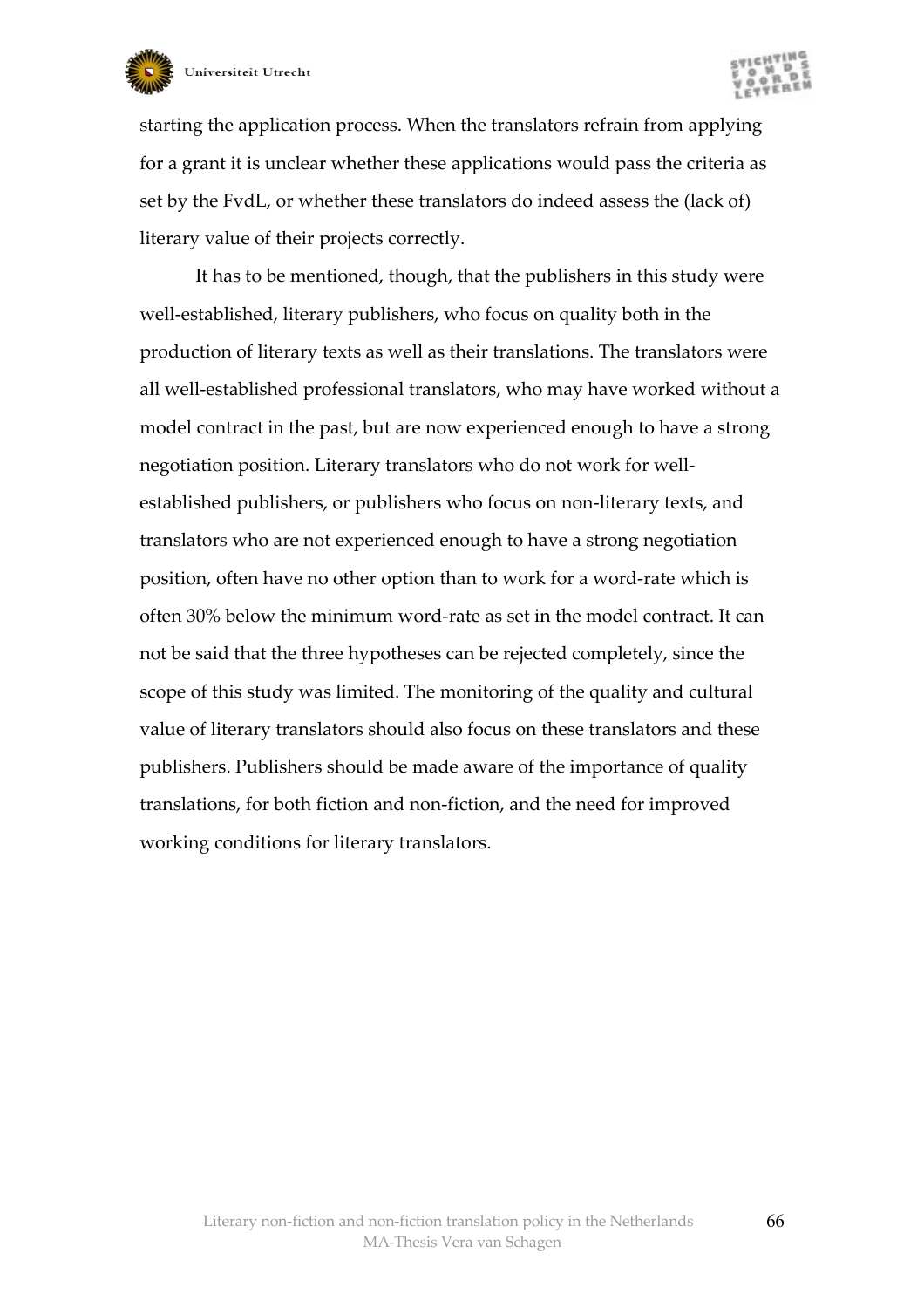

starting the application process. When the translators refrain from applying for a grant it is unclear whether these applications would pass the criteria as set by the FvdL, or whether these translators do indeed assess the (lack of) literary value of their projects correctly.

It has to be mentioned, though, that the publishers in this study were well-established, literary publishers, who focus on quality both in the production of literary texts as well as their translations. The translators were all well-established professional translators, who may have worked without a model contract in the past, but are now experienced enough to have a strong negotiation position. Literary translators who do not work for wellestablished publishers, or publishers who focus on non-literary texts, and translators who are not experienced enough to have a strong negotiation position, often have no other option than to work for a word-rate which is often 30% below the minimum word-rate as set in the model contract. It can not be said that the three hypotheses can be rejected completely, since the scope of this study was limited. The monitoring of the quality and cultural value of literary translators should also focus on these translators and these publishers. Publishers should be made aware of the importance of quality translations, for both fiction and non-fiction, and the need for improved working conditions for literary translators.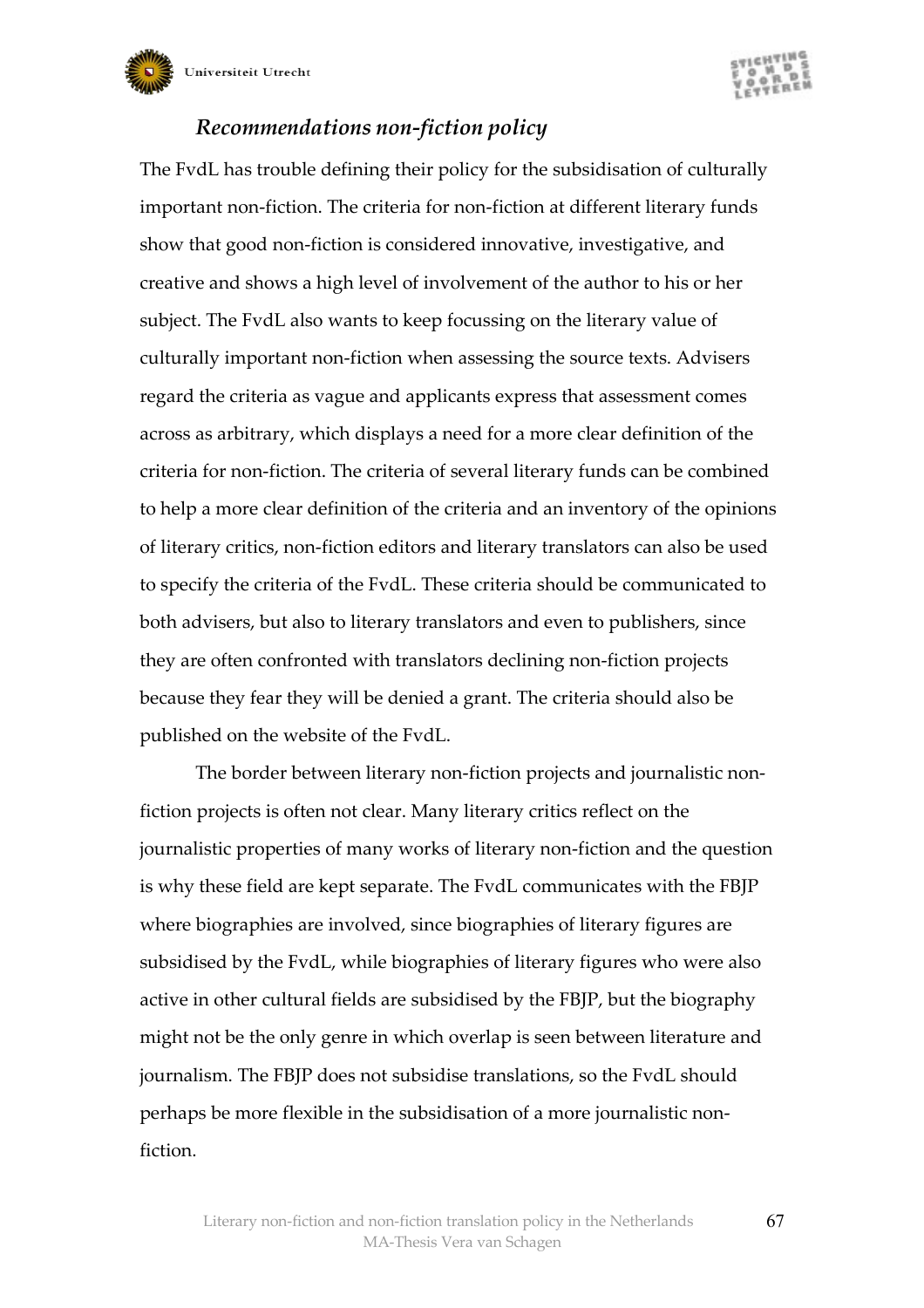

### *Recommendations non-fiction policy*

The FvdL has trouble defining their policy for the subsidisation of culturally important non-fiction. The criteria for non-fiction at different literary funds show that good non-fiction is considered innovative, investigative, and creative and shows a high level of involvement of the author to his or her subject. The FvdL also wants to keep focussing on the literary value of culturally important non-fiction when assessing the source texts. Advisers regard the criteria as vague and applicants express that assessment comes across as arbitrary, which displays a need for a more clear definition of the criteria for non-fiction. The criteria of several literary funds can be combined to help a more clear definition of the criteria and an inventory of the opinions of literary critics, non-fiction editors and literary translators can also be used to specify the criteria of the FvdL. These criteria should be communicated to both advisers, but also to literary translators and even to publishers, since they are often confronted with translators declining non-fiction projects because they fear they will be denied a grant. The criteria should also be published on the website of the FvdL.

The border between literary non-fiction projects and journalistic nonfiction projects is often not clear. Many literary critics reflect on the journalistic properties of many works of literary non-fiction and the question is why these field are kept separate. The FvdL communicates with the FBJP where biographies are involved, since biographies of literary figures are subsidised by the FvdL, while biographies of literary figures who were also active in other cultural fields are subsidised by the FBJP, but the biography might not be the only genre in which overlap is seen between literature and journalism. The FBJP does not subsidise translations, so the FvdL should perhaps be more flexible in the subsidisation of a more journalistic nonfiction.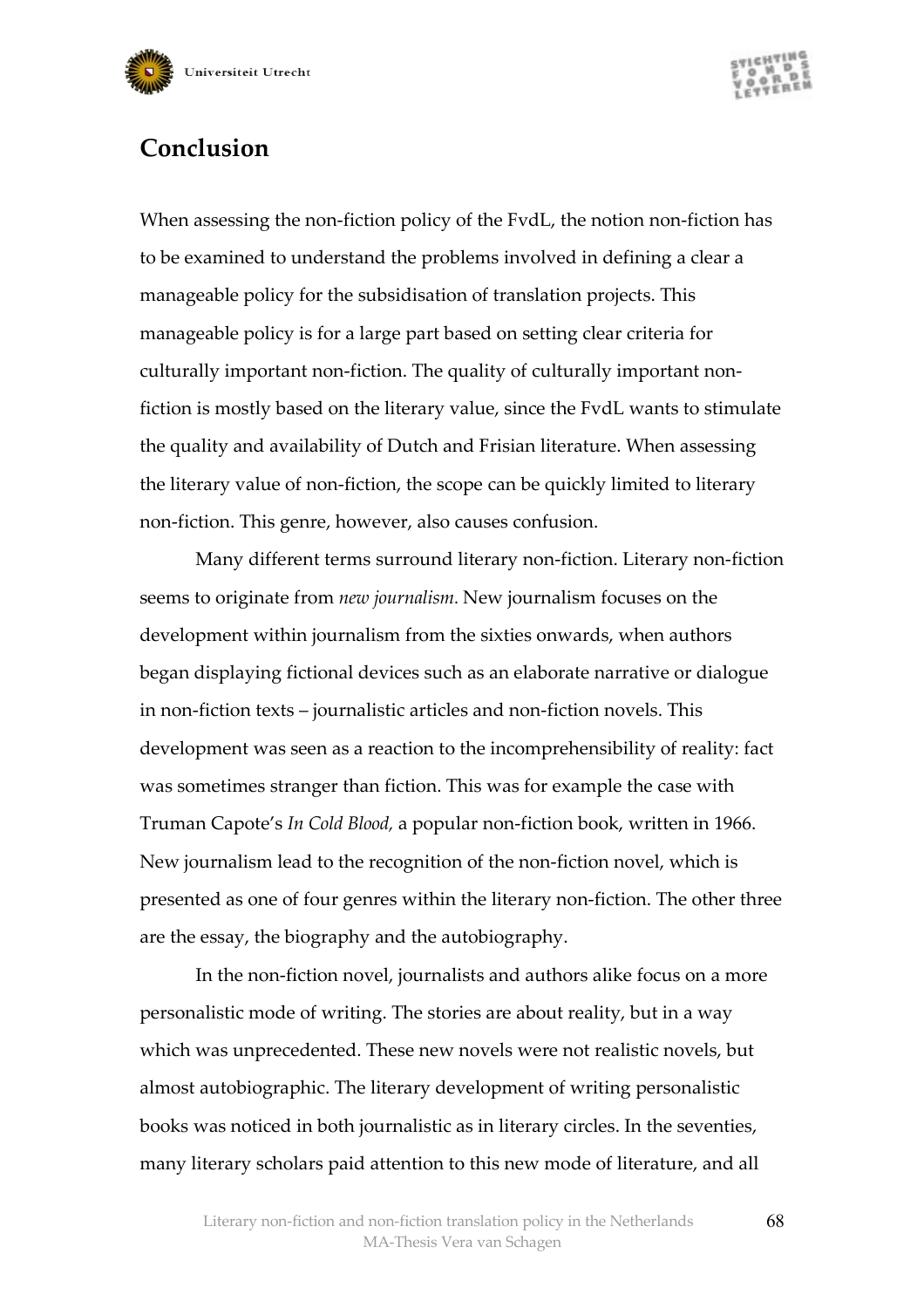

# **Conclusion**

When assessing the non-fiction policy of the FvdL, the notion non-fiction has to be examined to understand the problems involved in defining a clear a manageable policy for the subsidisation of translation projects. This manageable policy is for a large part based on setting clear criteria for culturally important non-fiction. The quality of culturally important nonfiction is mostly based on the literary value, since the FvdL wants to stimulate the quality and availability of Dutch and Frisian literature. When assessing the literary value of non-fiction, the scope can be quickly limited to literary non-fiction. This genre, however, also causes confusion.

Many different terms surround literary non-fiction. Literary non-fiction seems to originate from *new journalism.* New journalism focuses on the development within journalism from the sixties onwards, when authors began displaying fictional devices such as an elaborate narrative or dialogue in non-fiction texts – journalistic articles and non-fiction novels. This development was seen as a reaction to the incomprehensibility of reality: fact was sometimes stranger than fiction. This was for example the case with Truman Capote's *In Cold Blood,* a popular non-fiction book, written in 1966. New journalism lead to the recognition of the non-fiction novel, which is presented as one of four genres within the literary non-fiction. The other three are the essay, the biography and the autobiography.

In the non-fiction novel, journalists and authors alike focus on a more personalistic mode of writing. The stories are about reality, but in a way which was unprecedented. These new novels were not realistic novels, but almost autobiographic. The literary development of writing personalistic books was noticed in both journalistic as in literary circles. In the seventies, many literary scholars paid attention to this new mode of literature, and all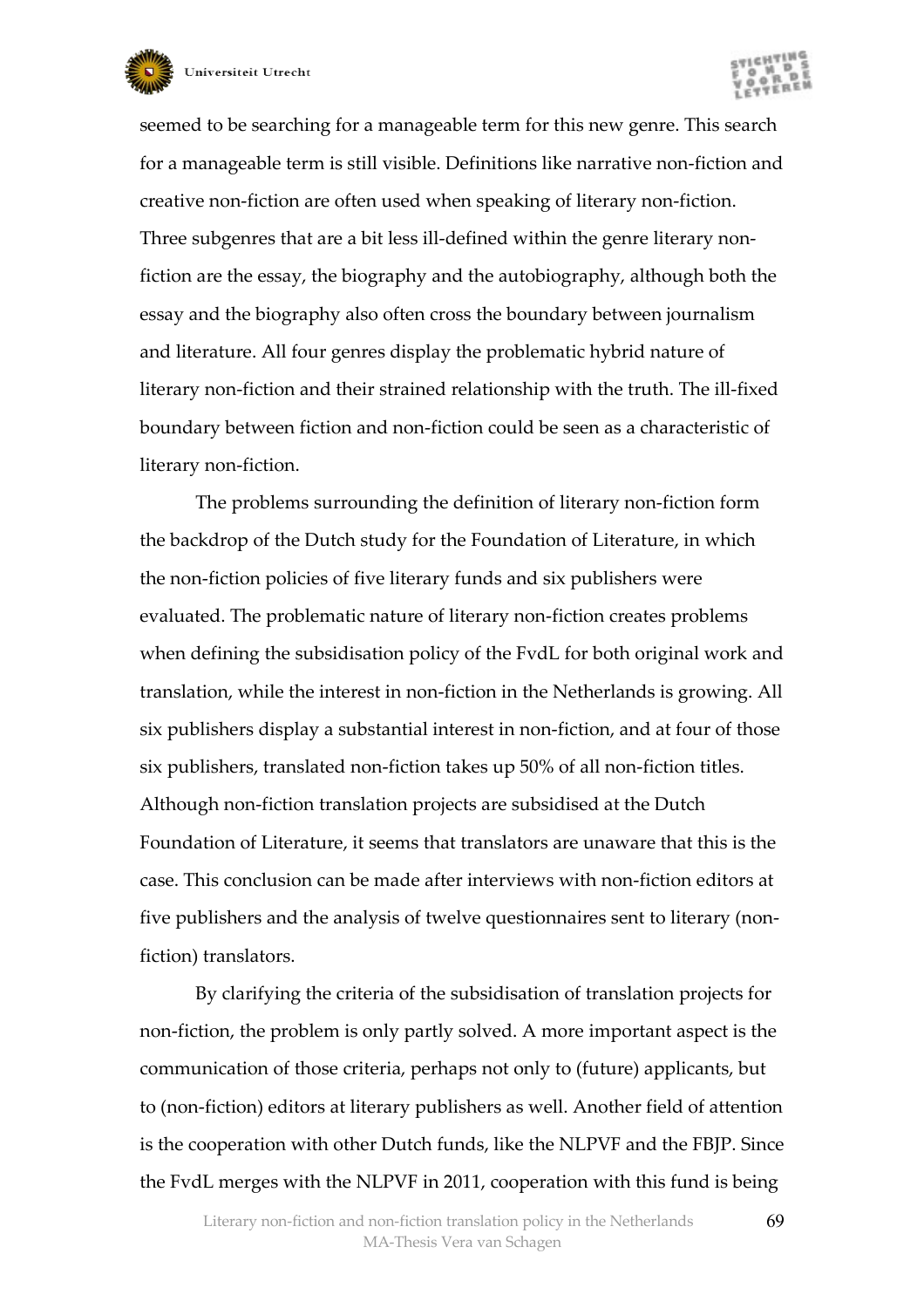

seemed to be searching for a manageable term for this new genre. This search for a manageable term is still visible. Definitions like narrative non-fiction and creative non-fiction are often used when speaking of literary non-fiction. Three subgenres that are a bit less ill-defined within the genre literary nonfiction are the essay, the biography and the autobiography, although both the essay and the biography also often cross the boundary between journalism and literature. All four genres display the problematic hybrid nature of literary non-fiction and their strained relationship with the truth. The ill-fixed boundary between fiction and non-fiction could be seen as a characteristic of literary non-fiction.

The problems surrounding the definition of literary non-fiction form the backdrop of the Dutch study for the Foundation of Literature, in which the non-fiction policies of five literary funds and six publishers were evaluated. The problematic nature of literary non-fiction creates problems when defining the subsidisation policy of the FvdL for both original work and translation, while the interest in non-fiction in the Netherlands is growing. All six publishers display a substantial interest in non-fiction, and at four of those six publishers, translated non-fiction takes up 50% of all non-fiction titles. Although non-fiction translation projects are subsidised at the Dutch Foundation of Literature, it seems that translators are unaware that this is the case. This conclusion can be made after interviews with non-fiction editors at five publishers and the analysis of twelve questionnaires sent to literary (nonfiction) translators.

By clarifying the criteria of the subsidisation of translation projects for non-fiction, the problem is only partly solved. A more important aspect is the communication of those criteria, perhaps not only to (future) applicants, but to (non-fiction) editors at literary publishers as well. Another field of attention is the cooperation with other Dutch funds, like the NLPVF and the FBJP. Since the FvdL merges with the NLPVF in 2011, cooperation with this fund is being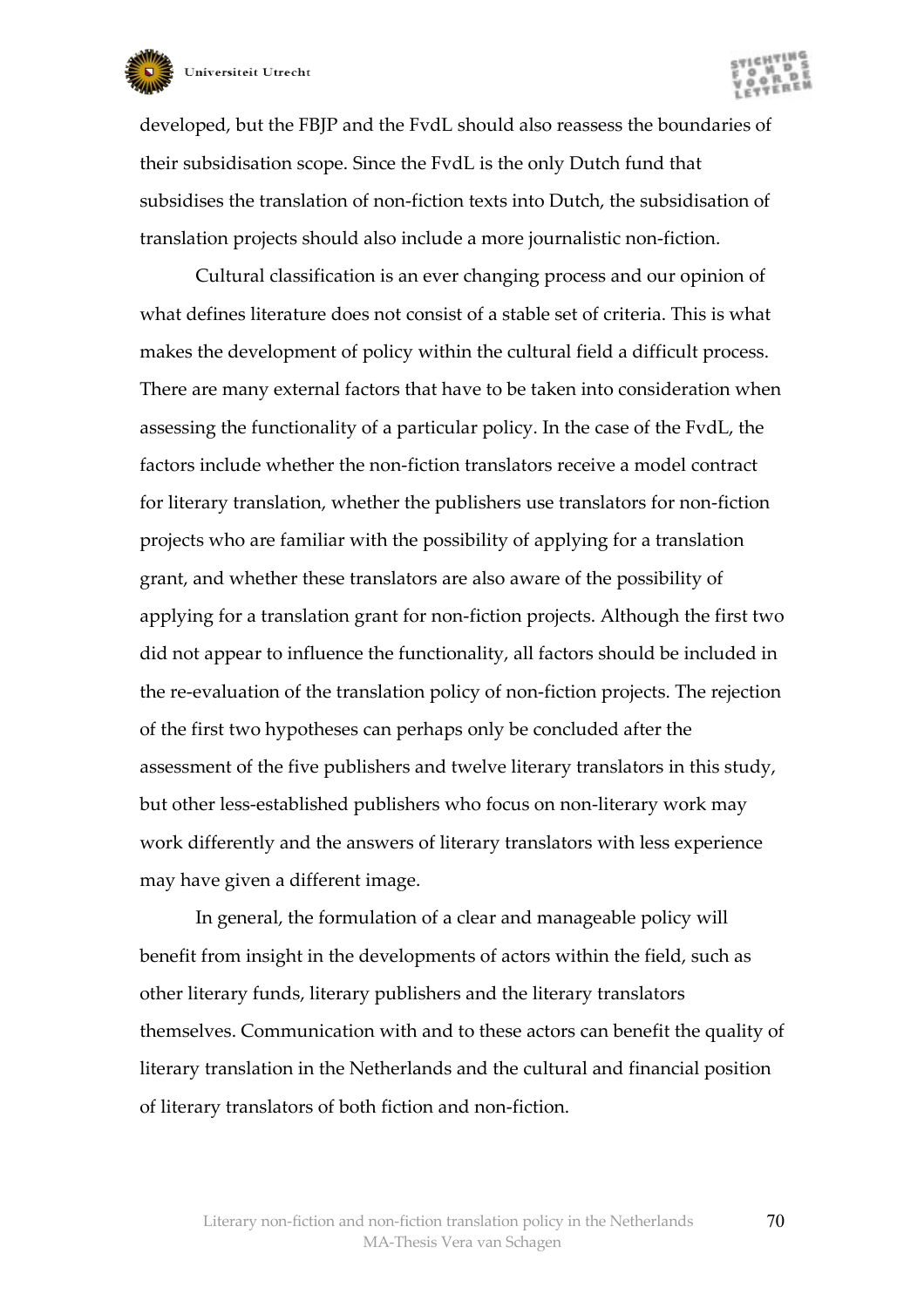

developed, but the FBJP and the FvdL should also reassess the boundaries of their subsidisation scope. Since the FvdL is the only Dutch fund that subsidises the translation of non-fiction texts into Dutch, the subsidisation of translation projects should also include a more journalistic non-fiction.

Cultural classification is an ever changing process and our opinion of what defines literature does not consist of a stable set of criteria. This is what makes the development of policy within the cultural field a difficult process. There are many external factors that have to be taken into consideration when assessing the functionality of a particular policy. In the case of the FvdL, the factors include whether the non-fiction translators receive a model contract for literary translation, whether the publishers use translators for non-fiction projects who are familiar with the possibility of applying for a translation grant, and whether these translators are also aware of the possibility of applying for a translation grant for non-fiction projects. Although the first two did not appear to influence the functionality, all factors should be included in the re-evaluation of the translation policy of non-fiction projects. The rejection of the first two hypotheses can perhaps only be concluded after the assessment of the five publishers and twelve literary translators in this study, but other less-established publishers who focus on non-literary work may work differently and the answers of literary translators with less experience may have given a different image.

In general, the formulation of a clear and manageable policy will benefit from insight in the developments of actors within the field, such as other literary funds, literary publishers and the literary translators themselves. Communication with and to these actors can benefit the quality of literary translation in the Netherlands and the cultural and financial position of literary translators of both fiction and non-fiction.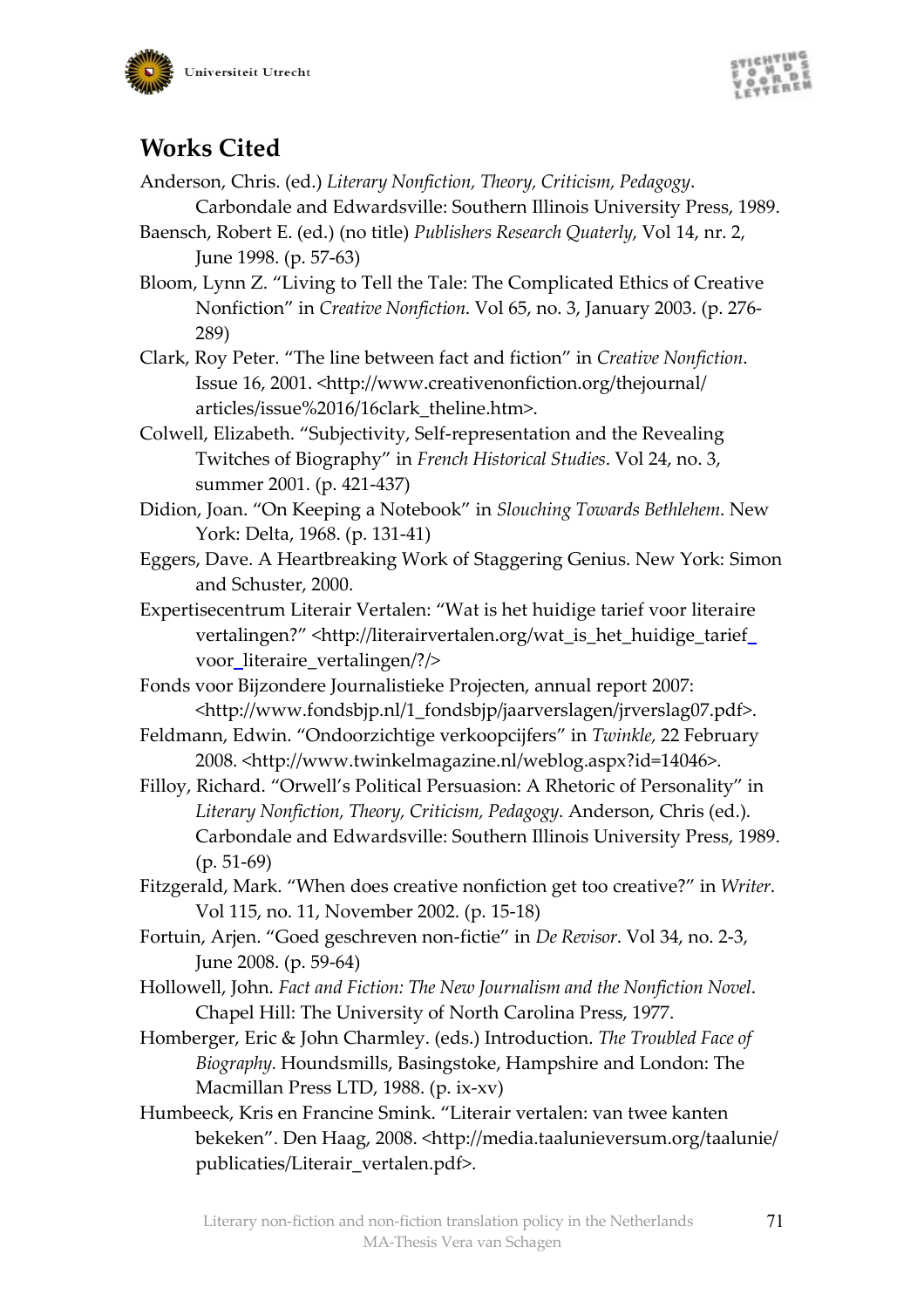



## **Works Cited**

- Anderson, Chris. (ed.) *Literary Nonfiction, Theory, Criticism, Pedagogy*. Carbondale and Edwardsville: Southern Illinois University Press, 1989.
- Baensch, Robert E. (ed.) (no title) *Publishers Research Quaterly*, Vol 14, nr. 2, June 1998. (p. 57-63)

Bloom, Lynn Z. "Living to Tell the Tale: The Complicated Ethics of Creative Nonfiction" in *Creative Nonfiction*. Vol 65, no. 3, January 2003. (p. 276- 289)

Clark, Roy Peter. "The line between fact and fiction" in *Creative Nonfiction*. Issue 16, 2001. <http://www.creativenonfiction.org/thejournal/ articles/issue%2016/16clark\_theline.htm>.

Colwell, Elizabeth. "Subjectivity, Self-representation and the Revealing Twitches of Biography" in *French Historical Studies*. Vol 24, no. 3, summer 2001. (p. 421-437)

Didion, Joan. "On Keeping a Notebook" in *Slouching Towards Bethlehem*. New York: Delta, 1968. (p. 131-41)

- Eggers, Dave. A Heartbreaking Work of Staggering Genius. New York: Simon and Schuster, 2000.
- Expertisecentrum Literair Vertalen: "Wat is het huidige tarief voor literaire vertalingen?" <http://literairvertalen.org/wat\_is\_het\_huidige\_tarie[f\\_](http://literairvertalen.org/wat_is_het_huidige_tarief_voor) voo[r\\_l](http://literairvertalen.org/wat_is_het_huidige_tarief_voor_literaire_vertalingen/?/)iteraire\_vertalingen/?/>

Fonds voor Bijzondere Journalistieke Projecten, annual report 2007: <http://www.fondsbjp.nl/1\_fondsbjp/jaarverslagen/jrverslag07.pdf>.

- Feldmann, Edwin. "Ondoorzichtige verkoopcijfers" in *Twinkle,* 22 February 2008. <http://www.twinkelmagazine.nl/weblog.aspx?id=14046>.
- Filloy, Richard. "Orwell's Political Persuasion: A Rhetoric of Personality" in *Literary Nonfiction, Theory, Criticism, Pedagogy*. Anderson, Chris (ed.). Carbondale and Edwardsville: Southern Illinois University Press, 1989. (p. 51-69)
- Fitzgerald, Mark. "When does creative nonfiction get too creative?" in *Writer*. Vol 115, no. 11, November 2002. (p. 15-18)

Fortuin, Arjen. "Goed geschreven non-fictie" in *De Revisor*. Vol 34, no. 2-3, June 2008. (p. 59-64)

- Hollowell, John. *Fact and Fiction: The New Journalism and the Nonfiction Novel*. Chapel Hill: The University of North Carolina Press, 1977.
- Homberger, Eric & John Charmley. (eds.) Introduction. *The Troubled Face of Biography.* Houndsmills, Basingstoke, Hampshire and London: The Macmillan Press LTD, 1988. (p. ix-xv)
- Humbeeck, Kris en Francine Smink. "Literair vertalen: van twee kanten bekeken". Den Haag, 2008. <http://media.taalunieversum.org/taalunie/ publicaties/Literair\_vertalen.pdf>.